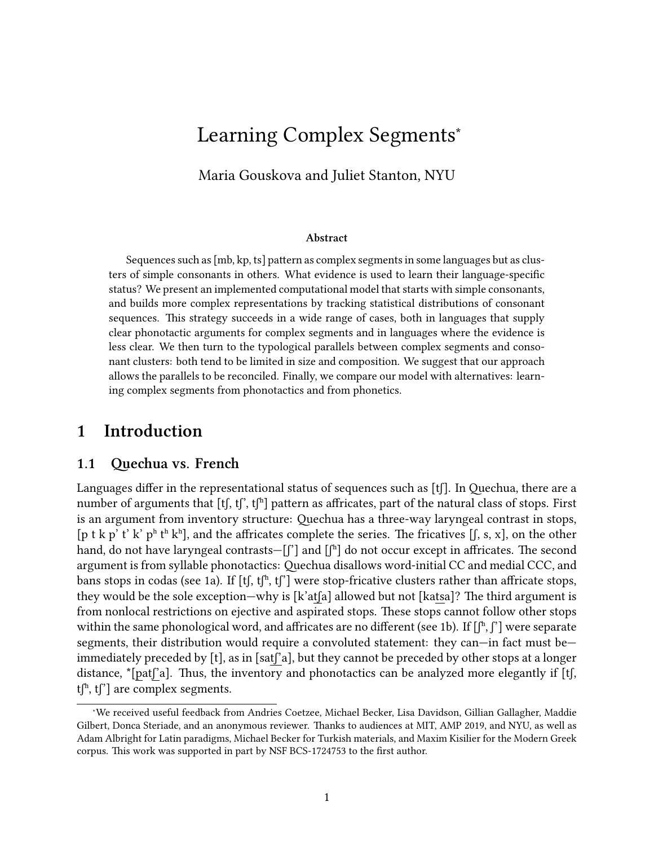# Learning Complex Segments<sup>∗</sup>

Maria Gouskova and Juliet Stanton, NYU

#### **Abstract**

Sequences such as [mb, kp, ts] pattern as complex segments in some languages but as clusters of simple consonants in others. What evidence is used to learn their language-specific status? We present an implemented computational model that starts with simple consonants, and builds more complex representations by tracking statistical distributions of consonant sequences. This strategy succeeds in a wide range of cases, both in languages that supply clear phonotactic arguments for complex segments and in languages where the evidence is less clear. We then turn to the typological parallels between complex segments and consonant clusters: both tend to be limited in size and composition. We suggest that our approach allows the parallels to be reconciled. Finally, we compare our model with alternatives: learning complex segments from phonotactics and from phonetics.

### <span id="page-0-0"></span>**1 Introduction**

#### **1.1 Quechua vs. French**

Languages differ in the representational status of sequences such as [tʃ]. In Quechua, there are a number of arguments that [tʃ, tʃ', tʃʰ] pattern as affricates, part of the natural class of stops. First is an argument from inventory structure: Quechua has a three-way laryngeal contrast in stops, [p t k p' t' k' p<sup>h</sup> t<sup>h</sup> k<sup>h</sup>], and the affricates complete the series. The fricatives [f, s, x], on the other hand, do not have laryngeal contrasts—[f'] and [fh] do not occur except in affricates. The second argument is from syllable phonotactics: Quechua disallows word-initial CC and medial CCC, and bans stops in codas (see [1a](#page-1-0)). If  $[t]$ ,  $[t]^n$ ,  $[t]^r$ ] were stop-fricative clusters rather than affricate stops, they would be the sole exception—why is [k'atʃa] allowed but not [katsa]? The third argument is from nonlocal restrictions on ejective and aspirated stops. These stops cannot follow other stops within the same phonological word, and affricates are no different (see [1b](#page-1-0)). If  $[\int_{a}^{b} \int_{c}^{b}]$  were separate segments, their distribution would require a convoluted statement: they can—in fact must be immediately preceded by [t], as in [satʃ'a], but they cannot be preceded by other stops at a longer distance, \*[patʃ'a]. Thus, the inventory and phonotactics can be analyzed more elegantly if [tʃ,  $t^{\text{th}}$ ,  $t^{\text{th}}$  are complex segments.

<sup>∗</sup>We received useful feedback from Andries Coetzee, Michael Becker, Lisa Davidson, Gillian Gallagher, Maddie Gilbert, Donca Steriade, and an anonymous reviewer. Thanks to audiences at MIT, AMP 2019, and NYU, as well as Adam Albright for Latin paradigms, Michael Becker for Turkish materials, and Maxim Kisilier for the Modern Greek corpus. This work was supported in part by NSF BCS-1724753 to the first author.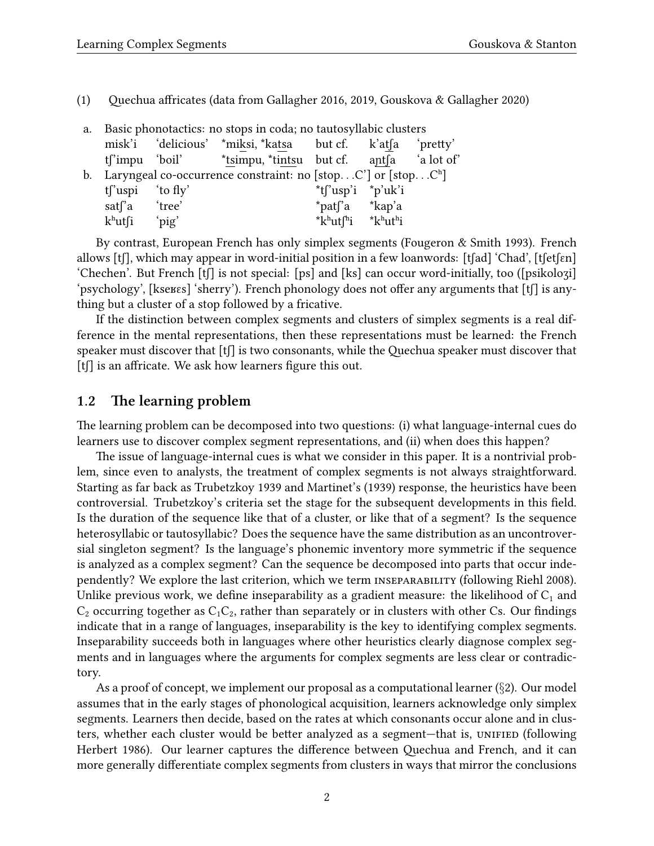<span id="page-1-0"></span>(1) Quechua affricates (data from [Gallagher](#page-43-0) [2016,](#page-43-0) [2019](#page-43-1), [Gouskova & Gallagher](#page-43-2) [2020\)](#page-43-2)

| a. |                               | Basic phonotactics: no stops in coda; no tautosyllabic clusters             |                                                    |  |
|----|-------------------------------|-----------------------------------------------------------------------------|----------------------------------------------------|--|
|    |                               | misk'i 'delicious' *miksi, *katsa but cf. k'atfa 'pretty'                   |                                                    |  |
|    |                               | t <sup>r</sup> impu 'boil' *tsimpu, *tintsu but cf. ant a lot of            |                                                    |  |
|    |                               | b. Laryngeal co-occurrence constraint: no [stopC'] or [stopC <sup>h</sup> ] |                                                    |  |
|    | $t$ <sup>r</sup> uspi to fly' |                                                                             | $*$ t $\int$ 'usp'i $*$ p'uk'i                     |  |
|    | satsa 'tree'                  |                                                                             | *pat <sup>r</sup> a *kap'a                         |  |
|    | $k^h$ utsi 'pig'              |                                                                             | $*k^h$ utf <sup>h</sup> i $*k^h$ ut <sup>h</sup> i |  |

By contrast, European French has only simplex segments([Fougeron & Smith](#page-43-3) [1993\)](#page-43-3). French allows [tʃ], which may appear in word-initial position in a few loanwords: [tʃad] 'Chad', [tʃetʃɛn] 'Chechen'. But French [tʃ] is not special: [ps] and [ks] can occur word-initially, too ([psikoloʒi] 'psychology', [kseʁɛs] 'sherry'). French phonology does not offer any arguments that [tʃ] is anything but a cluster of a stop followed by a fricative.

If the distinction between complex segments and clusters of simplex segments is a real difference in the mental representations, then these representations must be learned: the French speaker must discover that  $[f]$  is two consonants, while the Quechua speaker must discover that [tʃ] is an affricate. We ask how learners figure this out.

### **1.2 The learning problem**

The learning problem can be decomposed into two questions: (i) what language-internal cues do learners use to discover complex segment representations, and (ii) when does this happen?

The issue of language-internal cues is what we consider in this paper. It is a nontrivial problem, since even to analysts, the treatment of complex segments is not always straightforward. Starting as far back as [Trubetzkoy](#page-47-0) [1939](#page-47-0) and Martinet's [\(1939\)](#page-45-0) response, the heuristics have been controversial. Trubetzkoy's criteria set the stage for the subsequent developments in this field. Is the duration of the sequence like that of a cluster, or like that of a segment? Is the sequence heterosyllabic or tautosyllabic? Does the sequence have the same distribution as an uncontroversial singleton segment? Is the language's phonemic inventory more symmetric if the sequence is analyzed as a complex segment? Can the sequence be decomposed into parts that occur inde-pendently? We explore the last criterion, which we term INSEPARABILITY (following [Riehl](#page-46-0) [2008\)](#page-46-0). Unlike previous work, we define inseparability as a gradient measure: the likelihood of  $C_1$  and  $C_2$  occurring together as  $C_1C_2$ , rather than separately or in clusters with other Cs. Our findings indicate that in a range of languages, inseparability is the key to identifying complex segments. Inseparability succeeds both in languages where other heuristics clearly diagnose complex segments and in languages where the arguments for complex segments are less clear or contradictory.

As a proof of concept, we implement our proposal as a computational learner (*§*[2](#page-4-0)). Our model assumes that in the early stages of phonological acquisition, learners acknowledge only simplex segments. Learners then decide, based on the rates at which consonants occur alone and in clusters, whether each cluster would be better analyzed as a segment—that is, UNIFIED (following [Herbert](#page-44-0) [1986\)](#page-44-0). Our learner captures the difference between Quechua and French, and it can more generally differentiate complex segments from clusters in ways that mirror the conclusions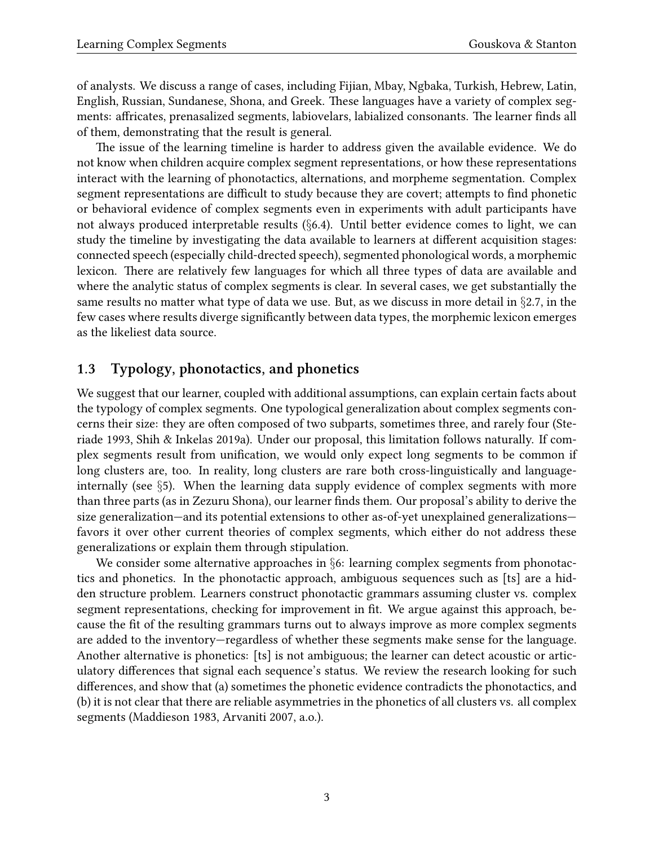of analysts. We discuss a range of cases, including Fijian, Mbay, Ngbaka, Turkish, Hebrew, Latin, English, Russian, Sundanese, Shona, and Greek. These languages have a variety of complex segments: affricates, prenasalized segments, labiovelars, labialized consonants. The learner finds all of them, demonstrating that the result is general.

The issue of the learning timeline is harder to address given the available evidence. We do not know when children acquire complex segment representations, or how these representations interact with the learning of phonotactics, alternations, and morpheme segmentation. Complex segment representations are difficult to study because they are covert; attempts to find phonetic or behavioral evidence of complex segments even in experiments with adult participants have not always produced interpretable results (*§*[6.4\)](#page-37-0). Until better evidence comes to light, we can study the timeline by investigating the data available to learners at different acquisition stages: connected speech (especially child-drected speech), segmented phonological words, a morphemic lexicon. There are relatively few languages for which all three types of data are available and where the analytic status of complex segments is clear. In several cases, we get substantially the same results no matter what type of data we use. But, as we discuss in more detail in *§*[2.7](#page-11-0), in the few cases where results diverge significantly between data types, the morphemic lexicon emerges as the likeliest data source.

## **1.3 Typology, phonotactics, and phonetics**

We suggest that our learner, coupled with additional assumptions, can explain certain facts about the typology of complex segments. One typological generalization about complex segments concerns their size: they are often composed of two subparts, sometimes three, and rarely four [\(Ste](#page-47-1)[riade](#page-47-1) [1993,](#page-47-1) [Shih & Inkelas](#page-47-2) [2019a](#page-47-2)). Under our proposal, this limitation follows naturally. If complex segments result from unification, we would only expect long segments to be common if long clusters are, too. In reality, long clusters are rare both cross-linguistically and languageinternally (see *§*[5\)](#page-29-0). When the learning data supply evidence of complex segments with more than three parts (as in Zezuru Shona), our learner finds them. Our proposal's ability to derive the size generalization—and its potential extensions to other as-of-yet unexplained generalizations favors it over other current theories of complex segments, which either do not address these generalizations or explain them through stipulation.

We consider some alternative approaches in *§*[6:](#page-32-0) learning complex segments from phonotactics and phonetics. In the phonotactic approach, ambiguous sequences such as [ts] are a hidden structure problem. Learners construct phonotactic grammars assuming cluster vs. complex segment representations, checking for improvement in fit. We argue against this approach, because the fit of the resulting grammars turns out to always improve as more complex segments are added to the inventory—regardless of whether these segments make sense for the language. Another alternative is phonetics: [ts] is not ambiguous; the learner can detect acoustic or articulatory differences that signal each sequence's status. We review the research looking for such differences, and show that (a) sometimes the phonetic evidence contradicts the phonotactics, and (b) it is not clear that there are reliable asymmetries in the phonetics of all clusters vs. all complex segments [\(Maddieson](#page-45-1) [1983,](#page-45-1) [Arvaniti](#page-41-0) [2007,](#page-41-0) a.o.).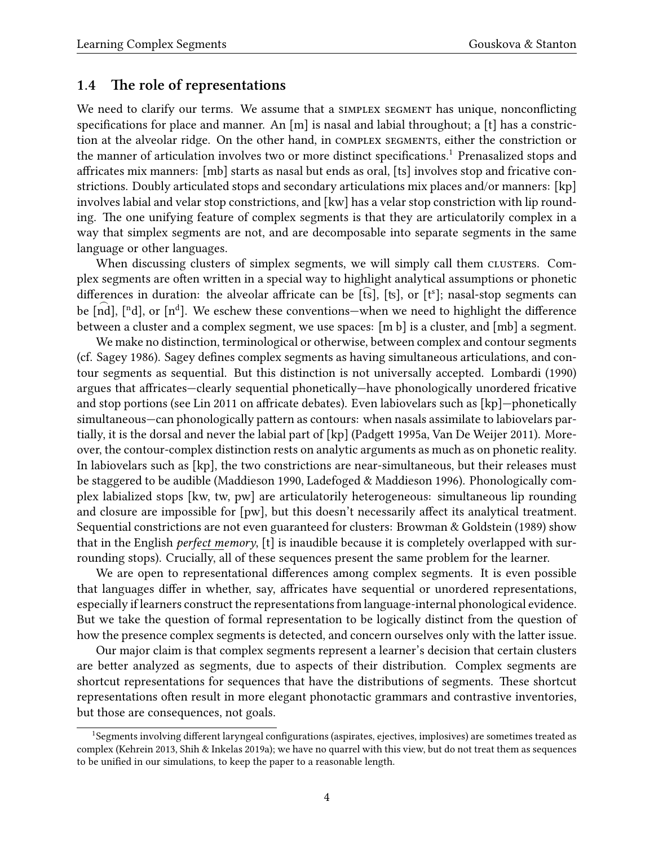### **1.4 The role of representations**

We need to clarify our terms. We assume that a SIMPLEX SEGMENT has unique, nonconflicting specifications for place and manner. An [m] is nasal and labial throughout; a [t] has a constriction at the alveolar ridge. On the other hand, in COMPLEX SEGMENTS, either the constriction or the manner of articulation involves two or more distinct specifications.<sup>[1](#page-3-0)</sup> Prenasalized stops and affricates mix manners: [mb] starts as nasal but ends as oral, [ts] involves stop and fricative constrictions. Doubly articulated stops and secondary articulations mix places and/or manners: [kp] involves labial and velar stop constrictions, and [kw] has a velar stop constriction with lip rounding. The one unifying feature of complex segments is that they are articulatorily complex in a way that simplex segments are not, and are decomposable into separate segments in the same language or other languages.

When discussing clusters of simplex segments, we will simply call them CLUSTERS. Complex segments are often written in a special way to highlight analytical assumptions or phonetic differences in duration: the alveolar affricate can be  $[\text{fs}]$ ,  $[\text{ts}]$ , or  $[\text{t}^s]$ ; nasal-stop segments can be  $[\text{nd}]$ ,  $[\text{nd}]$ , or  $[\text{nd}^d]$ . We eschew these conventions—when we need to highlight the difference between a cluster and a complex segment, we use spaces: [m b] is a cluster, and [mb] a segment.

We make no distinction, terminological or otherwise, between complex and contour segments (cf. [Sagey](#page-46-1) [1986](#page-46-1)). Sagey defines complex segments as having simultaneous articulations, and contour segments as sequential. But this distinction is not universally accepted. [Lombardi](#page-45-2) [\(1990](#page-45-2)) argues that affricates—clearly sequential phonetically—have phonologically unordered fricative and stop portions (see [Lin](#page-45-3) [2011](#page-45-3) on affricate debates). Even labiovelars such as [kp]—phonetically simultaneous—can phonologically pattern as contours: when nasals assimilate to labiovelars partially, it is the dorsal and never the labial part of [kp]([Padgett](#page-46-2) [1995a,](#page-46-2) [Van De Weijer](#page-47-3) [2011](#page-47-3)). Moreover, the contour-complex distinction rests on analytic arguments as much as on phonetic reality. In labiovelars such as [kp], the two constrictions are near-simultaneous, but their releases must be staggered to be audible([Maddieson](#page-45-4) [1990](#page-45-4), [Ladefoged & Maddieson](#page-45-5) [1996\)](#page-45-5). Phonologically complex labialized stops [kw, tw, pw] are articulatorily heterogeneous: simultaneous lip rounding and closure are impossible for [pw], but this doesn't necessarily affect its analytical treatment. Sequential constrictions are not even guaranteed for clusters: [Browman & Goldstein](#page-42-0) ([1989\)](#page-42-0) show that in the English *perfect memory*, [t] is inaudible because it is completely overlapped with surrounding stops). Crucially, all of these sequences present the same problem for the learner.

We are open to representational differences among complex segments. It is even possible that languages differ in whether, say, affricates have sequential or unordered representations, especially if learners construct the representations from language-internal phonological evidence. But we take the question of formal representation to be logically distinct from the question of how the presence complex segments is detected, and concern ourselves only with the latter issue.

Our major claim is that complex segments represent a learner's decision that certain clusters are better analyzed as segments, due to aspects of their distribution. Complex segments are shortcut representations for sequences that have the distributions of segments. These shortcut representations often result in more elegant phonotactic grammars and contrastive inventories, but those are consequences, not goals.

<span id="page-3-0"></span><sup>1</sup>Segments involving different laryngeal configurations (aspirates, ejectives, implosives) are sometimes treated as complex [\(Kehrein](#page-45-6) [2013](#page-45-6), [Shih & Inkelas](#page-47-2) [2019a](#page-47-2)); we have no quarrel with this view, but do not treat them as sequences to be unified in our simulations, to keep the paper to a reasonable length.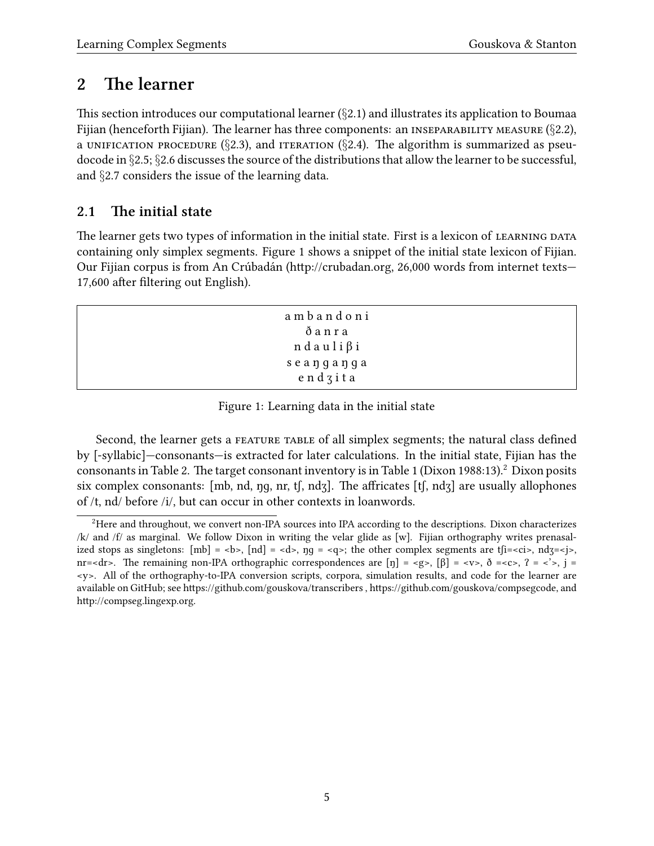# <span id="page-4-0"></span>**2 The learner**

This section introduces our computational learner (*§*[2.1](#page-4-1)) and illustrates its application to Boumaa Fijian (henceforth Fijian). The learner has three components: an inseparability measure (*§*[2.2\)](#page-5-0), a UNIFICATION PROCEDURE ( $\S$ [2.3](#page-7-0)), and ITERATION ( $\S$ [2.4](#page-8-0)). The algorithm is summarized as pseudocode in *§*[2.5;](#page-9-0) *§*[2.6](#page-10-0) discusses the source of the distributions that allow the learner to be successful, and *§*[2.7](#page-11-0) considers the issue of the learning data.

## <span id="page-4-1"></span>**2.1 The initial state**

The learner gets two types of information in the initial state. First is a lexicon of LEARNING DATA containing only simplex segments. Figure [1](#page-4-2) shows a snippet of the initial state lexicon of Fijian. Our Fijian corpus is from An Crúbadán [\(http://crubadan.org](http://crubadan.org), 26,000 words from internet texts— 17,600 after filtering out English).

| ambandoni               |
|-------------------------|
| ðanra                   |
| $n$ d a u l i $\beta$ i |
| seanganga               |
| endzita                 |

<span id="page-4-2"></span>Figure 1: Learning data in the initial state

Second, the learner gets a FEATURE TABLE of all simplex segments; the natural class defined by [-syllabic]—consonants—is extracted for later calculations. In the initial state, Fijian has the consonants in Table [2](#page-4-3). The target consonant inventory is in Table [1](#page-5-1) ([Dixon](#page-43-4) [1988](#page-43-4):13).<sup>2</sup> Dixon posits six complex consonants: [mb, nd, ŋɡ, nr, tʃ, ndʒ]. The affricates [tʃ, ndʒ] are usually allophones of /t, nd/ before /i/, but can occur in other contexts in loanwords.

<span id="page-4-3"></span><sup>&</sup>lt;sup>2</sup>Here and throughout, we convert non-IPA sources into IPA according to the descriptions. Dixon characterizes /k/ and /f/ as marginal. We follow Dixon in writing the velar glide as [w]. Fijian orthography writes prenasalized stops as singletons:  $[mb] = \text{>}, [nd] = \text{}, \eta q = \text{};$  the other complex segments are  $f[i = \text{}, ndz = \text{>},$ nr=<dr>. The remaining non-IPA orthographic correspondences are  $[\eta] = \langle g \rangle$ ,  $[\beta] = \langle v \rangle$ ,  $\delta = \langle v \rangle$ ,  $\gamma = \langle v \rangle$ ,  $j = \langle v \rangle$ ,  $j = \langle v \rangle$ ,  $j = \langle v \rangle$ ,  $j = \langle v \rangle$ ,  $j = \langle v \rangle$ ,  $j = \langle v \rangle$ ,  $j = \langle v \rangle$ ,  $j = \langle v \rangle$ ,  $j = \langle v \rangle$ ,  $j = \langle v \rangle$ <y>. All of the orthography-to-IPA conversion scripts, corpora, simulation results, and code for the learner are available on GitHub; see <https://github.com/gouskova/transcribers>, [https://github.com/gouskova/compsegcode,](https://github.com/gouskova/compsegcode) and <http://compseg.lingexp.org>.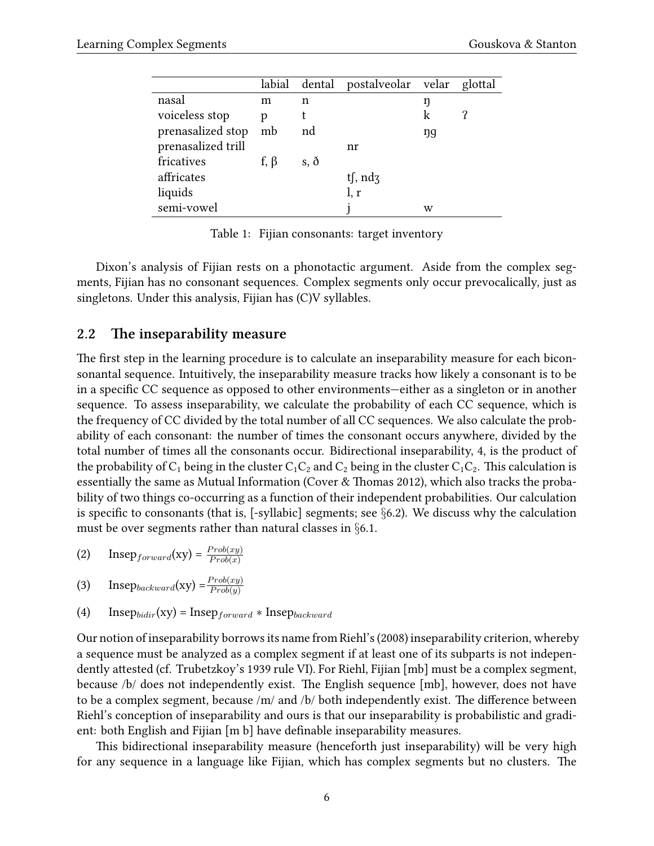|                    |            |             | labial dental postalveolar velar glottal |    |  |
|--------------------|------------|-------------|------------------------------------------|----|--|
| nasal              | m          | n           |                                          | ŋ  |  |
| voiceless stop     | р          |             |                                          | k  |  |
| prenasalized stop  | mb         | nd          |                                          | ŋg |  |
| prenasalized trill |            |             | nr                                       |    |  |
| fricatives         | f, $\beta$ | $s, \delta$ |                                          |    |  |
| affricates         |            |             | tf, $\eta$                               |    |  |
| liquids            |            |             | l, r                                     |    |  |
| semi-vowel         |            |             |                                          | w  |  |
|                    |            |             |                                          |    |  |

<span id="page-5-1"></span>Table 1: Fijian consonants: target inventory

Dixon's analysis of Fijian rests on a phonotactic argument. Aside from the complex segments, Fijian has no consonant sequences. Complex segments only occur prevocalically, just as singletons. Under this analysis, Fijian has (C)V syllables.

### <span id="page-5-0"></span>**2.2 The inseparability measure**

The first step in the learning procedure is to calculate an inseparability measure for each biconsonantal sequence. Intuitively, the inseparability measure tracks how likely a consonant is to be in a specific CC sequence as opposed to other environments—either as a singleton or in another sequence. To assess inseparability, we calculate the probability of each CC sequence, which is the frequency of CC divided by the total number of all CC sequences. We also calculate the probability of each consonant: the number of times the consonant occurs anywhere, divided by the total number of times all the consonants occur. Bidirectional inseparability, [4,](#page-5-2) is the product of the probability of  $C_1$  being in the cluster  $C_1C_2$  and  $C_2$  being in the cluster  $C_1C_2$ . This calculation is essentially the same as Mutual Information([Cover & Thomas](#page-42-1) [2012\)](#page-42-1), which also tracks the probability of two things co-occurring as a function of their independent probabilities. Our calculation is specific to consonants (that is, [-syllabic] segments; see *§*[6.2\)](#page-35-0). We discuss why the calculation must be over segments rather than natural classes in *§*[6.1.](#page-33-0)

<span id="page-5-3"></span>
$$
(2) \qquad \text{Insep}_{forward}(\text{xy}) = \frac{Prob(xy)}{Prob(x)}
$$

<span id="page-5-4"></span>
$$
(3) \qquad \text{Insep}_{backward}(\text{xy}) = \frac{Prob(xy)}{Prob(y)}
$$

<span id="page-5-2"></span>(4) Insep $_{bidir}(xy) = Insep_{forward} * Insep_{backward}$ 

Our notion of inseparability borrows its name from Riehl's([2008\)](#page-46-0) inseparability criterion, whereby a sequence must be analyzed as a complex segment if at least one of its subparts is not independently attested (cf. Trubetzkoy's [1939](#page-47-0) rule VI). For Riehl, Fijian [mb] must be a complex segment, because /b/ does not independently exist. The English sequence [mb], however, does not have to be a complex segment, because /m/ and /b/ both independently exist. The difference between Riehl's conception of inseparability and ours is that our inseparability is probabilistic and gradient: both English and Fijian [m b] have definable inseparability measures.

This bidirectional inseparability measure (henceforth just inseparability) will be very high for any sequence in a language like Fijian, which has complex segments but no clusters. The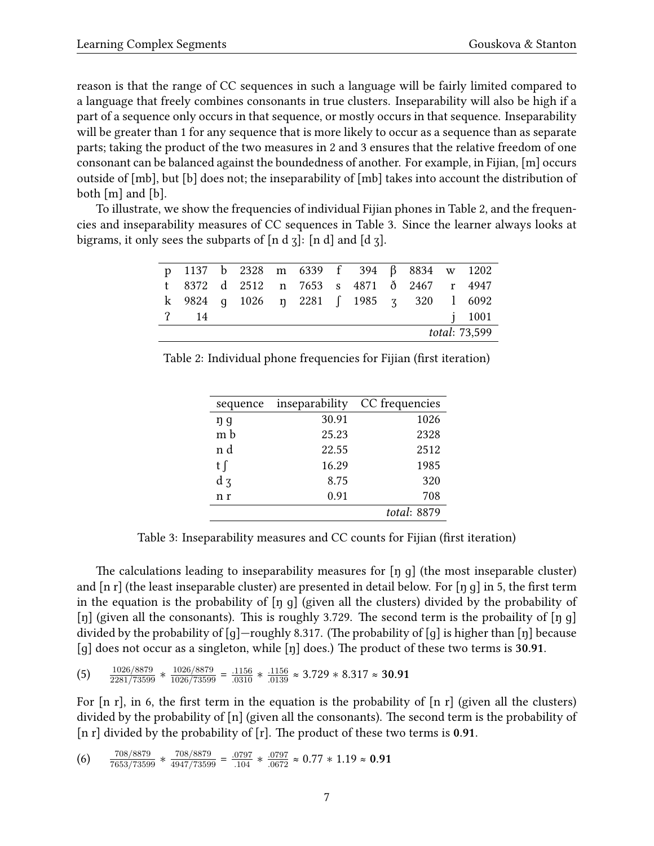reason is that the range of CC sequences in such a language will be fairly limited compared to a language that freely combines consonants in true clusters. Inseparability will also be high if a part of a sequence only occurs in that sequence, or mostly occurs in that sequence. Inseparability will be greater than 1 for any sequence that is more likely to occur as a sequence than as separate parts; taking the product of the two measures in [2](#page-5-3) and [3](#page-5-4) ensures that the relative freedom of one consonant can be balanced against the boundedness of another. For example, in Fijian, [m] occurs outside of [mb], but [b] does not; the inseparability of [mb] takes into account the distribution of both [m] and [b].

To illustrate, we show the frequencies of individual Fijian phones in Table [2](#page-6-0), and the frequencies and inseparability measures of CC sequences in Table [3.](#page-6-1) Since the learner always looks at bigrams, it only sees the subparts of  $[n d]$ :  $[n d]$  and  $[d]$ .

|               |                 |  |  |  |  |  |  |  | p 1137 b 2328 m 6339 f 394 β 8834 w 1202  |        |
|---------------|-----------------|--|--|--|--|--|--|--|-------------------------------------------|--------|
|               |                 |  |  |  |  |  |  |  | t 8372 d 2512 n 7653 s 4871 ð 2467 r 4947 |        |
|               |                 |  |  |  |  |  |  |  | k 9824 g 1026 n 2281 f 1985 z 320 l 6092  |        |
|               | <sup>2</sup> 14 |  |  |  |  |  |  |  |                                           | i 1001 |
| total: 73,599 |                 |  |  |  |  |  |  |  |                                           |        |

<span id="page-6-0"></span>Table 2: Individual phone frequencies for Fijian (first iteration)

| inseparability | CC frequencies |
|----------------|----------------|
| 30.91          | 1026           |
| 25.23          | 2328           |
| 22.55          | 2512           |
| 16.29          | 1985           |
| 8.75           | 320            |
| 0.91           | 708            |
|                | total: 8879    |
|                |                |

<span id="page-6-1"></span>Table 3: Inseparability measures and CC counts for Fijian (first iteration)

The calculations leading to inseparability measures for [ŋ ɡ] (the most inseparable cluster) and  $\lceil n r \rceil$  (the least inseparable cluster) are presented in detail below. For  $\lceil n q \rceil$  in [5,](#page-6-2) the first term in the equation is the probability of  $\lceil \eta \rceil$  (given all the clusters) divided by the probability of [n] (given all the consonants). This is roughly 3.729. The second term is the probaility of  $\lceil \eta \rceil$ divided by the probability of  $[g]$ —roughly 8.317. (The probability of  $[g]$  is higher than  $[\eta]$  because [ɡ] does not occur as a singleton, while [ŋ] does.) The product of these two terms is **30.91**.

<span id="page-6-2"></span>
$$
(5) \qquad \frac{1026/8879}{2281/73599} * \frac{1026/8879}{1026/73599} = \frac{.1156}{.0310} * \frac{.1156}{.0139} \approx 3.729 * 8.317 \approx 30.91
$$

For  $[n r]$ , in [6,](#page-6-3) the first term in the equation is the probability of  $[n r]$  (given all the clusters) divided by the probability of [n] (given all the consonants). The second term is the probability of [n r] divided by the probability of [r]. The product of these two terms is **0.91**.

<span id="page-6-3"></span>
$$
(6) \qquad \frac{708/8879}{7653/73599} * \frac{708/8879}{4947/73599} = \frac{.0797}{.104} * \frac{.0797}{.0672} \approx 0.77 * 1.19 \approx \textbf{0.91}
$$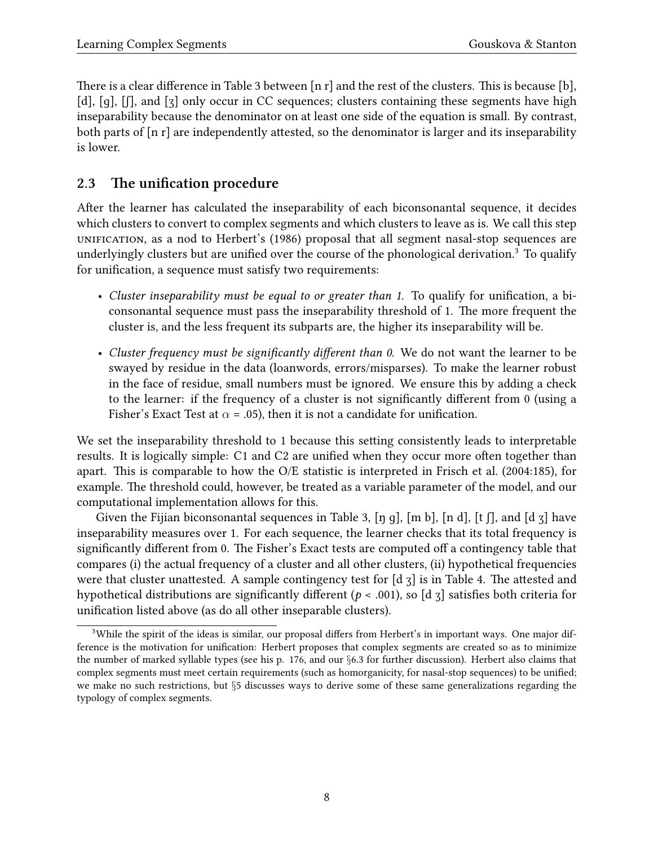There is a clear difference in Table [3](#page-6-1) between [n r] and the rest of the clusters. This is because [b], [d], [g], [f], and [z] only occur in CC sequences; clusters containing these segments have high inseparability because the denominator on at least one side of the equation is small. By contrast, both parts of [n r] are independently attested, so the denominator is larger and its inseparability is lower.

## <span id="page-7-0"></span>**2.3 The unification procedure**

After the learner has calculated the inseparability of each biconsonantal sequence, it decides which clusters to convert to complex segments and which clusters to leave as is. We call this step unification, as a nod to Herbert's [\(1986](#page-44-0)) proposal that all segment nasal-stop sequences are underlyingly clusters but are unified over the course of the phonological derivation.<sup>[3](#page-7-1)</sup> To qualify for unification, a sequence must satisfy two requirements:

- *Cluster inseparability must be equal to or greater than 1.* To qualify for unification, a biconsonantal sequence must pass the inseparability threshold of 1. The more frequent the cluster is, and the less frequent its subparts are, the higher its inseparability will be.
- *Cluster frequency must be significantly different than 0.* We do not want the learner to be swayed by residue in the data (loanwords, errors/misparses). To make the learner robust in the face of residue, small numbers must be ignored. We ensure this by adding a check to the learner: if the frequency of a cluster is not significantly different from 0 (using a Fisher's Exact Test at  $\alpha$  = .05), then it is not a candidate for unification.

We set the inseparability threshold to 1 because this setting consistently leads to interpretable results. It is logically simple: C1 and C2 are unified when they occur more often together than apart. This is comparable to how the O/E statistic is interpreted in [Frisch et al.](#page-43-5) ([2004](#page-43-5):185), for example. The threshold could, however, be treated as a variable parameter of the model, and our computational implementation allows for this.

Given the Fijian biconsonantal sequences in Table [3,](#page-6-1) [ŋ g], [m b], [n d], [t f], and [d  $\overline{3}$ ] have inseparability measures over 1. For each sequence, the learner checks that its total frequency is significantly different from 0. The Fisher's Exact tests are computed off a contingency table that compares (i) the actual frequency of a cluster and all other clusters, (ii) hypothetical frequencies were that cluster unattested. A sample contingency test for  $\lbrack d \rbrack$  is in Table [4](#page-8-1). The attested and hypothetical distributions are significantly different ( $p < .001$ ), so [d  $\tau$ ] satisfies both criteria for unification listed above (as do all other inseparable clusters).

<span id="page-7-1"></span><sup>&</sup>lt;sup>3</sup>While the spirit of the ideas is similar, our proposal differs from Herbert's in important ways. One major difference is the motivation for unification: Herbert proposes that complex segments are created so as to minimize the number of marked syllable types (see his p. 176, and our *§*[6.3](#page-35-1) for further discussion). Herbert also claims that complex segments must meet certain requirements (such as homorganicity, for nasal-stop sequences) to be unified; we make no such restrictions, but *§*[5](#page-29-0) discusses ways to derive some of these same generalizations regarding the typology of complex segments.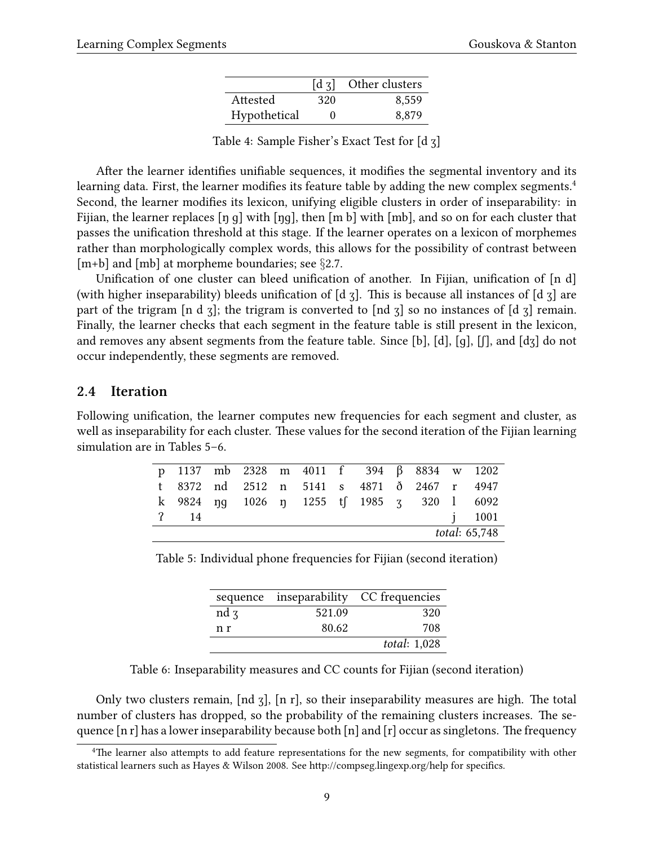|              | $\lceil d_3 \rceil$ | Other clusters |
|--------------|---------------------|----------------|
| Attested     | 320                 | 8.559          |
| Hypothetical | 0                   | 8.879          |

<span id="page-8-1"></span>Table 4: Sample Fisher's Exact Test for [d ʒ]

After the learner identifies unifiable sequences, it modifies the segmental inventory and its learning data. First, the learner modifies its feature table by adding the new complex segments.<sup>[4](#page-8-2)</sup> Second, the learner modifies its lexicon, unifying eligible clusters in order of inseparability: in Fijian, the learner replaces [ŋ ɡ] with [ŋɡ], then [m b] with [mb], and so on for each cluster that passes the unification threshold at this stage. If the learner operates on a lexicon of morphemes rather than morphologically complex words, this allows for the possibility of contrast between [m+b] and [mb] at morpheme boundaries; see *§*[2.7.](#page-11-0)

Unification of one cluster can bleed unification of another. In Fijian, unification of [n d] (with higher inseparability) bleeds unification of [d ʒ]. This is because all instances of [d ʒ] are part of the trigram [n d  $\overline{3}$ ]; the trigram is converted to [nd  $\overline{3}$ ] so no instances of [d  $\overline{3}$ ] remain. Finally, the learner checks that each segment in the feature table is still present in the lexicon, and removes any absent segments from the feature table. Since [b], [d], [q], [f], and [dʒ] do not occur independently, these segments are removed.

#### <span id="page-8-0"></span>**2.4 Iteration**

Following unification, the learner computes new frequencies for each segment and cluster, as well as inseparability for each cluster. These values for the second iteration of the Fijian learning simulation are in Tables [5](#page-8-3)–[6](#page-8-4).

|                       |                 |  | p 1137 mb 2328 m 4011 f 394 $\beta$ 8834 w 1202 |  |  |  |  |  |  |            |
|-----------------------|-----------------|--|-------------------------------------------------|--|--|--|--|--|--|------------|
|                       |                 |  | t 8372 nd 2512 n 5141 s 4871 ð 2467 r 4947      |  |  |  |  |  |  |            |
|                       |                 |  | k 9824 ng 1026 n 1255 t 1985 z 320 l 6092       |  |  |  |  |  |  |            |
|                       | <sup>2</sup> 14 |  |                                                 |  |  |  |  |  |  | $i = 1001$ |
| <i>total</i> : 65,748 |                 |  |                                                 |  |  |  |  |  |  |            |

Table 5: Individual phone frequencies for Fijian (second iteration)

<span id="page-8-3"></span>

|        |        | sequence inseparability CC frequencies |
|--------|--------|----------------------------------------|
| $nd_3$ | 521.09 | 320                                    |
| n r    | 80.62  | 708                                    |
|        |        | <i>total</i> : 1,028                   |

<span id="page-8-4"></span>Table 6: Inseparability measures and CC counts for Fijian (second iteration)

Only two clusters remain, [nd ʒ], [n r], so their inseparability measures are high. The total number of clusters has dropped, so the probability of the remaining clusters increases. The sequence  $\lceil n r \rceil$  has a lower inseparability because both  $\lceil n \rceil$  and  $\lceil r \rceil$  occur as singletons. The frequency

<span id="page-8-2"></span><sup>&</sup>lt;sup>4</sup>The learner also attempts to add feature representations for the new segments, for compatibility with other statistical learners such as [Hayes & Wilson](#page-44-1) [2008.](#page-44-1) See <http://compseg.lingexp.org/help> for specifics.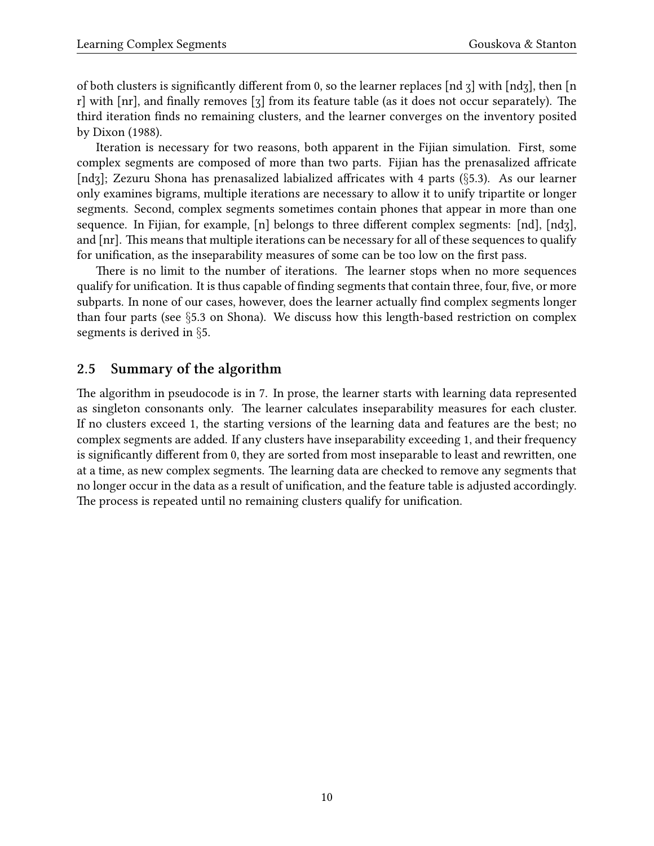of both clusters is significantly different from 0, so the learner replaces [nd ʒ] with [ndʒ], then [n r] with [nr], and finally removes [ʒ] from its feature table (as it does not occur separately). The third iteration finds no remaining clusters, and the learner converges on the inventory posited by [Dixon](#page-43-4) ([1988\)](#page-43-4).

Iteration is necessary for two reasons, both apparent in the Fijian simulation. First, some complex segments are composed of more than two parts. Fijian has the prenasalized affricate [ndʒ]; Zezuru Shona has prenasalized labialized affricates with 4 parts (*§*[5.3\)](#page-30-0). As our learner only examines bigrams, multiple iterations are necessary to allow it to unify tripartite or longer segments. Second, complex segments sometimes contain phones that appear in more than one sequence. In Fijian, for example, [n] belongs to three different complex segments: [nd], [ndʒ], and [nr]. This means that multiple iterations can be necessary for all of these sequences to qualify for unification, as the inseparability measures of some can be too low on the first pass.

There is no limit to the number of iterations. The learner stops when no more sequences qualify for unification. It is thus capable of finding segments that contain three, four, five, or more subparts. In none of our cases, however, does the learner actually find complex segments longer than four parts (see *§*[5.3](#page-30-0) on Shona). We discuss how this length-based restriction on complex segments is derived in *§*[5.](#page-29-0)

### <span id="page-9-0"></span>**2.5 Summary of the algorithm**

The algorithm in pseudocode is in [7](#page-10-1). In prose, the learner starts with learning data represented as singleton consonants only. The learner calculates inseparability measures for each cluster. If no clusters exceed 1, the starting versions of the learning data and features are the best; no complex segments are added. If any clusters have inseparability exceeding 1, and their frequency is significantly different from 0, they are sorted from most inseparable to least and rewritten, one at a time, as new complex segments. The learning data are checked to remove any segments that no longer occur in the data as a result of unification, and the feature table is adjusted accordingly. The process is repeated until no remaining clusters qualify for unification.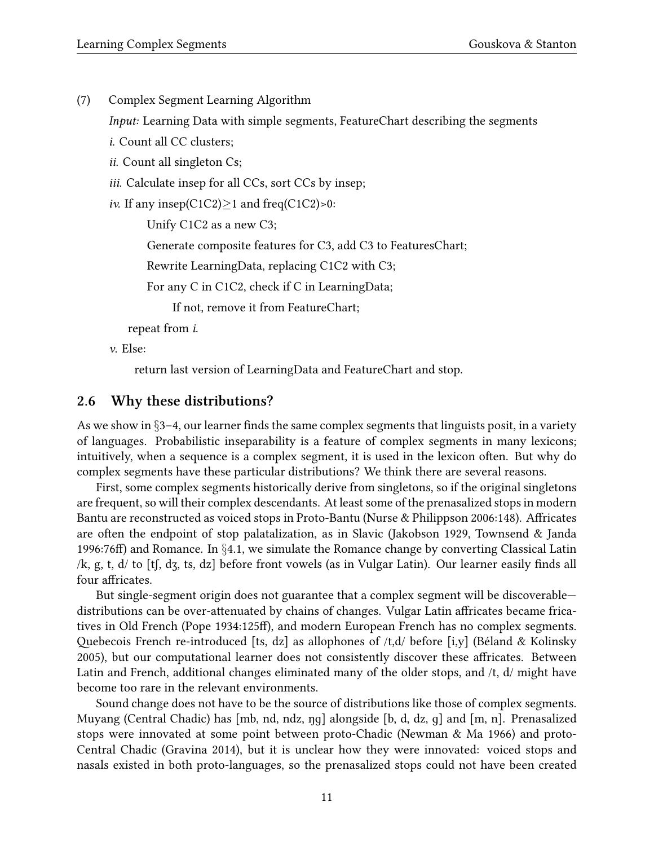<span id="page-10-1"></span>(7) Complex Segment Learning Algorithm

*Input:* Learning Data with simple segments, FeatureChart describing the segments

- *i*. Count all CC clusters;
- *ii*. Count all singleton Cs;
- *iii*. Calculate insep for all CCs, sort CCs by insep;

*iv.* If any insep(C1C2)*≥*1 and freq(C1C2)>0:

Unify C1C2 as a new C3;

Generate composite features for C3, add C3 to FeaturesChart;

Rewrite LearningData, replacing C1C2 with C3;

For any C in C1C2, check if C in LearningData;

If not, remove it from FeatureChart;

repeat from *i*.

*v*. Else:

return last version of LearningData and FeatureChart and stop.

### <span id="page-10-0"></span>**2.6 Why these distributions?**

As we show in *§*[3](#page-12-0)[–4](#page-20-0), our learner finds the same complex segments that linguists posit, in a variety of languages. Probabilistic inseparability is a feature of complex segments in many lexicons; intuitively, when a sequence is a complex segment, it is used in the lexicon often. But why do complex segments have these particular distributions? We think there are several reasons.

First, some complex segments historically derive from singletons, so if the original singletons are frequent, so will their complex descendants. At least some of the prenasalized stops in modern Bantu are reconstructed as voiced stops in Proto-Bantu([Nurse & Philippson](#page-46-3) [2006](#page-46-3):148). Affricates are often the endpoint of stop palatalization, as in Slavic([Jakobson](#page-44-2) [1929](#page-44-2), [Townsend & Janda](#page-47-4) [1996](#page-47-4):76ff) and Romance. In *§*[4.1,](#page-20-1) we simulate the Romance change by converting Classical Latin /k, g, t, d/ to [tʃ, dʒ, ts, dz] before front vowels (as in Vulgar Latin). Our learner easily finds all four affricates.

But single-segment origin does not guarantee that a complex segment will be discoverable distributions can be over-attenuated by chains of changes. Vulgar Latin affricates became fricatives in Old French([Pope](#page-46-4) [1934:](#page-46-4)125ff), and modern European French has no complex segments. Quebecois French re-introduced [ts, dz] as allophones of /t,d/ before [i,y]([Béland & Kolinsky](#page-42-2) [2005](#page-42-2)), but our computational learner does not consistently discover these affricates. Between Latin and French, additional changes eliminated many of the older stops, and /t, d/ might have become too rare in the relevant environments.

Sound change does not have to be the source of distributions like those of complex segments. Muyang (Central Chadic) has [mb, nd, ndz, ŋɡ] alongside [b, d, dz, ɡ] and [m, n]. Prenasalized stops were innovated at some point between proto-Chadic([Newman & Ma](#page-46-5) [1966](#page-46-5)) and proto-Central Chadic([Gravina](#page-43-6) [2014\)](#page-43-6), but it is unclear how they were innovated: voiced stops and nasals existed in both proto-languages, so the prenasalized stops could not have been created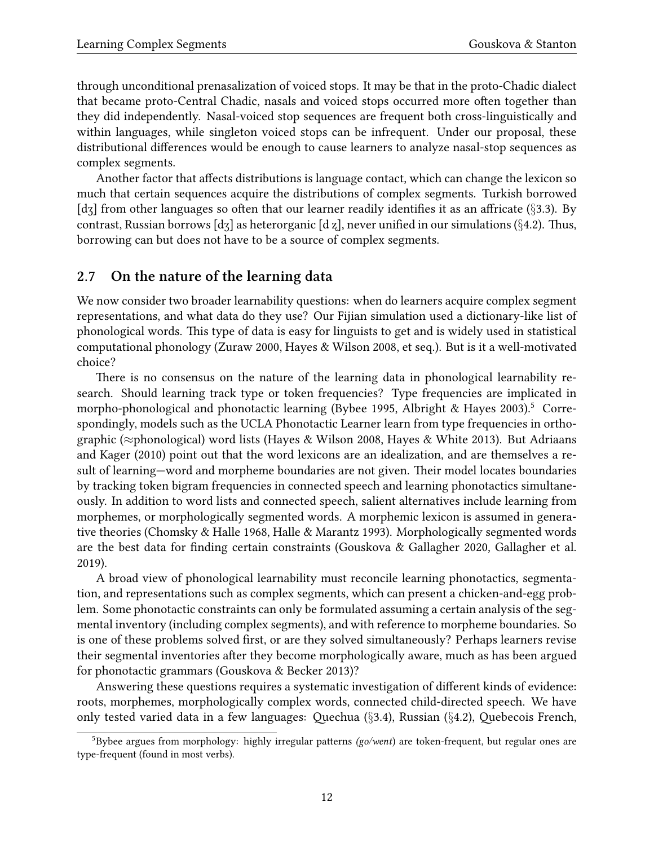through unconditional prenasalization of voiced stops. It may be that in the proto-Chadic dialect that became proto-Central Chadic, nasals and voiced stops occurred more often together than they did independently. Nasal-voiced stop sequences are frequent both cross-linguistically and within languages, while singleton voiced stops can be infrequent. Under our proposal, these distributional differences would be enough to cause learners to analyze nasal-stop sequences as complex segments.

Another factor that affects distributions is language contact, which can change the lexicon so much that certain sequences acquire the distributions of complex segments. Turkish borrowed [dʒ] from other languages so often that our learner readily identifies it as an affricate (*§*[3.3\)](#page-17-0). By contrast, Russian borrows [dʒ] as heterorganic [d ʐ], never unified in our simulations (*§*[4.2\)](#page-22-0). Thus, borrowing can but does not have to be a source of complex segments.

### <span id="page-11-0"></span>**2.7 On the nature of the learning data**

We now consider two broader learnability questions: when do learners acquire complex segment representations, and what data do they use? Our Fijian simulation used a dictionary-like list of phonological words. This type of data is easy for linguists to get and is widely used in statistical computational phonology [\(Zuraw](#page-48-0) [2000,](#page-48-0) [Hayes & Wilson](#page-44-1) [2008](#page-44-1), et seq.). But is it a well-motivated choice?

There is no consensus on the nature of the learning data in phonological learnability research. Should learning track type or token frequencies? Type frequencies are implicated in morpho-phonologicaland phonotactic learning ([Bybee](#page-42-3) [1995,](#page-42-3) [Albright & Hayes](#page-41-1) [2003\)](#page-41-1).<sup>[5](#page-11-1)</sup> Correspondingly, models such as the UCLA Phonotactic Learner learn from type frequencies in orthographic (*≈*phonological) word lists([Hayes & Wilson](#page-44-1) [2008,](#page-44-1) [Hayes & White](#page-44-3) [2013](#page-44-3)). But Adriaans and Kager [\(2010\)](#page-41-2) point out that the word lexicons are an idealization, and are themselves a result of learning—word and morpheme boundaries are not given. Their model locates boundaries by tracking token bigram frequencies in connected speech and learning phonotactics simultaneously. In addition to word lists and connected speech, salient alternatives include learning from morphemes, or morphologically segmented words. A morphemic lexicon is assumed in generative theories([Chomsky & Halle](#page-42-4) [1968](#page-42-4), [Halle & Marantz](#page-44-4) [1993](#page-44-4)). Morphologically segmented words are the best data for finding certain constraints [\(Gouskova & Gallagher](#page-43-2) [2020,](#page-43-2) [Gallagher et al.](#page-43-7) [2019](#page-43-7)).

A broad view of phonological learnability must reconcile learning phonotactics, segmentation, and representations such as complex segments, which can present a chicken-and-egg problem. Some phonotactic constraints can only be formulated assuming a certain analysis of the segmental inventory (including complex segments), and with reference to morpheme boundaries. So is one of these problems solved first, or are they solved simultaneously? Perhaps learners revise their segmental inventories after they become morphologically aware, much as has been argued for phonotactic grammars([Gouskova & Becker](#page-43-8) [2013\)](#page-43-8)?

Answering these questions requires a systematic investigation of different kinds of evidence: roots, morphemes, morphologically complex words, connected child-directed speech. We have only tested varied data in a few languages: Quechua (*§*[3.4\)](#page-18-0), Russian (*§*[4.2\)](#page-22-0), Quebecois French,

<span id="page-11-1"></span><sup>5</sup>Bybee argues from morphology: highly irregular patterns *(go/went*) are token-frequent, but regular ones are type-frequent (found in most verbs).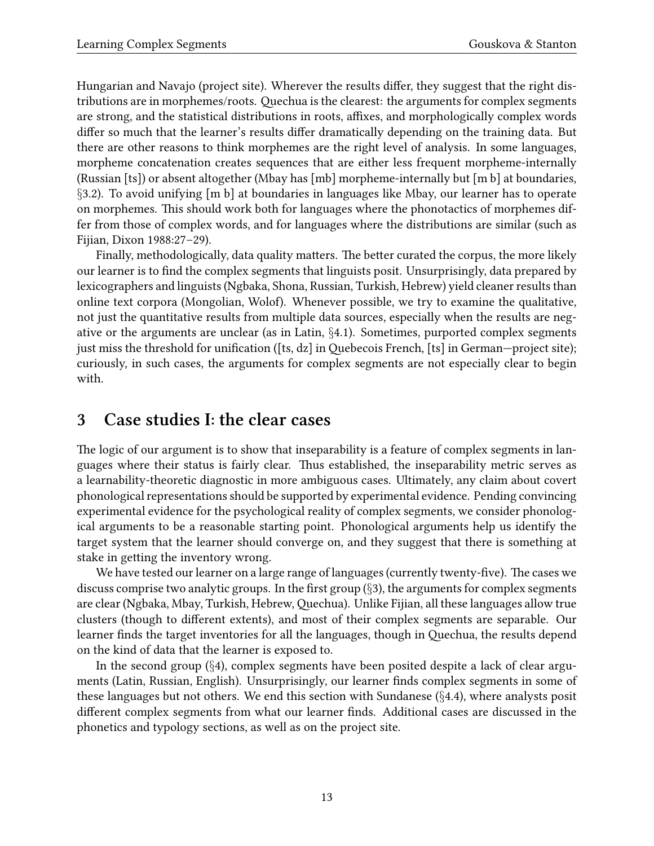Hungarian and Navajo (project site). Wherever the results differ, they suggest that the right distributions are in morphemes/roots. Quechua is the clearest: the arguments for complex segments are strong, and the statistical distributions in roots, affixes, and morphologically complex words differ so much that the learner's results differ dramatically depending on the training data. But there are other reasons to think morphemes are the right level of analysis. In some languages, morpheme concatenation creates sequences that are either less frequent morpheme-internally (Russian [ts]) or absent altogether (Mbay has [mb] morpheme-internally but [m b] at boundaries, *§*[3.2](#page-15-0)). To avoid unifying [m b] at boundaries in languages like Mbay, our learner has to operate on morphemes. This should work both for languages where the phonotactics of morphemes differ from those of complex words, and for languages where the distributions are similar (such as Fijian, [Dixon](#page-43-4) [1988](#page-43-4):27–29).

Finally, methodologically, data quality matters. The better curated the corpus, the more likely our learner is to find the complex segments that linguists posit. Unsurprisingly, data prepared by lexicographers and linguists (Ngbaka, Shona, Russian, Turkish, Hebrew) yield cleaner results than online text corpora (Mongolian, Wolof). Whenever possible, we try to examine the qualitative, not just the quantitative results from multiple data sources, especially when the results are negative or the arguments are unclear (as in Latin, *§*[4.1\)](#page-20-1). Sometimes, purported complex segments just miss the threshold for unification ([ts, dz] in Quebecois French, [ts] in German—project site); curiously, in such cases, the arguments for complex segments are not especially clear to begin with.

## <span id="page-12-0"></span>**3 Case studies I: the clear cases**

The logic of our argument is to show that inseparability is a feature of complex segments in languages where their status is fairly clear. Thus established, the inseparability metric serves as a learnability-theoretic diagnostic in more ambiguous cases. Ultimately, any claim about covert phonological representations should be supported by experimental evidence. Pending convincing experimental evidence for the psychological reality of complex segments, we consider phonological arguments to be a reasonable starting point. Phonological arguments help us identify the target system that the learner should converge on, and they suggest that there is something at stake in getting the inventory wrong.

We have tested our learner on a large range of languages (currently twenty-five). The cases we discuss comprise two analytic groups. In the first group (*§*[3](#page-12-0)), the arguments for complex segments are clear (Ngbaka, Mbay, Turkish, Hebrew,Quechua). Unlike Fijian, all these languages allow true clusters (though to different extents), and most of their complex segments are separable. Our learner finds the target inventories for all the languages, though in Quechua, the results depend on the kind of data that the learner is exposed to.

In the second group (*§*[4\)](#page-20-0), complex segments have been posited despite a lack of clear arguments (Latin, Russian, English). Unsurprisingly, our learner finds complex segments in some of these languages but not others. We end this section with Sundanese (*§*[4.4](#page-27-0)), where analysts posit different complex segments from what our learner finds. Additional cases are discussed in the phonetics and typology sections, as well as on the project site.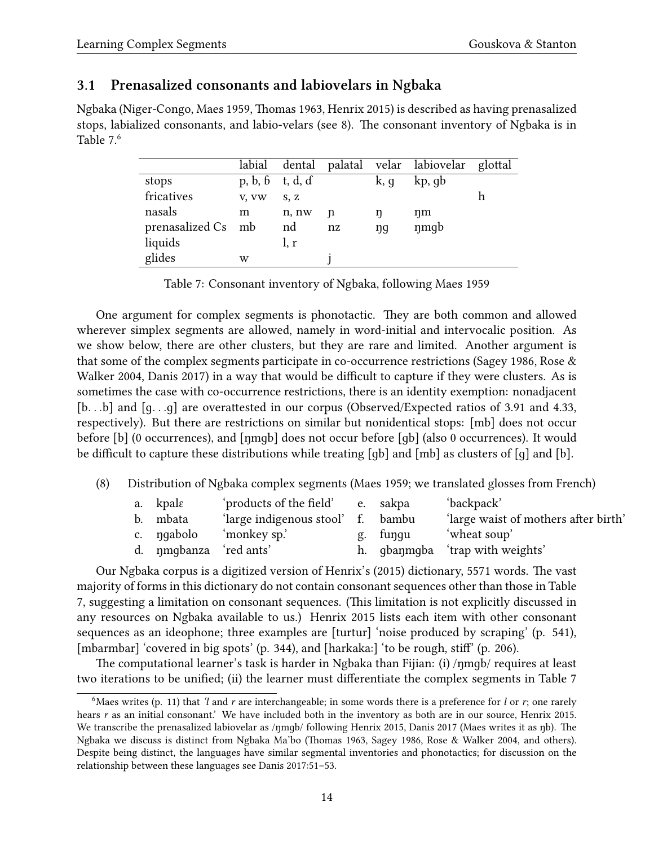### **3.1 Prenasalized consonants and labiovelars in Ngbaka**

Ngbaka (Niger-Congo, [Maes](#page-45-7) [1959](#page-45-7), [Thomas](#page-47-5) [1963,](#page-47-5) [Henrix](#page-44-5) [2015\)](#page-44-5) is described as having prenasalized stops, labialized consonants, and labio-velars (see [8](#page-13-0)). The consonant inventory of Ngbaka is in Table [7.](#page-13-1) [6](#page-13-2)

|                    | labial  |         |    |      | dental palatal velar labiovelar glottal |  |
|--------------------|---------|---------|----|------|-----------------------------------------|--|
| stops              | p, b, b | t, d, d |    | k, g | kp, gb                                  |  |
| fricatives         | V, VW   | S, Z    |    |      |                                         |  |
| nasals             | m       | n, nw   | n  | ŋ    | ŋm                                      |  |
| prenasalized Cs mb |         | nd      | nz | ŋq   | nmgb                                    |  |
| liquids            |         | l, r    |    |      |                                         |  |
| glides             | w       |         |    |      |                                         |  |

<span id="page-13-1"></span>Table 7: Consonant inventory of Ngbaka, following [Maes](#page-45-7) [1959](#page-45-7)

One argument for complex segments is phonotactic. They are both common and allowed wherever simplex segments are allowed, namely in word-initial and intervocalic position. As we show below, there are other clusters, but they are rare and limited. Another argument is that some of the complex segments participate in co-occurrence restrictions([Sagey](#page-46-1) [1986](#page-46-1), [Rose &](#page-46-6) [Walker](#page-46-6) [2004,](#page-46-6) [Danis](#page-42-5) [2017](#page-42-5)) in a way that would be difficult to capture if they were clusters. As is sometimes the case with co-occurrence restrictions, there is an identity exemption: nonadjacent [b*. . .*b] and [ɡ*. . .*ɡ] are overattested in our corpus (Observed/Expected ratios of 3.91 and 4.33, respectively). But there are restrictions on similar but nonidentical stops: [mb] does not occur before [b] (0 occurrences), and [ŋmɡb] does not occur before [ɡb] (also 0 occurrences). It would be difficult to capture these distributions while treating [ɡb] and [mb] as clusters of [ɡ] and [b].

<span id="page-13-0"></span>(8) Distribution of Ngbaka complex segments([Maes](#page-45-7) [1959](#page-45-7); we translated glosses from French)

| a. kpalε               | 'products of the field' e. sakpa  |          | 'backpack'                           |
|------------------------|-----------------------------------|----------|--------------------------------------|
| b. mbata               | 'large indigenous stool' f. bambu |          | 'large waist of mothers after birth' |
| c. ngabolo             | 'monkey sp.'                      | g. fungu | 'wheat soup'                         |
| d. nmgbanza 'red ants' |                                   |          | h. gbang ba 'trap with weights'      |

Our Ngbaka corpus is a digitized version of Henrix's [\(2015\)](#page-44-5) dictionary, 5571 words. The vast majority of forms in this dictionary do not contain consonant sequences other than those in Table [7,](#page-13-1) suggesting a limitation on consonant sequences. (This limitation is not explicitly discussed in any resources on Ngbaka available to us.) [Henrix](#page-44-5) [2015](#page-44-5) lists each item with other consonant sequences as an ideophone; three examples are [turtur] 'noise produced by scraping' (p. 541), [mbarmbar] 'covered in big spots' (p. 344), and [harkaka:] 'to be rough, stiff' (p. 206).

The computational learner's task is harder in Ngbaka than Fijian: (i) /ŋmɡb/ requires at least two iterations to be unified; (ii) the learner must differentiate the complex segments in Table [7](#page-13-1)

<span id="page-13-2"></span><sup>&</sup>lt;sup>6</sup>Maes writes (p. 11) that *'l* and *r* are interchangeable; in some words there is a preference for *l* or *r*; one rarely hears *r* as an initial consonant.' We have included both in the inventory as both are in our source, [Henrix](#page-44-5) [2015.](#page-44-5) We transcribe the prenasalized labiovelar as /ŋmɡb/ following [Henrix](#page-44-5) [2015](#page-44-5), [Danis](#page-42-5) [2017](#page-42-5) (Maes writes it as ŋb). The Ngbaka we discuss is distinct from Ngbaka Ma'bo([Thomas](#page-47-5) [1963](#page-47-5), [Sagey](#page-46-1) [1986](#page-46-1), [Rose & Walker](#page-46-6) [2004,](#page-46-6) and others). Despite being distinct, the languages have similar segmental inventories and phonotactics; for discussion on the relationship between these languages see [Danis](#page-42-5) [2017:](#page-42-5)51–53.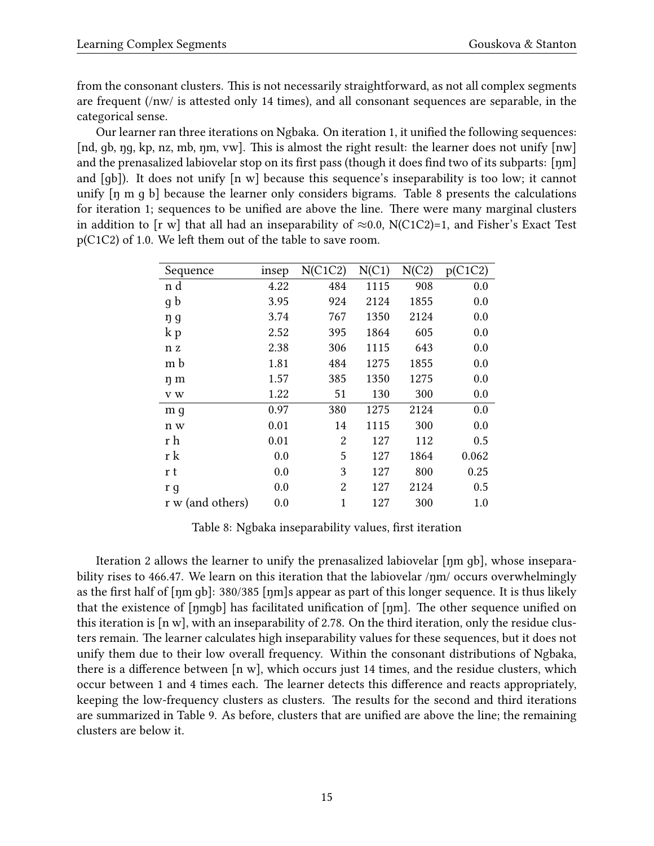from the consonant clusters. This is not necessarily straightforward, as not all complex segments are frequent (/nw/ is attested only 14 times), and all consonant sequences are separable, in the categorical sense.

Our learner ran three iterations on Ngbaka. On iteration 1, it unified the following sequences: [nd, gb, ng, kp, nz, mb, nm, vw]. This is almost the right result: the learner does not unify [nw] and the prenasalized labiovelar stop on its first pass (though it does find two of its subparts: [ŋm] and [ɡb]). It does not unify [n w] because this sequence's inseparability is too low; it cannot unify [ŋ m ɡ b] because the learner only considers bigrams. Table [8](#page-14-0) presents the calculations for iteration 1; sequences to be unified are above the line. There were many marginal clusters in addition to [r w] that all had an inseparability of *≈*0.0, N(C1C2)=1, and Fisher's Exact Test p(C1C2) of 1.0. We left them out of the table to save room.

| Sequence         | insep | N(C1C2)        | N(C1) | N(C2) | p(C1C2) |
|------------------|-------|----------------|-------|-------|---------|
| n d              | 4.22  | 484            | 1115  | 908   | 0.0     |
| g b              | 3.95  | 924            | 2124  | 1855  | 0.0     |
| ŋ g              | 3.74  | 767            | 1350  | 2124  | 0.0     |
| k p              | 2.52  | 395            | 1864  | 605   | 0.0     |
| n z              | 2.38  | 306            | 1115  | 643   | 0.0     |
| m b              | 1.81  | 484            | 1275  | 1855  | 0.0     |
| ŋ m              | 1.57  | 385            | 1350  | 1275  | 0.0     |
| v w              | 1.22  | 51             | 130   | 300   | 0.0     |
| m g              | 0.97  | 380            | 1275  | 2124  | 0.0     |
| n w              | 0.01  | 14             | 1115  | 300   | 0.0     |
| r h              | 0.01  | 2              | 127   | 112   | 0.5     |
| r k              | 0.0   | 5              | 127   | 1864  | 0.062   |
| r t              | 0.0   | 3              | 127   | 800   | 0.25    |
| r g              | 0.0   | $\overline{2}$ | 127   | 2124  | 0.5     |
| r w (and others) | 0.0   | 1              | 127   | 300   | 1.0     |

<span id="page-14-0"></span>Table 8: Ngbaka inseparability values, first iteration

Iteration 2 allows the learner to unify the prenasalized labiovelar [ŋm ɡb], whose inseparability rises to 466.47. We learn on this iteration that the labiovelar /ŋm/ occurs overwhelmingly as the first half of [ŋm ɡb]: 380/385 [ŋm]s appear as part of this longer sequence. It is thus likely that the existence of [ŋmɡb] has facilitated unification of [ŋm]. The other sequence unified on this iteration is [n w], with an inseparability of 2.78. On the third iteration, only the residue clusters remain. The learner calculates high inseparability values for these sequences, but it does not unify them due to their low overall frequency. Within the consonant distributions of Ngbaka, there is a difference between [n w], which occurs just 14 times, and the residue clusters, which occur between 1 and 4 times each. The learner detects this difference and reacts appropriately, keeping the low-frequency clusters as clusters. The results for the second and third iterations are summarized in Table [9.](#page-15-1) As before, clusters that are unified are above the line; the remaining clusters are below it.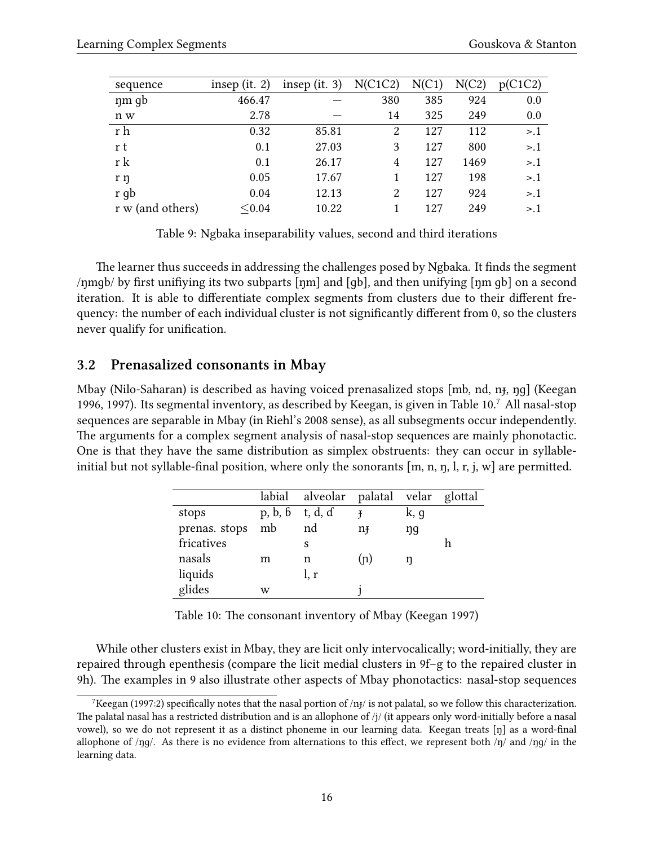| sequence         | insep (it. $2$ ) | insep (it. $3$ ) | N(C1C2) | N(C1) | N(C2) | p(C1C2) |
|------------------|------------------|------------------|---------|-------|-------|---------|
| nm gb            | 466.47           |                  | 380     | 385   | 924   | 0.0     |
| n w              | 2.78             |                  | 14      | 325   | 249   | 0.0     |
| r h              | 0.32             | 85.81            | 2       | 127   | 112   | > 0.1   |
| r t              | 0.1              | 27.03            | 3       | 127   | 800   | > 0.1   |
| r k              | 0.1              | 26.17            | 4       | 127   | 1469  | > 0.1   |
| r ŋ              | 0.05             | 17.67            |         | 127   | 198   | >1      |
| r gb             | 0.04             | 12.13            | 2       | 127   | 924   | > 0.1   |
| r w (and others) | < 0.04           | 10.22            |         | 127   | 249   | >1      |

<span id="page-15-1"></span>Table 9: Ngbaka inseparability values, second and third iterations

The learner thus succeeds in addressing the challenges posed by Ngbaka. It finds the segment /ŋmɡb/ by first unifiying its two subparts [ŋm] and [ɡb], and then unifying [ŋm ɡb] on a second iteration. It is able to differentiate complex segments from clusters due to their different frequency: the number of each individual cluster is not significantly different from 0, so the clusters never qualify for unification.

### <span id="page-15-0"></span>**3.2 Prenasalized consonants in Mbay**

Mbay (Nilo-Saharan) is described as having voiced prenasalized stops [mb, nd, nɟ, ŋɡ]([Keegan](#page-45-8) [1996](#page-45-8), [1997\)](#page-45-9). Its segmental inventory, as described by Keegan, is given in Table [10](#page-15-2).<sup>[7](#page-15-3)</sup> All nasal-stop sequences are separable in Mbay (in Riehl's [2008](#page-46-0) sense), as all subsegments occur independently. The arguments for a complex segment analysis of nasal-stop sequences are mainly phonotactic. One is that they have the same distribution as simplex obstruents: they can occur in syllableinitial but not syllable-final position, where only the sonorants  $[m, n, n, l, r, j, w]$  are permitted.

|               |         | labial alveolar palatal velar glottal |     |      |  |
|---------------|---------|---------------------------------------|-----|------|--|
| stops         | p, b, b | t, d, ɗ                               |     | k, g |  |
| prenas. stops | mb      | nd                                    | nŦ  | ŋg   |  |
| fricatives    |         | S                                     |     |      |  |
| nasals        | m       | n                                     | (n) |      |  |
| liquids       |         | l, r                                  |     |      |  |
| glides        | w       |                                       |     |      |  |

<span id="page-15-2"></span>Table 10: The consonant inventory of Mbay [\(Keegan](#page-45-9) [1997\)](#page-45-9)

While other clusters exist in Mbay, they are licit only intervocalically; word-initially, they are repaired through epenthesis (compare the licit medial clusters in [9f](#page-16-0)–g to the repaired cluster in [9h](#page-16-0)). The examples in [9](#page-16-0) also illustrate other aspects of Mbay phonotactics: nasal-stop sequences

<span id="page-15-3"></span><sup>&</sup>lt;sup>7</sup>[Keegan](#page-45-9) [\(1997:](#page-45-9)2) specifically notes that the nasal portion of /nɟ/ is not palatal, so we follow this characterization. The palatal nasal has a restricted distribution and is an allophone of /j/ (it appears only word-initially before a nasal vowel), so we do not represent it as a distinct phoneme in our learning data. Keegan treats [ŋ] as a word-final allophone of /ŋɡ/. As there is no evidence from alternations to this effect, we represent both /ŋ/ and /ŋɡ/ in the learning data.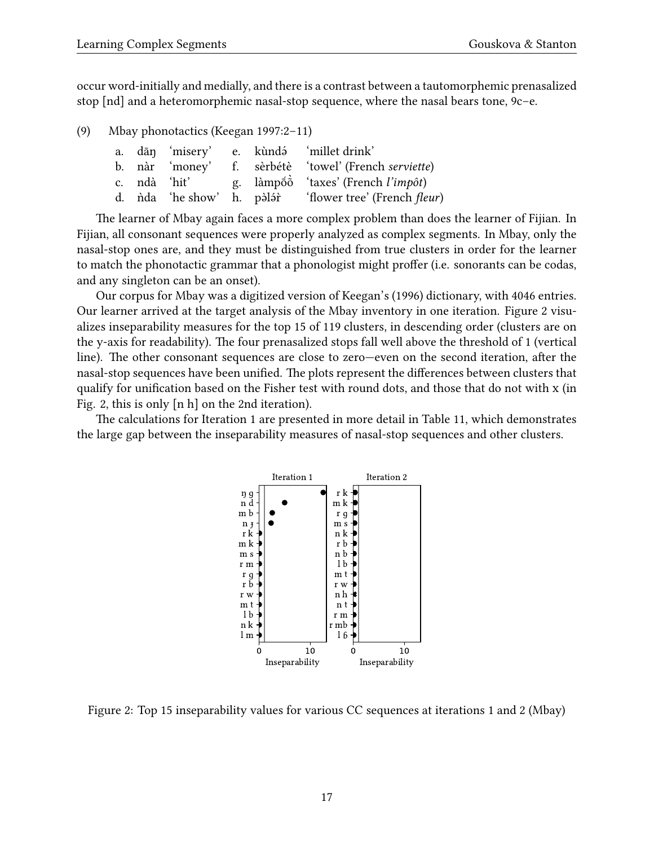occur word-initially and medially, and there is a contrast between a tautomorphemic prenasalized stop [nd] and a heteromorphemic nasal-stop sequence, where the nasal bears tone, [9c](#page-16-0)–e.

<span id="page-16-0"></span>(9) Mbay phonotactics [\(Keegan](#page-45-9) [1997:](#page-45-9)2–11)

|  |  | a. dān 'misery' e. kùndá 'millet drink'                              |
|--|--|----------------------------------------------------------------------|
|  |  | b. nàr 'money' f. sèrbétè 'towel' (French serviette)                 |
|  |  | c. ndà 'hit' g. làmpôn <sup>o'</sup> taxes' (French <i>l'impôt</i> ) |
|  |  |                                                                      |

The learner of Mbay again faces a more complex problem than does the learner of Fijian. In Fijian, all consonant sequences were properly analyzed as complex segments. In Mbay, only the nasal-stop ones are, and they must be distinguished from true clusters in order for the learner to match the phonotactic grammar that a phonologist might proffer (i.e. sonorants can be codas, and any singleton can be an onset).

Our corpus for Mbay was a digitized version of Keegan's([1996\)](#page-45-8) dictionary, with 4046 entries. Our learner arrived at the target analysis of the Mbay inventory in one iteration. Figure [2](#page-16-1) visualizes inseparability measures for the top 15 of 119 clusters, in descending order (clusters are on the y-axis for readability). The four prenasalized stops fall well above the threshold of 1 (vertical line). The other consonant sequences are close to zero—even on the second iteration, after the nasal-stop sequences have been unified. The plots represent the differences between clusters that qualify for unification based on the Fisher test with round dots, and those that do not with x (in Fig. [2](#page-16-1), this is only [n h] on the 2nd iteration).

The calculations for Iteration 1 are presented in more detail in Table [11,](#page-17-1) which demonstrates the large gap between the inseparability measures of nasal-stop sequences and other clusters.



<span id="page-16-1"></span>Figure 2: Top 15 inseparability values for various CC sequences at iterations 1 and 2 (Mbay)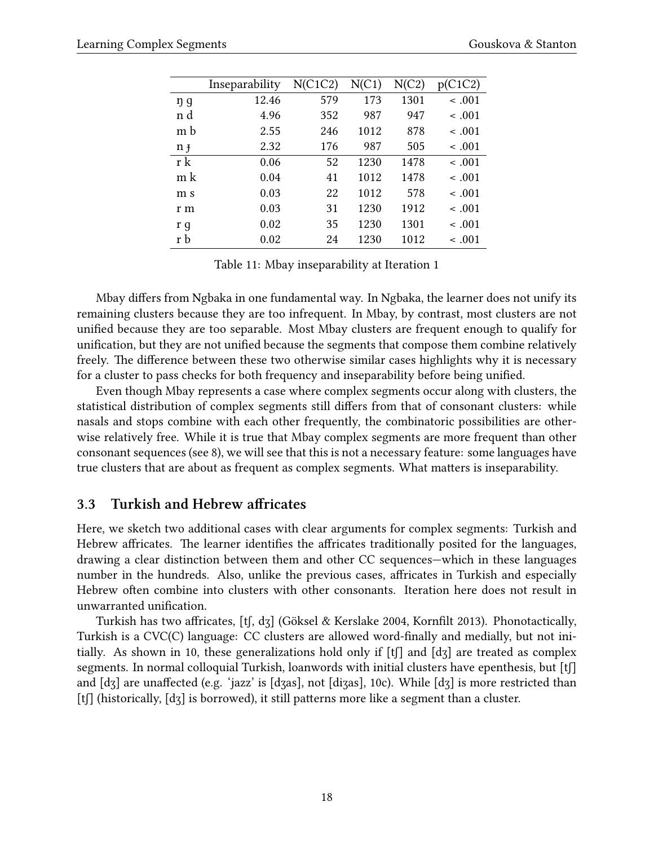| Inseparability | N(C1C2) | N(C1) | N(C2) | p(C1C2)     |
|----------------|---------|-------|-------|-------------|
| 12.46          | 579     | 173   | 1301  | $\leq .001$ |
| 4.96           | 352     | 987   | 947   | $\leq .001$ |
| 2.55           | 246     | 1012  | 878   | $-.001$     |
| 2.32           | 176     | 987   | 505   | $-.001$     |
| 0.06           | 52      | 1230  | 1478  | $-.001$     |
| 0.04           | 41      | 1012  | 1478  | $\leq .001$ |
| 0.03           | 22      | 1012  | 578   | $-.001$     |
| 0.03           | 31      | 1230  | 1912  | $-.001$     |
| 0.02           | 35      | 1230  | 1301  | $\leq .001$ |
| 0.02           | 24      | 1230  | 1012  | $\leq .001$ |
|                |         |       |       |             |

<span id="page-17-1"></span>Table 11: Mbay inseparability at Iteration 1

Mbay differs from Ngbaka in one fundamental way. In Ngbaka, the learner does not unify its remaining clusters because they are too infrequent. In Mbay, by contrast, most clusters are not unified because they are too separable. Most Mbay clusters are frequent enough to qualify for unification, but they are not unified because the segments that compose them combine relatively freely. The difference between these two otherwise similar cases highlights why it is necessary for a cluster to pass checks for both frequency and inseparability before being unified.

Even though Mbay represents a case where complex segments occur along with clusters, the statistical distribution of complex segments still differs from that of consonant clusters: while nasals and stops combine with each other frequently, the combinatoric possibilities are otherwise relatively free. While it is true that Mbay complex segments are more frequent than other consonant sequences (see [8](#page-14-0)), we will see that this is not a necessary feature: some languages have true clusters that are about as frequent as complex segments. What matters is inseparability.

### <span id="page-17-0"></span>**3.3 Turkish and Hebrew affricates**

Here, we sketch two additional cases with clear arguments for complex segments: Turkish and Hebrew affricates. The learner identifies the affricates traditionally posited for the languages, drawing a clear distinction between them and other CC sequences—which in these languages number in the hundreds. Also, unlike the previous cases, affricates in Turkish and especially Hebrew often combine into clusters with other consonants. Iteration here does not result in unwarranted unification.

Turkish has two affricates, [tʃ, dʒ] [\(Göksel & Kerslake](#page-43-9) [2004,](#page-43-9) [Kornfilt](#page-45-10) [2013](#page-45-10)). Phonotactically, Turkish is a CVC(C) language: CC clusters are allowed word-finally and medially, but not ini-tially. As shown in [10](#page-18-1), these generalizations hold only if  $[f]$  and  $[dz]$  are treated as complex segments. In normal colloquial Turkish, loanwords with initial clusters have epenthesis, but [tʃ] and [dʒ] are unaffected (e.g. 'jazz' is [dʒas], not [diʒas], [10](#page-18-1)c). While [dʒ] is more restricted than [tʃ] (historically, [dʒ] is borrowed), it still patterns more like a segment than a cluster.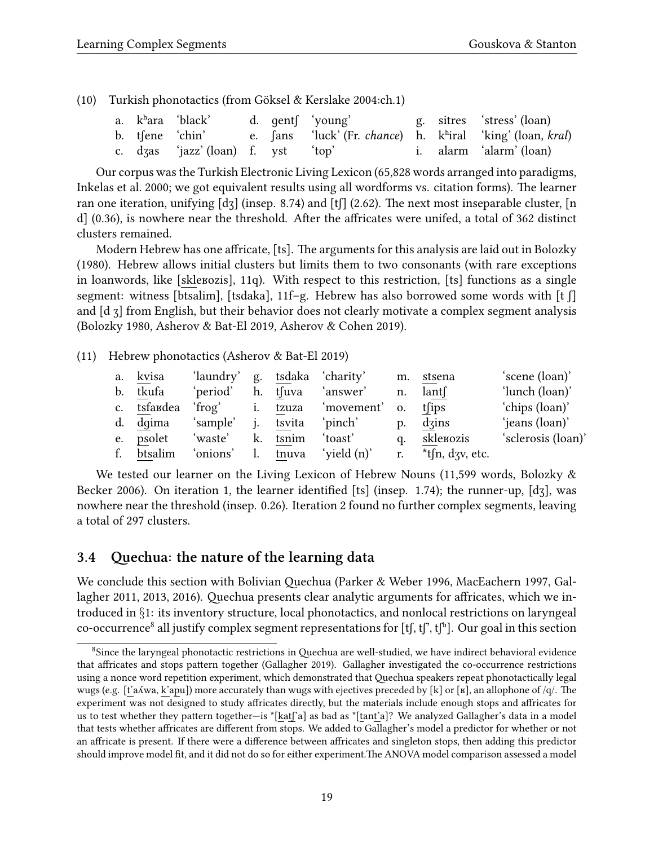<span id="page-18-1"></span>(10) Turkish phonotactics (from [Göksel & Kerslake](#page-43-9) [2004](#page-43-9):ch.1)

|  | a. k <sup>h</sup> ara 'black'      |  | d. gent (voung'                                                                |  | g. sitres 'stress' (loan) |
|--|------------------------------------|--|--------------------------------------------------------------------------------|--|---------------------------|
|  | b. tfene 'chin'                    |  | e. fans 'luck' (Fr. <i>chance</i> ) h. k <sup>h</sup> iral 'king' (loan, kral) |  |                           |
|  | c. dzas 'jazz' (loan) f. yst 'top' |  |                                                                                |  | i. alarm 'alarm' (loan)   |

Our corpus was the Turkish Electronic Living Lexicon (65,828 words arranged into paradigms, [Inkelas et al.](#page-44-6) [2000;](#page-44-6) we got equivalent results using all wordforms vs. citation forms). The learner ran one iteration, unifying  $\lceil d \, \rceil$  (insep. 8.74) and  $\lceil f \rceil$  (2.62). The next most inseparable cluster,  $\lceil n \rceil$ d] (0.36), is nowhere near the threshold. After the affricates were unifed, a total of 362 distinct clusters remained.

Modern Hebrew has one affricate, [ts]. The arguments for this analysis are laid out in [Bolozky](#page-42-6) ([1980\)](#page-42-6). Hebrew allows initial clusters but limits them to two consonants (with rare exceptions in loanwords, like [skleʁozis], [11](#page-18-2)q). With respect to this restriction, [ts] functions as a single segment: witness [btsalim], [tsdaka], [11](#page-18-2)f–g. Hebrew has also borrowed some words with [t ʃ] and [d ʒ] from English, but their behavior does not clearly motivate a complex segment analysis ([Bolozky](#page-42-6) [1980](#page-42-6), [Asherov & Bat-El](#page-41-3) [2019,](#page-41-3) [Asherov & Cohen](#page-41-4) [2019\)](#page-41-4).

<span id="page-18-2"></span>(11) Hebrew phonotactics [\(Asherov & Bat-El](#page-41-3) [2019\)](#page-41-3)

| a. kvisa   | 'laundry' g. tsdaka 'charity' |          |                                           |             | m. stsena                    | 'scene (loan)'     |
|------------|-------------------------------|----------|-------------------------------------------|-------------|------------------------------|--------------------|
| b. tkufa   | 'period'                      |          | h. tsuva 'answer'                         |             | n. $lant$                    | 'lunch (loan)'     |
|            |                               |          | c. tsfandea 'frog' i. tzuza 'movement' o. |             | $t$ fips                     | 'chips (loan)'     |
| d. dqima   | 'sample' j. tsvita 'pinch'    |          |                                           | $p_{\cdot}$ | dzins                        | 'jeans (loan)'     |
| e. psolet  | 'waste'                       | k. tsnim | 'toast'                                   | q.          | skle¤ozis                    | 'sclerosis (loan)' |
| f. btsalim |                               |          | 'onions' l. tnuva 'yield (n)'             |             | r. $*$ t $\int$ n, dzv, etc. |                    |

We tested our learner on the Living Lexicon of Hebrew Nouns (11,599 words, [Bolozky &](#page-42-7) [Becker](#page-42-7) [2006\)](#page-42-7). On iteration 1, the learner identified [ts] (insep. 1.74); the runner-up, [dʒ], was nowhere near the threshold (insep. 0.26). Iteration 2 found no further complex segments, leaving a total of 297 clusters.

### <span id="page-18-0"></span>**3.4 Quechua: the nature of the learning data**

We conclude this section with Bolivian Quechua [\(Parker & Weber](#page-46-7) [1996](#page-46-7), [MacEachern](#page-45-11) [1997](#page-45-11), [Gal](#page-43-10)[lagher](#page-43-10) [2011](#page-43-10), [2013](#page-43-11), [2016\)](#page-43-0). Quechua presents clear analytic arguments for affricates, which we introduced in *§*[1](#page-0-0): its inventory structure, local phonotactics, and nonlocal restrictions on laryngeal co-occurrence $^8$  $^8$  all justify complex segment representations for [tʃ, tʃ", tʃ"]. Our goal in this section

<span id="page-18-3"></span><sup>&</sup>lt;sup>8</sup>Since the laryngeal phonotactic restrictions in Quechua are well-studied, we have indirect behavioral evidence that affricates and stops pattern together [\(Gallagher](#page-43-1) [2019\)](#page-43-1). Gallagher investigated the co-occurrence restrictions using a nonce word repetition experiment, which demonstrated that Quechua speakers repeat phonotactically legal wugs (e.g. [t'aʎwa, k'apu]) more accurately than wugs with ejectives preceded by [k] or [ʁ], an allophone of /q/. The experiment was not designed to study affricates directly, but the materials include enough stops and affricates for us to test whether they pattern together—is \*[katʃ'a] as bad as \*[tant'a]? We analyzed Gallagher's data in a model that tests whether affricates are different from stops. We added to Gallagher's model a predictor for whether or not an affricate is present. If there were a difference between affricates and singleton stops, then adding this predictor should improve model fit, and it did not do so for either experiment.The ANOVA model comparison assessed a model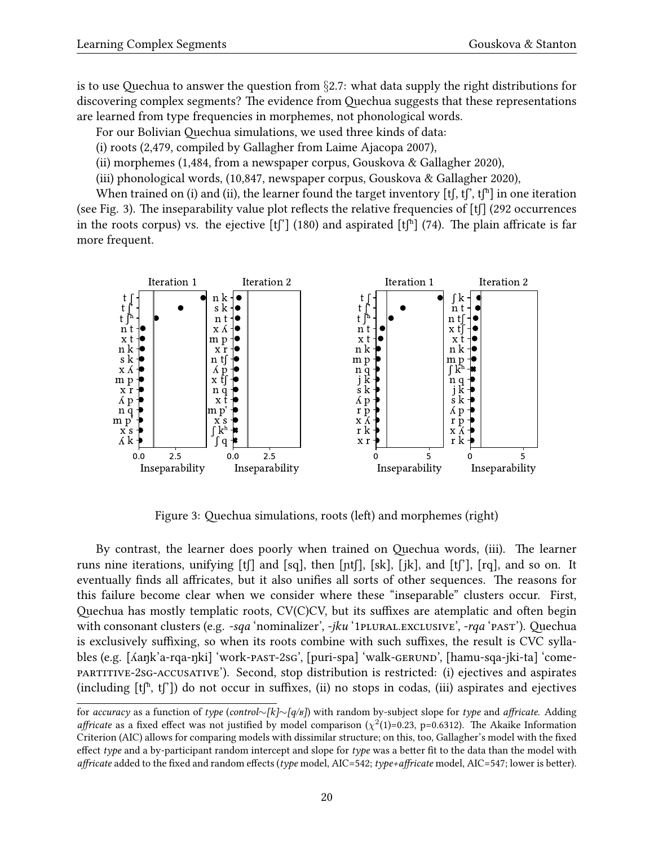is to use Quechua to answer the question from *§*[2.7:](#page-11-0) what data supply the right distributions for discovering complex segments? The evidence from Quechua suggests that these representations are learned from type frequencies in morphemes, not phonological words.

- For our Bolivian Quechua simulations, we used three kinds of data:
- (i) roots (2,479, compiled by Gallagher from [Laime Ajacopa](#page-45-12) [2007\)](#page-45-12),
- (ii) morphemes (1,484, from a newspaper corpus, [Gouskova & Gallagher](#page-43-2) [2020](#page-43-2)),
- (iii) phonological words, (10,847, newspaper corpus, [Gouskova & Gallagher](#page-43-2) [2020\)](#page-43-2),

When trained on (i) and (ii), the learner found the target inventory [tf, tf], tfh] in one iteration (see Fig. [3\)](#page-19-0). The inseparability value plot reflects the relative frequencies of [tʃ] (292 occurrences in the roots corpus) vs. the ejective  $[t]$  (180) and aspirated  $[t]$  (74). The plain affricate is far more frequent.



<span id="page-19-0"></span>Figure 3: Quechua simulations, roots (left) and morphemes (right)

By contrast, the learner does poorly when trained on Quechua words, (iii). The learner runs nine iterations, unifying  $[f]$  and  $[sq]$ , then  $[nt]$ ,  $[sk]$ ,  $[ik]$ , and  $[t]$ ,  $[rq]$ , and so on. It eventually finds all affricates, but it also unifies all sorts of other sequences. The reasons for this failure become clear when we consider where these "inseparable" clusters occur. First, Quechua has mostly templatic roots, CV(C)CV, but its suffixes are atemplatic and often begin with consonant clusters (e.g. *-sqa* 'nominalizer', *-jku* '1PLURAL.EXCLUSIVE', *-rqa* 'PAST'). Quechua is exclusively suffixing, so when its roots combine with such suffixes, the result is CVC syllables (e.g. [ʎaŋk'a-rqa-ŋki] 'work-past-2sg', [puri-spa] 'walk-gerund', [hamu-sqa-jki-ta] 'comepartitive-2sg-accusative'). Second, stop distribution is restricted: (i) ejectives and aspirates (including  $[t^{h}, t^{r}]$ ) do not occur in suffixes, (ii) no stops in codas, (iii) aspirates and ejectives

for *accuracy* as a function of *type* (*control∼[k]∼[q/ʁ]*) with random by-subject slope for *type* and *affricate*. Adding *affricate* as a fixed effect was not justified by model comparison ( $\chi^2(1)$ =0.23, p=0.6312). The Akaike Information Criterion (AIC) allows for comparing models with dissimilar structure; on this, too, Gallagher's model with the fixed effect *type* and a by-participant random intercept and slope for *type* was a better fit to the data than the model with *affricate* added to the fixed and random effects (*type* model, AIC=542; *type+affricate* model, AIC=547; lower is better).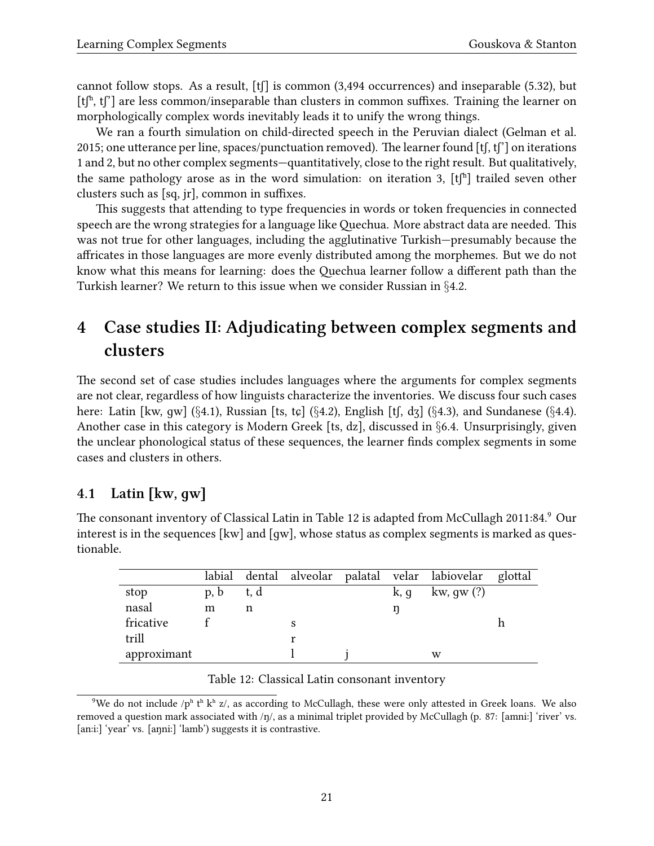cannot follow stops. As a result,  $[f]$  is common (3,494 occurrences) and inseparable (5.32), but  $[t]$ <sup>n</sup>, t $[]$ <sup>n</sup> are less common/inseparable than clusters in common suffixes. Training the learner on morphologically complex words inevitably leads it to unify the wrong things.

We ran a fourth simulation on child-directed speech in the Peruvian dialect([Gelman et al.](#page-43-12) [2015](#page-43-12); one utterance per line, spaces/punctuation removed). The learner found  $[t, t']$  on iterations 1 and 2, but no other complex segments—quantitatively, close to the right result. But qualitatively, the same pathology arose as in the word simulation: on iteration 3,  $[t]^h$  trailed seven other clusters such as [sq, jr], common in suffixes.

This suggests that attending to type frequencies in words or token frequencies in connected speech are the wrong strategies for a language like Quechua. More abstract data are needed. This was not true for other languages, including the agglutinative Turkish—presumably because the affricates in those languages are more evenly distributed among the morphemes. But we do not know what this means for learning: does the Quechua learner follow a different path than the Turkish learner? We return to this issue when we consider Russian in *§*[4.2.](#page-22-0)

# <span id="page-20-0"></span>**4 Case studies II: Adjudicating between complex segments and clusters**

The second set of case studies includes languages where the arguments for complex segments are not clear, regardless of how linguists characterize the inventories. We discuss four such cases here: Latin [kw, ɡw] (*§*[4.1\)](#page-20-1), Russian [ts, tɕ] (*§*[4.2\)](#page-22-0), English [tʃ, dʒ] (*§*[4.3](#page-25-0)), and Sundanese (*§*[4.4\)](#page-27-0). Another case in this category is Modern Greek [ts, dz], discussed in *§*[6.4](#page-37-0). Unsurprisingly, given the unclear phonological status of these sequences, the learner finds complex segments in some cases and clusters in others.

## <span id="page-20-1"></span>**4.1 Latin [kw, ɡw]**

The consonant inventory of Classical Latin in Table [12](#page-20-2) is adapted from [McCullagh](#page-45-13) [2011](#page-45-13):84.[9](#page-20-3) Our interest is in the sequences [kw] and [ɡw], whose status as complex segments is marked as questionable.

|             |      |      |  |      | labial dental alveolar palatal velar labiovelar glottal |  |
|-------------|------|------|--|------|---------------------------------------------------------|--|
| stop        | p, b | t, d |  | k, q | kw, gw $(?)$                                            |  |
| nasal       | m    | n    |  |      |                                                         |  |
| fricative   |      |      |  |      |                                                         |  |
| trill       |      |      |  |      |                                                         |  |
| approximant |      |      |  |      | w                                                       |  |

#### <span id="page-20-2"></span>Table 12: Classical Latin consonant inventory

<span id="page-20-3"></span><sup>&</sup>lt;sup>9</sup>We do not include /ph the kh z/, as according to McCullagh, these were only attested in Greek loans. We also removed a question mark associated with /ŋ/, as a minimal triplet provided by McCullagh (p. 87: [amniː] 'river' vs. [anːiː] 'year' vs. [aŋniː] 'lamb') suggests it is contrastive.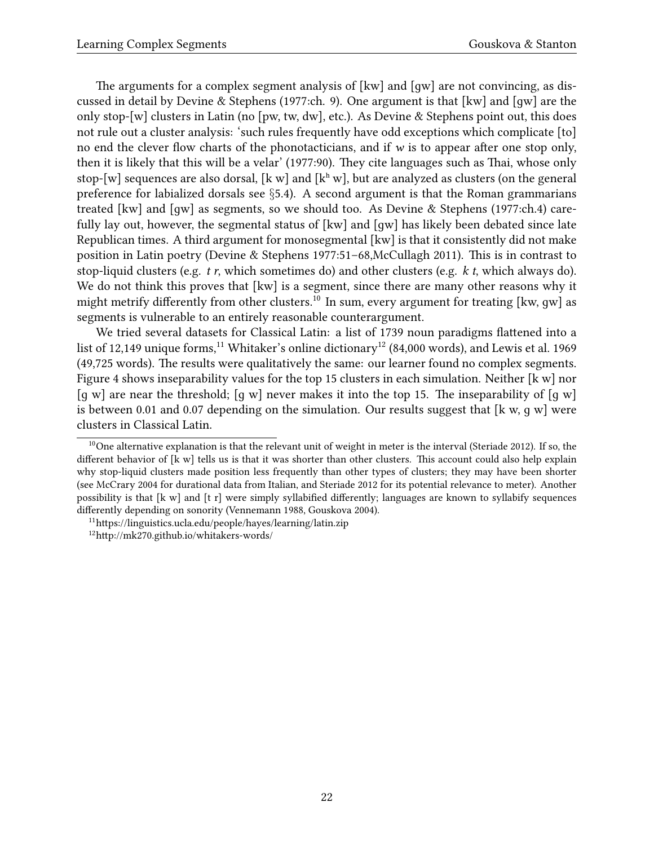The arguments for a complex segment analysis of [kw] and [ɡw] are not convincing, as discussed in detail by [Devine & Stephens](#page-42-8) [\(1977:](#page-42-8)ch. 9). One argument is that [kw] and [ɡw] are the only stop-[w] clusters in Latin (no [pw, tw, dw], etc.). As [Devine & Stephens](#page-42-8) point out, this does not rule out a cluster analysis: 'such rules frequently have odd exceptions which complicate [to] no end the clever flow charts of the phonotacticians, and if *w* is to appear after one stop only, then it is likely that this will be a velar' [\(1977:](#page-42-8)90). They cite languages such as Thai, whose only stop-[w] sequences are also dorsal, [k w] and [k<sup>h</sup> w], but are analyzed as clusters (on the general preference for labialized dorsals see *§*[5.4](#page-31-0)). A second argument is that the Roman grammarians treated [kw] and [ɡw] as segments, so we should too. As [Devine & Stephens](#page-42-8) ([1977:](#page-42-8)ch.4) carefully lay out, however, the segmental status of [kw] and [ɡw] has likely been debated since late Republican times. A third argument for monosegmental [kw] is that it consistently did not make position in Latin poetry([Devine & Stephens](#page-42-8) [1977:](#page-42-8)51–68[,McCullagh](#page-45-13) [2011](#page-45-13)). This is in contrast to stop-liquid clusters (e.g. *t r*, which sometimes do) and other clusters (e.g. *k t*, which always do). We do not think this proves that [kw] is a segment, since there are many other reasons why it might metrify differently from other clusters.<sup>[10](#page-21-0)</sup> In sum, every argument for treating [kw, qw] as segments is vulnerable to an entirely reasonable counterargument.

We tried several datasets for Classical Latin: a list of 1739 noun paradigms flattened into a list of 12,149 unique forms,<sup>[11](#page-21-1)</sup> Whitaker's online dictionary<sup>[12](#page-21-2)</sup> (84,000 words), and [Lewis et al.](#page-45-14) [1969](#page-45-14) (49,725 words). The results were qualitatively the same: our learner found no complex segments. Figure [4](#page-22-1) shows inseparability values for the top 15 clusters in each simulation. Neither [k w] nor [q w] are near the threshold; [q w] never makes it into the top 15. The inseparability of  $\lceil q \text{ w} \rceil$ is between 0.01 and 0.07 depending on the simulation. Our results suggest that [k w, q w] were clusters in Classical Latin.

<span id="page-21-0"></span> $10$ Onealternative explanation is that the relevant unit of weight in meter is the interval ([Steriade](#page-47-6) [2012\)](#page-47-6). If so, the different behavior of [k w] tells us is that it was shorter than other clusters. This account could also help explain why stop-liquid clusters made position less frequently than other types of clusters; they may have been shorter (see [McCrary](#page-45-15) [2004](#page-45-15) for durational data from Italian, and [Steriade](#page-47-6) [2012](#page-47-6) for its potential relevance to meter). Another possibility is that [k w] and [t r] were simply syllabified differently; languages are known to syllabify sequences differently depending on sonority [\(Vennemann](#page-48-1) [1988](#page-48-1), [Gouskova](#page-43-13) [2004](#page-43-13)).

<span id="page-21-1"></span><sup>11</sup><https://linguistics.ucla.edu/people/hayes/learning/latin.zip>

<span id="page-21-2"></span><sup>12</sup><http://mk270.github.io/whitakers-words/>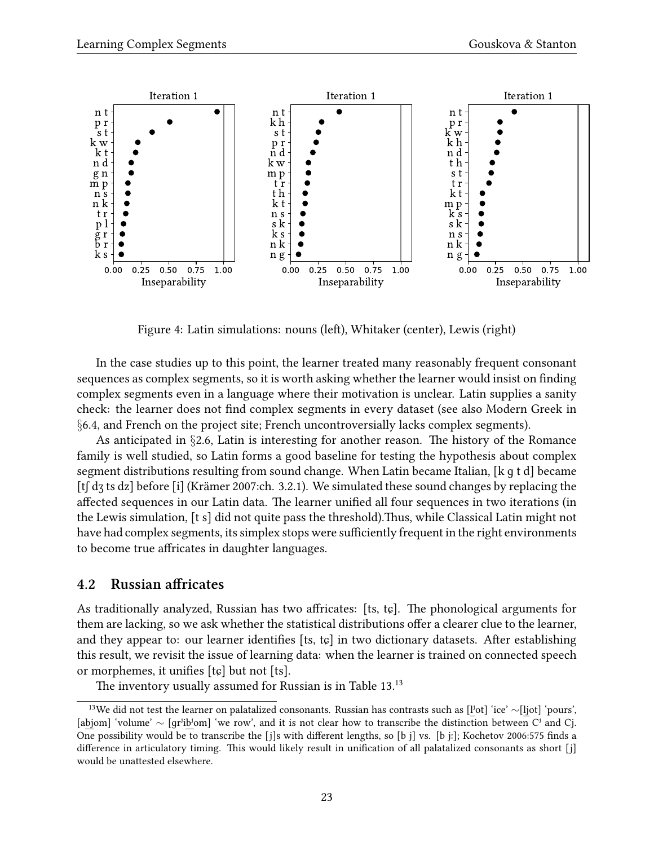

<span id="page-22-1"></span>Figure 4: Latin simulations: nouns (left), Whitaker (center), Lewis (right)

In the case studies up to this point, the learner treated many reasonably frequent consonant sequences as complex segments, so it is worth asking whether the learner would insist on finding complex segments even in a language where their motivation is unclear. Latin supplies a sanity check: the learner does not find complex segments in every dataset (see also Modern Greek in *§*[6.4](#page-37-0), and French on the project site; French uncontroversially lacks complex segments).

As anticipated in *§*[2.6](#page-10-0), Latin is interesting for another reason. The history of the Romance family is well studied, so Latin forms a good baseline for testing the hypothesis about complex segment distributions resulting from sound change. When Latin became Italian, [k ɡ t d] became [tʃ dʒ ts dz] before [i]([Krämer](#page-45-16) [2007](#page-45-16):ch. 3.2.1). We simulated these sound changes by replacing the affected sequences in our Latin data. The learner unified all four sequences in two iterations (in the Lewis simulation, [t s] did not quite pass the threshold).Thus, while Classical Latin might not have had complex segments, its simplex stops were sufficiently frequent in the right environments to become true affricates in daughter languages.

### <span id="page-22-0"></span>**4.2 Russian affricates**

As traditionally analyzed, Russian has two affricates: [ts, tɕ]. The phonological arguments for them are lacking, so we ask whether the statistical distributions offer a clearer clue to the learner, and they appear to: our learner identifies [ts, tɕ] in two dictionary datasets. After establishing this result, we revisit the issue of learning data: when the learner is trained on connected speech or morphemes, it unifies [tɕ] but not [ts].

The inventory usually assumed for Russian is in Table [13](#page-22-2).<sup>13</sup>

<span id="page-22-2"></span><sup>13</sup>We did not test the learner on palatalized consonants. Russian has contrasts such as [lʲot] 'ice' *∼*[ljot] 'pours', [abjom] 'volume' *∼* [ɡrʲibʲom] 'we row', and it is not clear how to transcribe the distinction between Cʲ and Cj. One possibility would be to transcribe the [j]s with different lengths, so [b j] vs. [b j:]; [Kochetov](#page-45-17) 2006:575 finds a difference in articulatory timing. This would likely result in unification of all palatalized consonants as short [j] would be unattested elsewhere.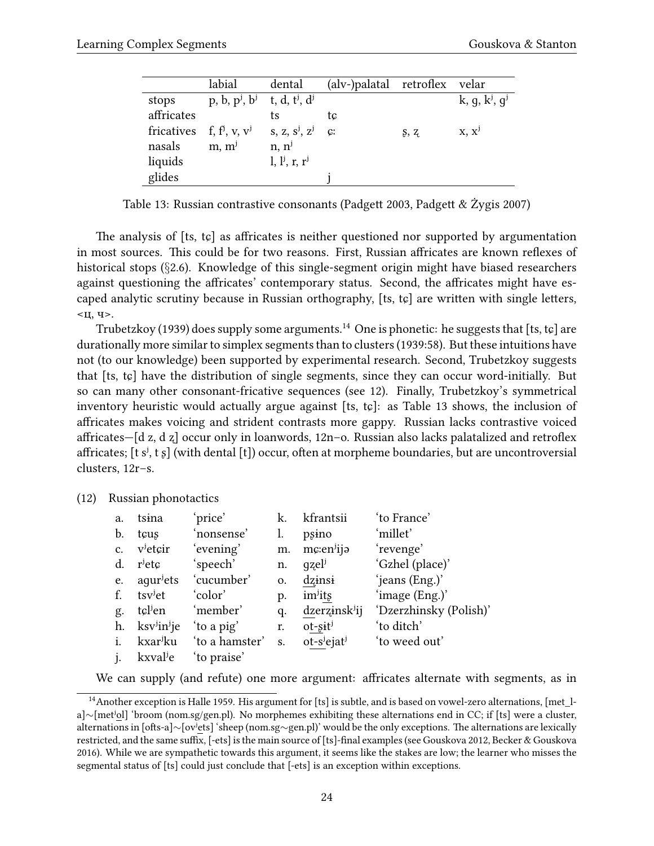|                                | labial                                                                      | dental            | (alv-)palatal retroflex velar |      |                                |
|--------------------------------|-----------------------------------------------------------------------------|-------------------|-------------------------------|------|--------------------------------|
| stops                          | p, b, p <sup>j</sup> , b <sup>j</sup> t, d, t <sup>j</sup> , d <sup>j</sup> |                   |                               |      | k, g, $k^{j}$ , g <sup>j</sup> |
| affricates                     |                                                                             | ts                | tc                            |      |                                |
| fricatives f, $f^j$ , v, $v^j$ |                                                                             | $S, Z, S^j, Z^j$  | $C^r$                         | S, Z | $X, X^j$                       |
| nasals                         | m, m <sup>j</sup>                                                           | n, n <sup>j</sup> |                               |      |                                |
| liquids                        |                                                                             | $l, l^j, r, r^j$  |                               |      |                                |
| glides                         |                                                                             |                   |                               |      |                                |

<span id="page-23-0"></span>Table 13: Russian contrastive consonants [\(Padgett](#page-46-8) [2003](#page-46-8), [Padgett & Żygis](#page-46-9) [2007](#page-46-9))

The analysis of [ts, tɕ] as affricates is neither questioned nor supported by argumentation in most sources. This could be for two reasons. First, Russian affricates are known reflexes of historical stops (*§*[2.6](#page-10-0)). Knowledge of this single-segment origin might have biased researchers against questioning the affricates' contemporary status. Second, the affricates might have escaped analytic scrutiny because in Russian orthography, [ts, tɕ] are written with single letters, <ц, ч>.

[Trubetzkoy](#page-47-0) ([1939\)](#page-47-0) does supply some arguments.<sup>[14](#page-23-1)</sup> One is phonetic: he suggests that [ts, tc] are durationally more similar to simplex segments than to clusters([1939](#page-47-0):58). But these intuitions have not (to our knowledge) been supported by experimental research. Second, Trubetzkoy suggests that [ts, tɕ] have the distribution of single segments, since they can occur word-initially. But so can many other consonant-fricative sequences (see [12](#page-23-2)). Finally, Trubetzkoy's symmetrical inventory heuristic would actually argue against [ts, tc]: as Table [13](#page-23-0) shows, the inclusion of affricates makes voicing and strident contrasts more gappy. Russian lacks contrastive voiced affricates—[d z, d ʐ] occur only in loanwords, [12n](#page-23-2)–o. Russian also lacks palatalized and retroflex affricates;  $[t s<sup>j</sup>, t s]$  (with dental  $[t]$ ) occur, often at morpheme boundaries, but are uncontroversial clusters, [12](#page-23-2)r–s.

<span id="page-23-2"></span>(12) Russian phonotactics

| a.             | tsina                                                   | 'price'        | k. | kfrantsii                  | 'to France'            |
|----------------|---------------------------------------------------------|----------------|----|----------------------------|------------------------|
| b.             | tçus                                                    | 'nonsense'     | l. | psino                      | 'millet'               |
| $\mathbf{c}$ . | v <sup>j</sup> etçir                                    | 'evening'      | m. | $mc:enj$ ija               | 'revenge'              |
| d.             | $\mathbf{r}^{\mathbf{j}}$ et $\boldsymbol{\mathcal{G}}$ | 'speech'       | n. | $q$ zel <sup>j</sup>       | 'Gzhel (place)'        |
| e.             | aqur <sup>j</sup> ets                                   | 'cucumber'     | 0. | dzinsi                     | 'jeans (Eng.)'         |
| f.             | tsv <sup>j</sup> et                                     | 'color'        | p. | im <sup>j</sup> its        | 'image (Eng.)'         |
| g.             | tclien                                                  | 'member'       | q. | dzerzinsk <sup>j</sup> ij  | 'Dzerzhinsky (Polish)' |
| h.             | ksv <sup>j</sup> in <sup>j</sup> je                     | 'to a pig'     | r. | $ot$ -sit <sup>j</sup>     | 'to ditch'             |
| i.             | kxar <sup>j</sup> ku                                    | 'to a hamster' | S. | $ot-s^j$ ejat <sup>j</sup> | 'to weed out'          |
|                | kxval <sup>j</sup> e                                    | to praise'     |    |                            |                        |

<span id="page-23-1"></span>We can supply (and refute) one more argument: affricates alternate with segments, as in

<sup>&</sup>lt;sup>14</sup>Another exception is [Halle](#page-43-14) [1959.](#page-43-14) His argument for [ts] is subtle, and is based on vowel-zero alternations, [met 1a]*∼*[metʲol] 'broom (nom.sg/gen.pl). No morphemes exhibiting these alternations end in CC; if [ts] were a cluster, alternations in [ofts-a]*∼*[ovʲets] 'sheep (nom.sg*∼*gen.pl)' would be the only exceptions. The alternations are lexically restricted, and the same suffix, [-ets] is the main source of [ts]-final examples (see [Gouskova](#page-43-15) [2012](#page-43-15), [Becker & Gouskova](#page-42-9) [2016\)](#page-42-9). While we are sympathetic towards this argument, it seems like the stakes are low; the learner who misses the segmental status of [ts] could just conclude that [-ets] is an exception within exceptions.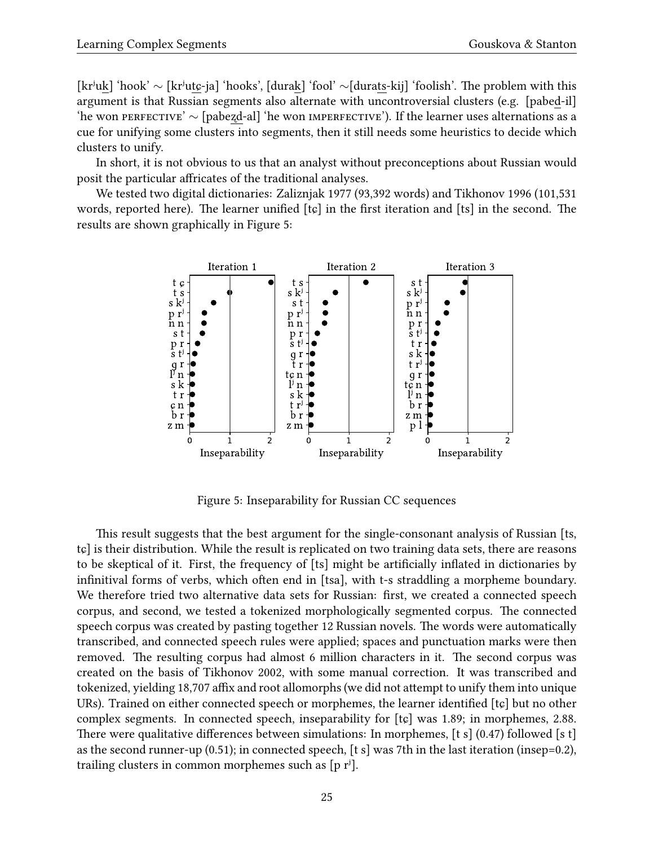[krʲuk] 'hook' *∼* [krʲutɕ-ja] 'hooks', [durak] 'fool' *∼*[durats-kij] 'foolish'. The problem with this argument is that Russian segments also alternate with uncontroversial clusters (e.g. [pabed-il] 'he won perfective' *∼* [pabeʐd-al] 'he won imperfective'). If the learner uses alternations as a cue for unifying some clusters into segments, then it still needs some heuristics to decide which clusters to unify.

In short, it is not obvious to us that an analyst without preconceptions about Russian would posit the particular affricates of the traditional analyses.

We tested two digital dictionaries: [Zaliznjak](#page-48-2) [1977](#page-48-2) (93,392 words) and [Tikhonov](#page-47-7) [1996](#page-47-7) (101,531 words, reported here). The learner unified [tɕ] in the first iteration and [ts] in the second. The results are shown graphically in Figure [5:](#page-24-0)



<span id="page-24-0"></span>Figure 5: Inseparability for Russian CC sequences

This result suggests that the best argument for the single-consonant analysis of Russian [ts, tɕ] is their distribution. While the result is replicated on two training data sets, there are reasons to be skeptical of it. First, the frequency of [ts] might be artificially inflated in dictionaries by infinitival forms of verbs, which often end in [tsa], with t-s straddling a morpheme boundary. We therefore tried two alternative data sets for Russian: first, we created a connected speech corpus, and second, we tested a tokenized morphologically segmented corpus. The connected speech corpus was created by pasting together 12 Russian novels. The words were automatically transcribed, and connected speech rules were applied; spaces and punctuation marks were then removed. The resulting corpus had almost 6 million characters in it. The second corpus was created on the basis of [Tikhonov](#page-47-8) [2002,](#page-47-8) with some manual correction. It was transcribed and tokenized, yielding 18,707 affix and root allomorphs (we did not attempt to unify them into unique URs). Trained on either connected speech or morphemes, the learner identified [tɕ] but no other complex segments. In connected speech, inseparability for [tɕ] was 1.89; in morphemes, 2.88. There were qualitative differences between simulations: In morphemes, [t s] (0.47) followed [s t] as the second runner-up (0.51); in connected speech, [t s] was 7th in the last iteration (insep=0.2), trailing clusters in common morphemes such as  $[p r^j]$ .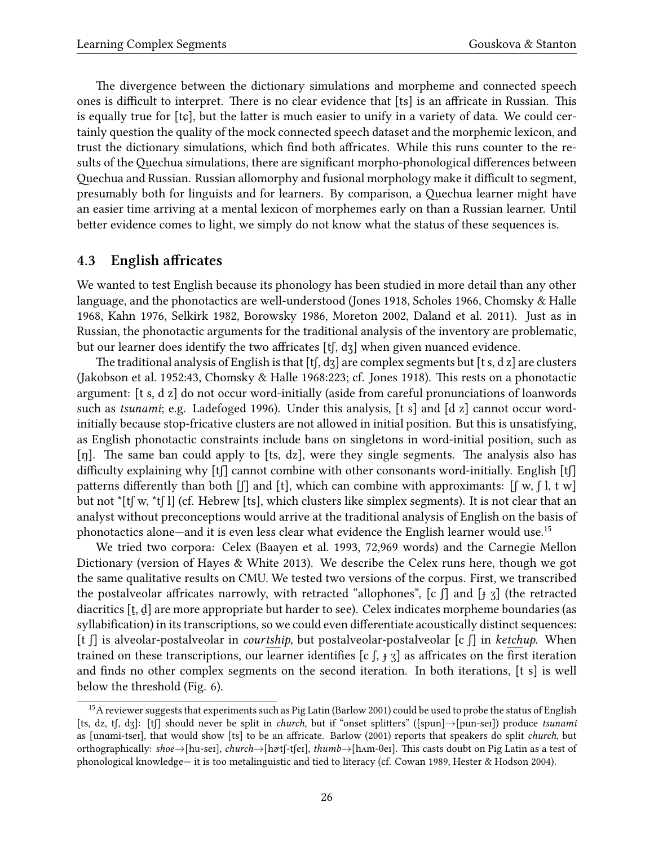The divergence between the dictionary simulations and morpheme and connected speech ones is difficult to interpret. There is no clear evidence that [ts] is an affricate in Russian. This is equally true for  $[tg]$ , but the latter is much easier to unify in a variety of data. We could certainly question the quality of the mock connected speech dataset and the morphemic lexicon, and trust the dictionary simulations, which find both affricates. While this runs counter to the results of the Quechua simulations, there are significant morpho-phonological differences between Quechua and Russian. Russian allomorphy and fusional morphology make it difficult to segment, presumably both for linguists and for learners. By comparison, a Quechua learner might have an easier time arriving at a mental lexicon of morphemes early on than a Russian learner. Until better evidence comes to light, we simply do not know what the status of these sequences is.

### <span id="page-25-0"></span>**4.3 English affricates**

We wanted to test English because its phonology has been studied in more detail than any other language, and the phonotactics are well-understood([Jones](#page-44-7) [1918](#page-44-7), [Scholes](#page-47-9) [1966](#page-47-9), [Chomsky & Halle](#page-42-4) [1968](#page-42-4), [Kahn](#page-44-8) [1976,](#page-44-8) [Selkirk](#page-47-10) [1982,](#page-47-10) [Borowsky](#page-42-10) [1986,](#page-42-10) [Moreton](#page-46-10) [2002](#page-46-10), [Daland et al.](#page-42-11) [2011](#page-42-11)). Just as in Russian, the phonotactic arguments for the traditional analysis of the inventory are problematic, but our learner does identify the two affricates [tʃ, dʒ] when given nuanced evidence.

The traditional analysis of English is that [tf, dʒ] are complex segments but [t s, d z] are clusters ([Jakobson et al.](#page-44-9) [1952](#page-44-9):43, [Chomsky & Halle](#page-42-4) [1968:](#page-42-4)223; cf. [Jones](#page-44-7) [1918\)](#page-44-7). This rests on a phonotactic argument: [t s, d z] do not occur word-initially (aside from careful pronunciations of loanwords such as *tsunami*; e.g. [Ladefoged](#page-45-18) [1996\)](#page-45-18). Under this analysis, [t s] and [d z] cannot occur wordinitially because stop-fricative clusters are not allowed in initial position. But this is unsatisfying, as English phonotactic constraints include bans on singletons in word-initial position, such as [n]. The same ban could apply to [ts, dz], were they single segments. The analysis also has difficulty explaining why [tʃ] cannot combine with other consonants word-initially. English [tʃ] patterns differently than both  $\lceil \cdot \rceil$  and  $\lceil \cdot \rceil$ , which can combine with approximants:  $\lceil \cdot \rceil$  w,  $\lceil \cdot \rceil$ , t w but not \*[tʃ w, \*tʃ l] (cf. Hebrew [ts], which clusters like simplex segments). It is not clear that an analyst without preconceptions would arrive at the traditional analysis of English on the basis of phonotactics alone—and it is even less clear what evidence the English learner would use.[15](#page-25-1)

We tried two corpora: Celex [\(Baayen et al.](#page-41-5) [1993,](#page-41-5) 72,969 words) and the Carnegie Mellon Dictionary (version of [Hayes & White](#page-44-3) [2013](#page-44-3)). We describe the Celex runs here, though we got the same qualitative results on CMU. We tested two versions of the corpus. First, we transcribed the postalveolar affricates narrowly, with retracted "allophones",  $[c \text{ } f]$  and  $[f \text{ } g]$  (the retracted diacritics [t, d] are more appropriate but harder to see). Celex indicates morpheme boundaries (as syllabification) in its transcriptions, so we could even differentiate acoustically distinct sequences: [t ʃ] is alveolar-postalveolar in *courtship,* but postalveolar-postalveolar [c ʃ] in *ketchup*. When trained on these transcriptions, our learner identifies  $[c]$ ,  $\frac{1}{3}$  as affricates on the first iteration and finds no other complex segments on the second iteration. In both iterations, [t s] is well below the threshold (Fig. [6\)](#page-26-0).

<span id="page-25-1"></span><sup>&</sup>lt;sup>15</sup>Areviewer suggests that experiments such as Pig Latin ([Barlow](#page-41-6) [2001](#page-41-6)) could be used to probe the status of English [ts, dz, tʃ, dʒ]: [tʃ] should never be split in *church,* but if "onset splitters" ([spun]*→*[pun-seɪ]) produce *tsunami* as [unɑmi-tseɪ], that would show [ts] to be an affricate. [Barlow](#page-41-6) ([2001](#page-41-6)) reports that speakers do split *church*, but orthographically: *shoe→*[hu-seɪ], *church→*[hɚtʃ-tʃeɪ], *thumb→*[hʌm-θeɪ]. This casts doubt on Pig Latin as a test of phonological knowledge— it is too metalinguistic and tied to literacy (cf. [Cowan](#page-42-12) [1989,](#page-42-12) [Hester & Hodson](#page-44-10) [2004\)](#page-44-10).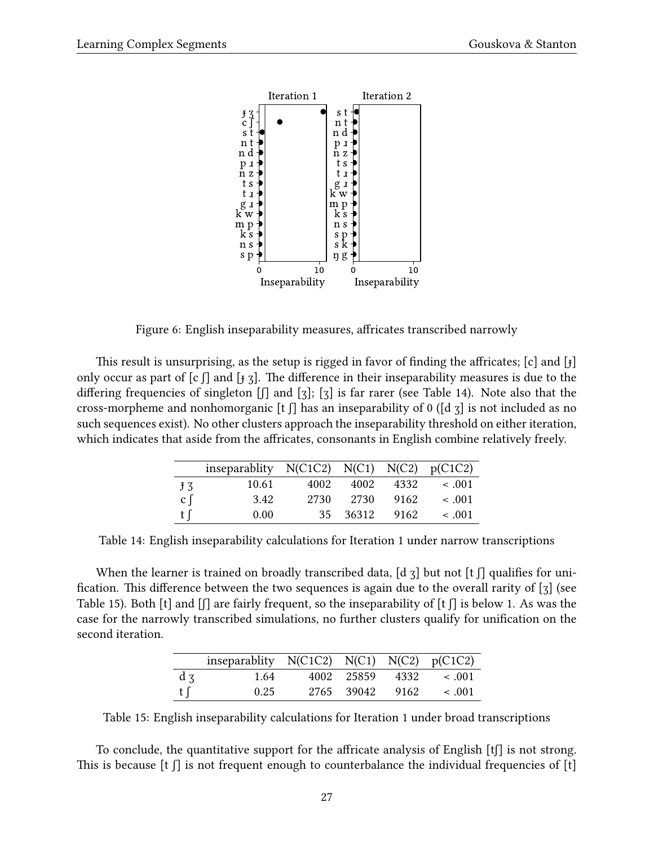

<span id="page-26-0"></span>Figure 6: English inseparability measures, affricates transcribed narrowly

This result is unsurprising, as the setup is rigged in favor of finding the affricates; [c] and [ɟ] only occur as part of  $[c]$  and  $[j]$ . The difference in their inseparability measures is due to the differing frequencies of singleton [ʃ] and [ʒ]; [ʒ] is far rarer (see Table [14\)](#page-26-1). Note also that the cross-morpheme and nonhomorganic [t  $\iint$ ] has an inseparability of 0 ([d  $\tau$ ] is not included as no such sequences exist). No other clusters approach the inseparability threshold on either iteration, which indicates that aside from the affricates, consonants in English combine relatively freely.

|                             | inseparablity $N(C1C2) N(C1) N(C2) p(C1C2)$ |      |       |      |             |
|-----------------------------|---------------------------------------------|------|-------|------|-------------|
| $+3$                        | 10.61                                       | 4002 | 4002  | 4332 | $\leq .001$ |
| $\mathfrak{c} \mathfrak{f}$ | 3.42                                        | 2730 | 2730  | 9162 | < .001      |
| t∫                          | 0.00                                        | 35   | 36312 | 9162 | ~<~001      |

<span id="page-26-1"></span>Table 14: English inseparability calculations for Iteration 1 under narrow transcriptions

When the learner is trained on broadly transcribed data, [d  $\tau$ ] but not [t  $\tau$ ] qualifies for unification. This difference between the two sequences is again due to the overall rarity of [ʒ] (see Table [15\)](#page-26-2). Both [t] and  $\iiint$  are fairly frequent, so the inseparability of [t  $\iiint$  is below 1. As was the case for the narrowly transcribed simulations, no further clusters qualify for unification on the second iteration.

|          | inseparablity $N(C1C2) N(C1) N(C2) p(C1C2)$ |                 |      |             |
|----------|---------------------------------------------|-----------------|------|-------------|
| $d \, z$ | 1.64                                        | 4002 25859 4332 |      | $\leq .001$ |
| t $\int$ | 0.25                                        | 2765 39042      | 9162 | $\leq .001$ |

<span id="page-26-2"></span>Table 15: English inseparability calculations for Iteration 1 under broad transcriptions

To conclude, the quantitative support for the affricate analysis of English [tʃ] is not strong. This is because [t  $\int$ ] is not frequent enough to counterbalance the individual frequencies of [t]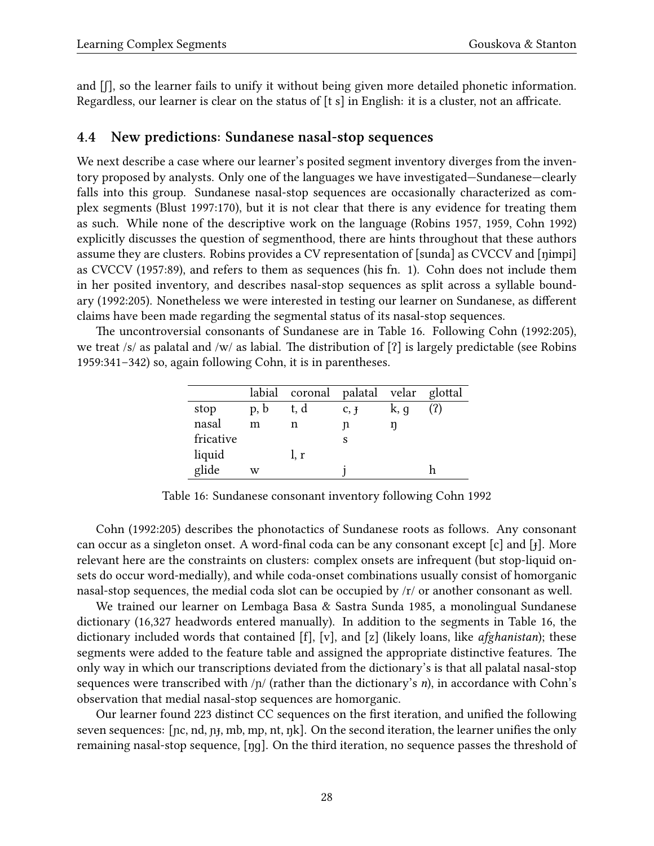and  $[ $\int$ ], so the learner fails to unify it without being given more detailed phonetic information.$ Regardless, our learner is clear on the status of [t s] in English: it is a cluster, not an affricate.

### <span id="page-27-0"></span>**4.4 New predictions: Sundanese nasal-stop sequences**

We next describe a case where our learner's posited segment inventory diverges from the inventory proposed by analysts. Only one of the languages we have investigated—Sundanese—clearly falls into this group. Sundanese nasal-stop sequences are occasionally characterized as complex segments([Blust](#page-42-13) [1997:](#page-42-13)170), but it is not clear that there is any evidence for treating them as such. While none of the descriptive work on the language [\(Robins](#page-46-11) [1957,](#page-46-11) [1959,](#page-46-12) [Cohn](#page-42-14) [1992](#page-42-14)) explicitly discusses the question of segmenthood, there are hints throughout that these authors assume they are clusters. Robins provides a CV representation of [sunda] as CVCCV and [ŋimpi] as CVCCV([1957:](#page-46-11)89), and refers to them as sequences (his fn. 1). Cohn does not include them in her posited inventory, and describes nasal-stop sequences as split across a syllable boundary([1992](#page-42-14):205). Nonetheless we were interested in testing our learner on Sundanese, as different claims have been made regarding the segmental status of its nasal-stop sequences.

The uncontroversial consonants of Sundanese are in Table [16.](#page-27-1) Following [Cohn](#page-42-14) [\(1992](#page-42-14):205), we treat /s/ as palatal and /w/ as labial. The distribution of [ʔ] is largely predictable (see [Robins](#page-46-12) [1959](#page-46-12):341–342) so, again following Cohn, it is in parentheses.

|           |      | labial coronal palatal velar glottal |              |      |  |
|-----------|------|--------------------------------------|--------------|------|--|
| stop      | p, b | t, d                                 | $C, \bar{T}$ | k, g |  |
| nasal     | m    | n                                    | n            | ŋ    |  |
| fricative |      |                                      | S            |      |  |
| liquid    |      | l, r                                 |              |      |  |
| glide     | w    |                                      |              |      |  |

<span id="page-27-1"></span>Table 16: Sundanese consonant inventory following [Cohn](#page-42-14) [1992](#page-42-14)

[Cohn](#page-42-14) [\(1992](#page-42-14):205) describes the phonotactics of Sundanese roots as follows. Any consonant can occur as a singleton onset. A word-final coda can be any consonant except [c] and [ɟ]. More relevant here are the constraints on clusters: complex onsets are infrequent (but stop-liquid onsets do occur word-medially), and while coda-onset combinations usually consist of homorganic nasal-stop sequences, the medial coda slot can be occupied by /r/ or another consonant as well.

We trained our learner on [Lembaga Basa & Sastra Sunda](#page-45-19) [1985,](#page-45-19) a monolingual Sundanese dictionary (16,327 headwords entered manually). In addition to the segments in Table [16,](#page-27-1) the dictionary included words that contained [f], [v], and [z] (likely loans, like *afghanistan*); these segments were added to the feature table and assigned the appropriate distinctive features. The only way in which our transcriptions deviated from the dictionary's is that all palatal nasal-stop sequences were transcribed with /ɲ/ (rather than the dictionary's *n*), in accordance with Cohn's observation that medial nasal-stop sequences are homorganic.

Our learner found 223 distinct CC sequences on the first iteration, and unified the following seven sequences: [pc, nd, pt, mb, mp, nt, pk]. On the second iteration, the learner unifies the only remaining nasal-stop sequence, [ŋɡ]. On the third iteration, no sequence passes the threshold of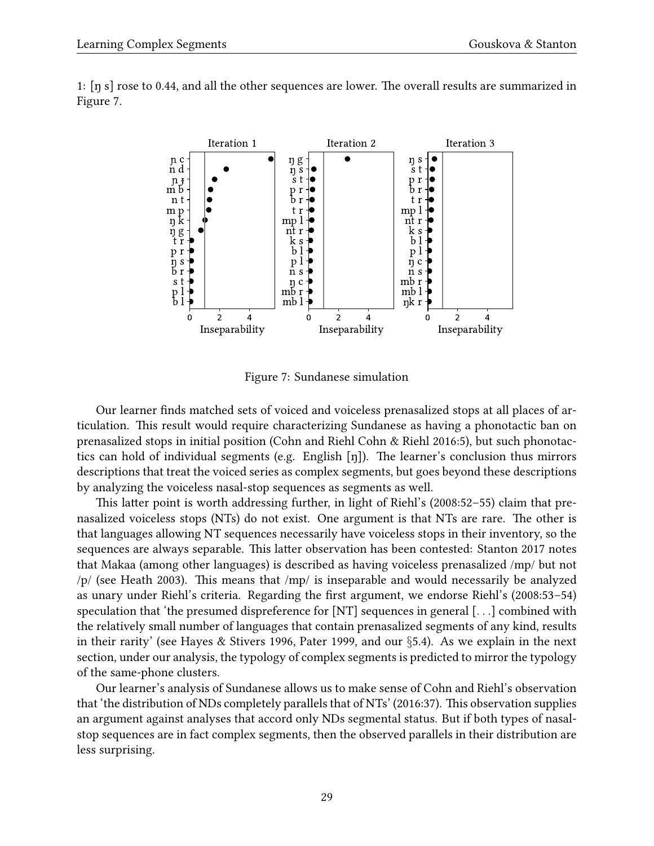

1: [ŋ s] rose to 0.44, and all the other sequences are lower. The overall results are summarized in Figure [7.](#page-28-0)

<span id="page-28-0"></span>Figure 7: Sundanese simulation

Our learner finds matched sets of voiced and voiceless prenasalized stops at all places of articulation. This result would require characterizing Sundanese as having a phonotactic ban on prenasalized stops in initial position (Cohn and Riehl [Cohn & Riehl](#page-42-15) [2016:](#page-42-15)5), but such phonotactics can hold of individual segments (e.g. English [ŋ]). The learner's conclusion thus mirrors descriptions that treat the voiced series as complex segments, but goes beyond these descriptions by analyzing the voiceless nasal-stop sequences as segments as well.

This latter point is worth addressing further, in light of Riehl's [\(2008](#page-46-0):52–55) claim that prenasalized voiceless stops (NTs) do not exist. One argument is that NTs are rare. The other is that languages allowing NT sequences necessarily have voiceless stops in their inventory, so the sequences are always separable. This latter observation has been contested: [Stanton](#page-47-11) [2017](#page-47-11) notes that Makaa (among other languages) is described as having voiceless prenasalized /mp/ but not /p/ (see [Heath](#page-44-11) [2003](#page-44-11)). This means that /mp/ is inseparable and would necessarily be analyzed as unary under Riehl's criteria. Regarding the first argument, we endorse Riehl's([2008:](#page-46-0)53–54) speculation that 'the presumed dispreference for [NT] sequences in general [*. . .*] combined with the relatively small number of languages that contain prenasalized segments of any kind, results in their rarity' (see [Hayes & Stivers](#page-44-12) [1996](#page-44-12), [Pater](#page-46-13) [1999](#page-46-13), and our *§*[5.4\)](#page-31-0). As we explain in the next section, under our analysis, the typology of complex segments is predicted to mirror the typology of the same-phone clusters.

Our learner's analysis of Sundanese allows us to make sense of Cohn and Riehl's observation that 'the distribution of NDs completely parallels that of NTs'([2016:](#page-42-15)37). This observation supplies an argument against analyses that accord only NDs segmental status. But if both types of nasalstop sequences are in fact complex segments, then the observed parallels in their distribution are less surprising.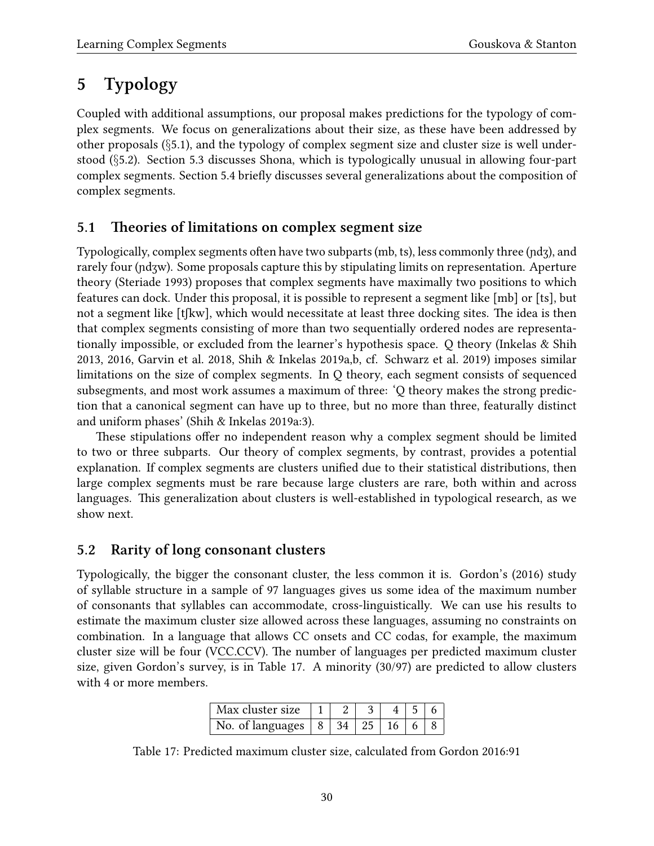# <span id="page-29-0"></span>**5 Typology**

Coupled with additional assumptions, our proposal makes predictions for the typology of complex segments. We focus on generalizations about their size, as these have been addressed by other proposals (*§*[5.1\)](#page-29-1), and the typology of complex segment size and cluster size is well understood (*§*[5.2](#page-29-2)). Section [5.3](#page-30-0) discusses Shona, which is typologically unusual in allowing four-part complex segments. Section [5.4](#page-31-0) briefly discusses several generalizations about the composition of complex segments.

### <span id="page-29-1"></span>**5.1 Theories of limitations on complex segment size**

Typologically, complex segments often have two subparts (mb, ts), less commonly three (ɲdʒ), and rarely four (ndʒw). Some proposals capture this by stipulating limits on representation. Aperture theory [\(Steriade](#page-47-1) [1993](#page-47-1)) proposes that complex segments have maximally two positions to which features can dock. Under this proposal, it is possible to represent a segment like [mb] or [ts], but not a segment like [tʃkw], which would necessitate at least three docking sites. The idea is then that complex segments consisting of more than two sequentially ordered nodes are representationally impossible, or excluded from the learner's hypothesis space. Q theory([Inkelas & Shih](#page-44-13) [2013](#page-44-13), [2016,](#page-44-14) [Garvin et al.](#page-43-16) [2018](#page-43-16), [Shih & Inkelas](#page-47-2) [2019a,](#page-47-2)[b](#page-47-12), cf. [Schwarz et al.](#page-47-13) [2019\)](#page-47-13) imposes similar limitations on the size of complex segments. In Q theory, each segment consists of sequenced subsegments, and most work assumes a maximum of three: 'Q theory makes the strong prediction that a canonical segment can have up to three, but no more than three, featurally distinct and uniform phases' [\(Shih & Inkelas](#page-47-2) [2019a:](#page-47-2)3).

These stipulations offer no independent reason why a complex segment should be limited to two or three subparts. Our theory of complex segments, by contrast, provides a potential explanation. If complex segments are clusters unified due to their statistical distributions, then large complex segments must be rare because large clusters are rare, both within and across languages. This generalization about clusters is well-established in typological research, as we show next.

## <span id="page-29-2"></span>**5.2 Rarity of long consonant clusters**

Typologically, the bigger the consonant cluster, the less common it is. Gordon's [\(2016](#page-43-17)) study of syllable structure in a sample of 97 languages gives us some idea of the maximum number of consonants that syllables can accommodate, cross-linguistically. We can use his results to estimate the maximum cluster size allowed across these languages, assuming no constraints on combination. In a language that allows CC onsets and CC codas, for example, the maximum cluster size will be four (VCC.CCV). The number of languages per predicted maximum cluster size, given Gordon's survey, is in Table [17](#page-29-3). A minority (30/97) are predicted to allow clusters with 4 or more members.

<span id="page-29-3"></span>

| Max cluster size                   |  |  |  |
|------------------------------------|--|--|--|
| No. of languages $ 8 34 25 16 6 8$ |  |  |  |

Table 17: Predicted maximum cluster size, calculated from [Gordon](#page-43-17) [2016:](#page-43-17)91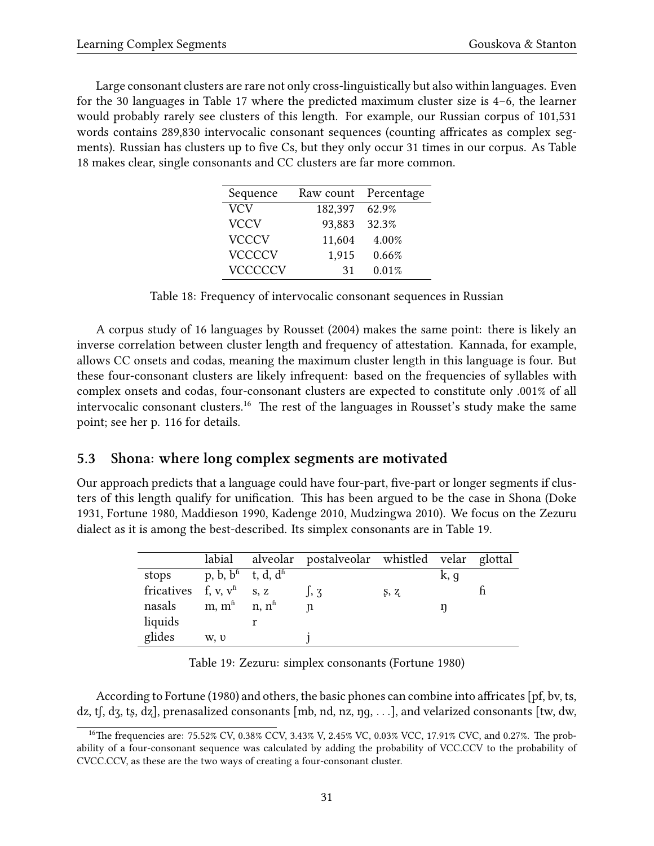Large consonant clusters are rare not only cross-linguistically but also within languages. Even for the 30 languages in Table [17](#page-29-3) where the predicted maximum cluster size is 4–6, the learner would probably rarely see clusters of this length. For example, our Russian corpus of 101,531 words contains 289,830 intervocalic consonant sequences (counting affricates as complex segments). Russian has clusters up to five Cs, but they only occur 31 times in our corpus. As Table [18](#page-30-1) makes clear, single consonants and CC clusters are far more common.

| Sequence       |         | Raw count Percentage |
|----------------|---------|----------------------|
| <b>VCV</b>     | 182,397 | 62.9%                |
| <b>VCCV</b>    | 93,883  | 32.3%                |
| <b>VCCCV</b>   | 11,604  | 4.00%                |
| <b>VCCCCV</b>  | 1,915   | 0.66%                |
| <b>VCCCCCV</b> | 31      | 0.01%                |

<span id="page-30-1"></span>Table 18: Frequency of intervocalic consonant sequences in Russian

A corpus study of 16 languages by [Rousset](#page-46-14) ([2004\)](#page-46-14) makes the same point: there is likely an inverse correlation between cluster length and frequency of attestation. Kannada, for example, allows CC onsets and codas, meaning the maximum cluster length in this language is four. But these four-consonant clusters are likely infrequent: based on the frequencies of syllables with complex onsets and codas, four-consonant clusters are expected to constitute only .001% of all intervocalic consonant clusters.<sup>[16](#page-30-2)</sup> The rest of the languages in Rousset's study make the same point; see her p. 116 for details.

### <span id="page-30-0"></span>**5.3 Shona: where long complex segments are motivated**

Our approach predicts that a language could have four-part, five-part or longer segments if clusters of this length qualify for unification. This has been argued to be the case in Shona [\(Doke](#page-43-18) [1931](#page-43-18), [Fortune](#page-43-19) [1980,](#page-43-19) [Maddieson](#page-45-4) [1990,](#page-45-4) [Kadenge](#page-44-15) [2010](#page-44-15), [Mudzingwa](#page-46-15) [2010](#page-46-15)). We focus on the Zezuru dialect as it is among the best-described. Its simplex consonants are in Table [19](#page-30-3).

|                             | labial                                      | alveolar postalveolar whistled velar glottal |      |      |  |
|-----------------------------|---------------------------------------------|----------------------------------------------|------|------|--|
| stops                       | p, b, $b^{\text{fi}}$ t, d, d <sup>fi</sup> |                                              |      | k, q |  |
| fricatives f, v, $v^h$ s, z |                                             | $\mathsf{I}$ , $\mathsf{Z}$                  | S, Z |      |  |
| nasals                      | m, $m^{\hat{n}}$ n, $n^{\hat{n}}$           | n                                            |      |      |  |
| liquids                     |                                             |                                              |      |      |  |
| glides                      | w, v                                        |                                              |      |      |  |

<span id="page-30-3"></span>Table 19: Zezuru: simplex consonants [\(Fortune](#page-43-19) [1980\)](#page-43-19)

According to [Fortune](#page-43-19) [\(1980](#page-43-19)) and others, the basic phones can combine into affricates [pf, bv, ts, dz, tʃ, dʒ, tʂ, dʐ], prenasalized consonants [mb, nd, nz, ŋɡ, *. . .*], and velarized consonants [tw, dw,

<span id="page-30-2"></span><sup>&</sup>lt;sup>16</sup>The frequencies are: 75.52% CV, 0.38% CCV, 3.43% V, 2.45% VC, 0.03% VCC, 17.91% CVC, and 0.27%. The probability of a four-consonant sequence was calculated by adding the probability of VCC.CCV to the probability of CVCC.CCV, as these are the two ways of creating a four-consonant cluster.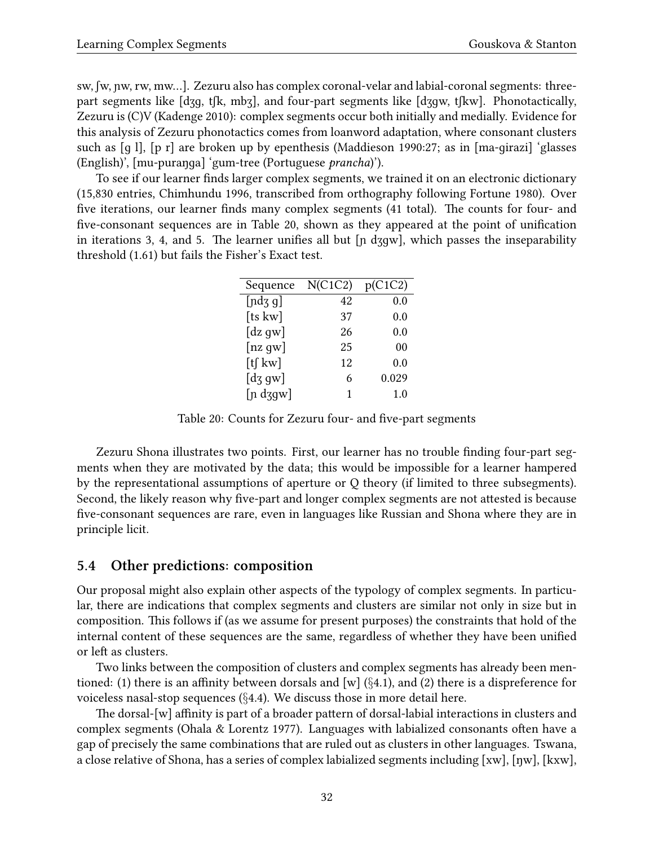sw, ʃw, ɲw, rw, mw…]. Zezuru also has complex coronal-velar and labial-coronal segments: threepart segments like [dʒɡ, tʃk, mbʒ], and four-part segments like [dʒɡw, tʃkw]. Phonotactically, Zezuru is (C)V [\(Kadenge](#page-44-15) [2010\)](#page-44-15): complex segments occur both initially and medially. Evidence for this analysis of Zezuru phonotactics comes from loanword adaptation, where consonant clusters such as [ɡ l], [p r] are broken up by epenthesis([Maddieson](#page-45-4) [1990](#page-45-4):27; as in [ma-ɡirazi] 'glasses (English)', [mu-puraŋɡa] 'gum-tree (Portuguese *prancha*)').

To see if our learner finds larger complex segments, we trained it on an electronic dictionary (15,830 entries, [Chimhundu](#page-42-16) [1996](#page-42-16), transcribed from orthography following [Fortune](#page-43-19) [1980](#page-43-19)). Over five iterations, our learner finds many complex segments (41 total). The counts for four- and five-consonant sequences are in Table [20](#page-31-1), shown as they appeared at the point of unification in iterations 3, 4, and 5. The learner unifies all but [ɲ dʒɡw], which passes the inseparability threshold (1.61) but fails the Fisher's Exact test.

| Sequence                                 | N(C1C2) | p(C1C2)        |
|------------------------------------------|---------|----------------|
| [ndz g]                                  | 42      | 0.0            |
| [ts kw]                                  | 37      | 0.0            |
| $\left[ dz\, g w \right]$                | 26      | 0.0            |
| [nz gw]                                  | 25      | 0 <sub>0</sub> |
| [tfkw]                                   | 12      | 0.0            |
| $\left[ \mathrm{d}\mathrm{z}\right.$ gw] | 6       | 0.029          |
| $[n\,d\,\,\rm{gw}]$                      | 1       | 1.0            |

<span id="page-31-1"></span>Table 20: Counts for Zezuru four- and five-part segments

Zezuru Shona illustrates two points. First, our learner has no trouble finding four-part segments when they are motivated by the data; this would be impossible for a learner hampered by the representational assumptions of aperture or Q theory (if limited to three subsegments). Second, the likely reason why five-part and longer complex segments are not attested is because five-consonant sequences are rare, even in languages like Russian and Shona where they are in principle licit.

### <span id="page-31-0"></span>**5.4 Other predictions: composition**

Our proposal might also explain other aspects of the typology of complex segments. In particular, there are indications that complex segments and clusters are similar not only in size but in composition. This follows if (as we assume for present purposes) the constraints that hold of the internal content of these sequences are the same, regardless of whether they have been unified or left as clusters.

Two links between the composition of clusters and complex segments has already been mentioned: (1) there is an affinity between dorsals and [w] (*§*[4.1](#page-20-1)), and (2) there is a dispreference for voiceless nasal-stop sequences (*§*[4.4](#page-27-0)). We discuss those in more detail here.

The dorsal-[w] affinity is part of a broader pattern of dorsal-labial interactions in clusters and complex segments([Ohala & Lorentz](#page-46-16) [1977](#page-46-16)). Languages with labialized consonants often have a gap of precisely the same combinations that are ruled out as clusters in other languages. Tswana, a close relative of Shona, has a series of complex labialized segments including [xw], [ŋw], [kxw],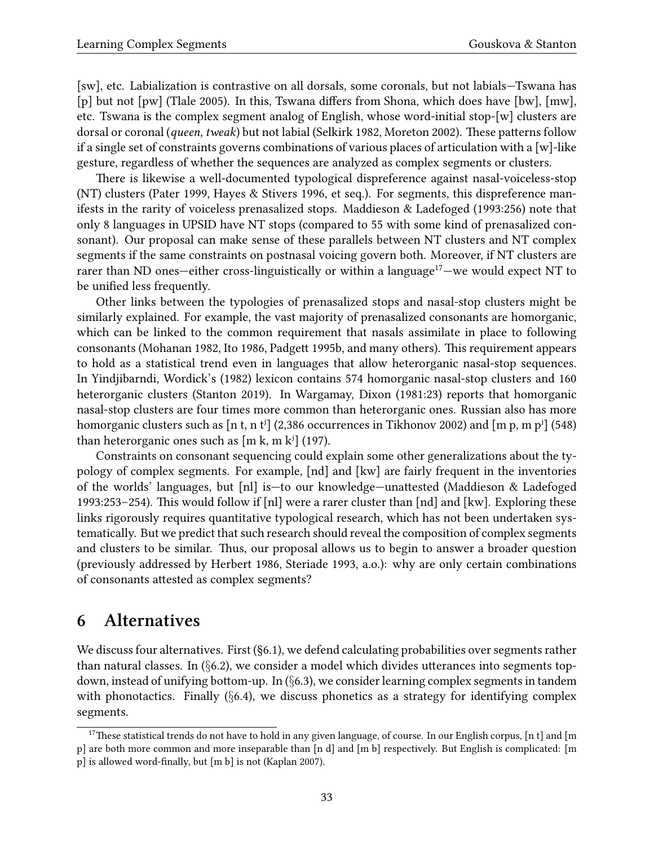[sw], etc. Labialization is contrastive on all dorsals, some coronals, but not labials—Tswana has [p] but not [pw] [\(Tlale](#page-47-14) [2005](#page-47-14)). In this, Tswana differs from Shona, which does have [bw], [mw], etc. Tswana is the complex segment analog of English, whose word-initial stop-[w] clusters are dorsal or coronal (*queen, tweak*) but not labial [\(Selkirk](#page-47-10) [1982](#page-47-10), [Moreton](#page-46-10) [2002\)](#page-46-10). These patterns follow if a single set of constraints governs combinations of various places of articulation with a [w]-like gesture, regardless of whether the sequences are analyzed as complex segments or clusters.

There is likewise a well-documented typological dispreference against nasal-voiceless-stop (NT) clusters([Pater](#page-46-13) [1999,](#page-46-13) [Hayes & Stivers](#page-44-12) [1996](#page-44-12), et seq.). For segments, this dispreference manifests in the rarity of voiceless prenasalized stops. [Maddieson & Ladefoged](#page-45-20) ([1993](#page-45-20):256) note that only 8 languages in UPSID have NT stops (compared to 55 with some kind of prenasalized consonant). Our proposal can make sense of these parallels between NT clusters and NT complex segments if the same constraints on postnasal voicing govern both. Moreover, if NT clusters are rarer than ND ones—either cross-linguistically or within a language $17$ —we would expect NT to be unified less frequently.

Other links between the typologies of prenasalized stops and nasal-stop clusters might be similarly explained. For example, the vast majority of prenasalized consonants are homorganic, which can be linked to the common requirement that nasals assimilate in place to following consonants [\(Mohanan](#page-46-17) [1982](#page-46-17), [Ito](#page-44-16) [1986,](#page-44-16) [Padgett](#page-46-18) [1995b](#page-46-18), and many others). This requirement appears to hold as a statistical trend even in languages that allow heterorganic nasal-stop sequences. In Yindjibarndi, Wordick's([1982](#page-48-3)) lexicon contains 574 homorganic nasal-stop clusters and 160 heterorganic clusters([Stanton](#page-47-15) [2019](#page-47-15)). In Wargamay, [Dixon](#page-42-17) [\(1981](#page-42-17):23) reports that homorganic nasal-stop clusters are four times more common than heterorganic ones. Russian also has more homorganic clusters such as [n t, n t<sup>j</sup>] (2,386 occurrences in [Tikhonov](#page-47-8) [2002\)](#page-47-8) and [m p, m p<sup>j</sup>] (548) than heterorganic ones such as  $[m k, m k<sup>j</sup>]$  (197).

Constraints on consonant sequencing could explain some other generalizations about the typology of complex segments. For example, [nd] and [kw] are fairly frequent in the inventories of the worlds' languages, but [nl] is—to our knowledge—unattested [\(Maddieson & Ladefoged](#page-45-20) [1993](#page-45-20):253–254). This would follow if [nl] were a rarer cluster than [nd] and [kw]. Exploring these links rigorously requires quantitative typological research, which has not been undertaken systematically. But we predict that such research should reveal the composition of complex segments and clusters to be similar. Thus, our proposal allows us to begin to answer a broader question (previously addressed by [Herbert](#page-44-0) [1986,](#page-44-0) [Steriade](#page-47-1) [1993](#page-47-1), a.o.): why are only certain combinations of consonants attested as complex segments?

## <span id="page-32-0"></span>**6 Alternatives**

We discuss four alternatives. First ([§6.1](#page-33-0)), we defend calculating probabilities over segments rather than natural classes. In (*§*[6.2](#page-35-0)), we consider a model which divides utterances into segments topdown, instead of unifying bottom-up. In (*§*[6.3\)](#page-35-1), we consider learning complex segments in tandem with phonotactics. Finally (*§*[6.4\)](#page-37-0), we discuss phonetics as a strategy for identifying complex segments.

<span id="page-32-1"></span> $17$ These statistical trends do not have to hold in any given language, of course. In our English corpus, [n t] and [m p] are both more common and more inseparable than [n d] and [m b] respectively. But English is complicated: [m p] is allowed word-finally, but [m b] is not([Kaplan](#page-44-17) [2007](#page-44-17)).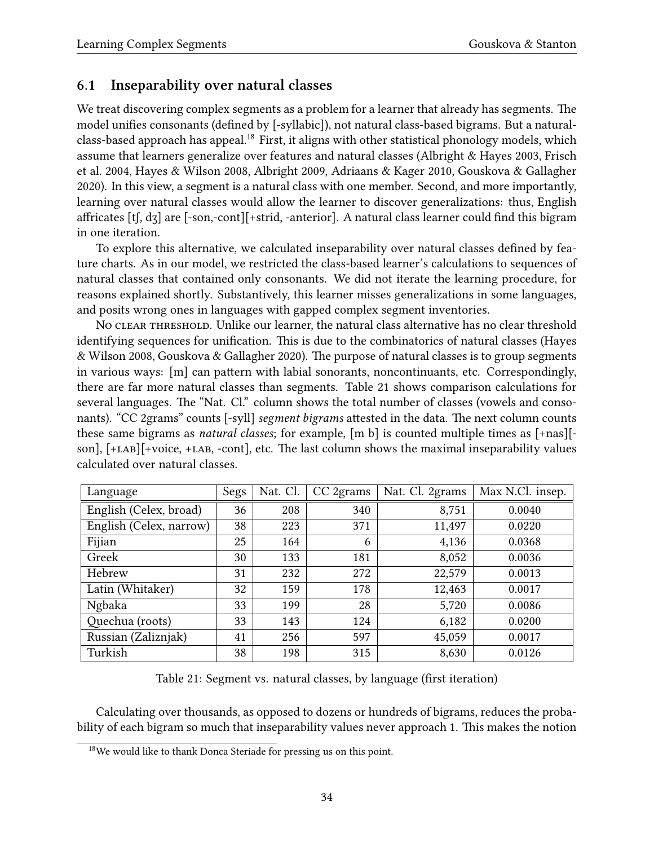### <span id="page-33-0"></span>**6.1 Inseparability over natural classes**

We treat discovering complex segments as a problem for a learner that already has segments. The model unifies consonants (defined by [-syllabic]), not natural class-based bigrams. But a natural-class-based approach has appeal.<sup>[18](#page-33-1)</sup> First, it aligns with other statistical phonology models, which assume that learners generalize over features and natural classes([Albright & Hayes](#page-41-1) [2003,](#page-41-1) [Frisch](#page-43-5) [et al.](#page-43-5) [2004,](#page-43-5) [Hayes & Wilson](#page-44-1) [2008](#page-44-1), [Albright](#page-41-7) [2009,](#page-41-7) [Adriaans & Kager](#page-41-2) [2010](#page-41-2), [Gouskova & Gallagher](#page-43-2) [2020](#page-43-2)). In this view, a segment is a natural class with one member. Second, and more importantly, learning over natural classes would allow the learner to discover generalizations: thus, English affricates [tʃ, dʒ] are [-son,-cont][+strid, -anterior]. A natural class learner could find this bigram in one iteration.

To explore this alternative, we calculated inseparability over natural classes defined by feature charts. As in our model, we restricted the class-based learner's calculations to sequences of natural classes that contained only consonants. We did not iterate the learning procedure, for reasons explained shortly. Substantively, this learner misses generalizations in some languages, and posits wrong ones in languages with gapped complex segment inventories.

No clear threshold. Unlike our learner, the natural class alternative has no clear threshold identifying sequences for unification. This is due to the combinatorics of natural classes([Hayes](#page-44-1) [& Wilson](#page-44-1) [2008,](#page-44-1) [Gouskova & Gallagher](#page-43-2) [2020](#page-43-2)). The purpose of natural classes is to group segments in various ways: [m] can pattern with labial sonorants, noncontinuants, etc. Correspondingly, there are far more natural classes than segments. Table [21](#page-33-2) shows comparison calculations for several languages. The "Nat. Cl." column shows the total number of classes (vowels and consonants). "CC 2grams" counts [-syll] *segment bigrams* attested in the data. The next column counts these same bigrams as *natural classes*; for example, [m b] is counted multiple times as [+nas][ son],  $[+LAB][+voice, +LAB, -cont]$ , etc. The last column shows the maximal inseparability values calculated over natural classes.

| Language                | Segs | Nat. Cl. | CC 2grams | Nat. Cl. 2grams | Max N.Cl. insep. |
|-------------------------|------|----------|-----------|-----------------|------------------|
| English (Celex, broad)  | 36   | 208      | 340       | 8,751           | 0.0040           |
| English (Celex, narrow) | 38   | 223      | 371       | 11,497          | 0.0220           |
| Fijian                  | 25   | 164      | 6         | 4,136           | 0.0368           |
| Greek                   | 30   | 133      | 181       | 8,052           | 0.0036           |
| Hebrew                  | 31   | 232      | 272       | 22,579          | 0.0013           |
| Latin (Whitaker)        | 32   | 159      | 178       | 12,463          | 0.0017           |
| Ngbaka                  | 33   | 199      | 28        | 5,720           | 0.0086           |
| Quechua (roots)         | 33   | 143      | 124       | 6,182           | 0.0200           |
| Russian (Zaliznjak)     | 41   | 256      | 597       | 45,059          | 0.0017           |
| Turkish                 | 38   | 198      | 315       | 8,630           | 0.0126           |

<span id="page-33-2"></span>Table 21: Segment vs. natural classes, by language (first iteration)

Calculating over thousands, as opposed to dozens or hundreds of bigrams, reduces the probability of each bigram so much that inseparability values never approach 1. This makes the notion

<span id="page-33-1"></span><sup>&</sup>lt;sup>18</sup>We would like to thank Donca Steriade for pressing us on this point.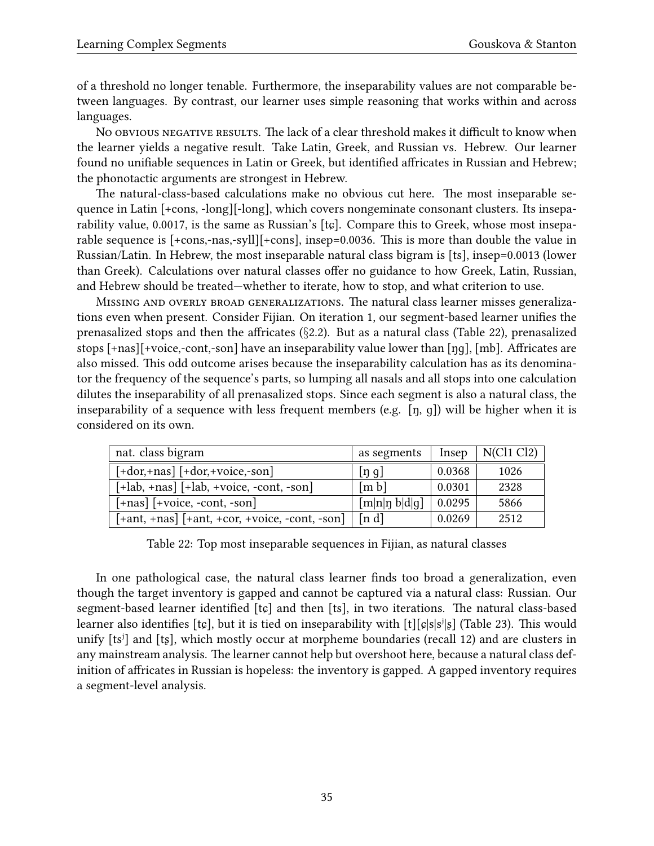of a threshold no longer tenable. Furthermore, the inseparability values are not comparable between languages. By contrast, our learner uses simple reasoning that works within and across languages.

No obvious negative results. The lack of a clear threshold makes it difficult to know when the learner yields a negative result. Take Latin, Greek, and Russian vs. Hebrew. Our learner found no unifiable sequences in Latin or Greek, but identified affricates in Russian and Hebrew; the phonotactic arguments are strongest in Hebrew.

The natural-class-based calculations make no obvious cut here. The most inseparable sequence in Latin [+cons, -long][-long], which covers nongeminate consonant clusters. Its inseparability value, 0.0017, is the same as Russian's [tɕ]. Compare this to Greek, whose most inseparable sequence is [+cons,-nas,-syll][+cons], insep=0.0036. This is more than double the value in Russian/Latin. In Hebrew, the most inseparable natural class bigram is [ts], insep=0.0013 (lower than Greek). Calculations over natural classes offer no guidance to how Greek, Latin, Russian, and Hebrew should be treated—whether to iterate, how to stop, and what criterion to use.

Missing and overly broad generalizations. The natural class learner misses generalizations even when present. Consider Fijian. On iteration 1, our segment-based learner unifies the prenasalized stops and then the affricates (*§*[2.2\)](#page-5-0). But as a natural class (Table [22](#page-34-0)), prenasalized stops [+nas][+voice,-cont,-son] have an inseparability value lower than [ŋɡ], [mb]. Affricates are also missed. This odd outcome arises because the inseparability calculation has as its denominator the frequency of the sequence's parts, so lumping all nasals and all stops into one calculation dilutes the inseparability of all prenasalized stops. Since each segment is also a natural class, the inseparability of a sequence with less frequent members (e.g. [ŋ, ɡ]) will be higher when it is considered on its own.

| nat. class bigram                                                                                   | as segments         | Insep  | N(Cl1 Cl2) |
|-----------------------------------------------------------------------------------------------------|---------------------|--------|------------|
| $\lceil + \text{dor}, + \text{nas} \rceil \lceil + \text{dor}, + \text{voice}, - \text{son} \rceil$ | [n, g]              | 0.0368 | 1026       |
| $[-lab, +nas]$ $[-lab, +voice, -cont, -son]$                                                        | $\lceil m b \rceil$ | 0.0301 | 2328       |
| $[-\text{nas}]$ $[+\text{voice}, -\text{cont}, -\text{son}]$                                        | [m n n b d q]       | 0.0295 | 5866       |
| $[+ant, +nas]$ $[+ant, +cor, +voice, -cont, -son]$                                                  | [n d]               | 0.0269 | 2512       |

<span id="page-34-0"></span>Table 22: Top most inseparable sequences in Fijian, as natural classes

In one pathological case, the natural class learner finds too broad a generalization, even though the target inventory is gapped and cannot be captured via a natural class: Russian. Our segment-based learner identified [tɕ] and then [ts], in two iterations. The natural class-based learner also identifies [tɛ], but it is tied on inseparability with  $[t][c|s|s^i|s]$  (Table [23\)](#page-35-2). This would unify [tsʲ] and [tʂ], which mostly occur at morpheme boundaries (recall [12\)](#page-23-2) and are clusters in any mainstream analysis. The learner cannot help but overshoot here, because a natural class definition of affricates in Russian is hopeless: the inventory is gapped. A gapped inventory requires a segment-level analysis.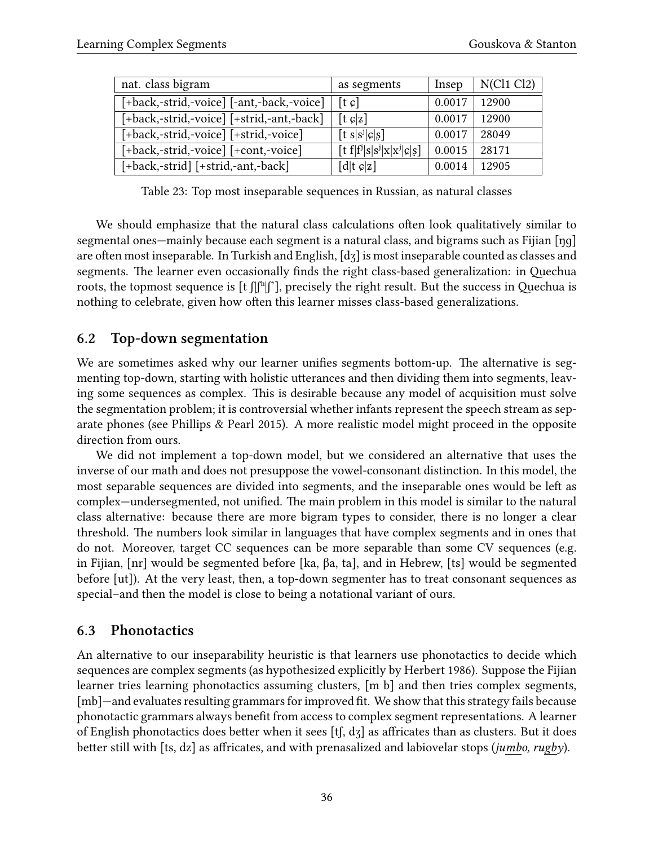| nat. class bigram                         | as segments                            | Insep  | N(Cl1 Cl2) |
|-------------------------------------------|----------------------------------------|--------|------------|
| [+back,-strid,-voice] [-ant,-back,-voice] | $[t \, \mathcal{G}]$                   | 0.0017 | 12900      |
| [+back,-strid,-voice] [+strid,-ant,-back] | $[t \csc  z]$                          | 0.0017 | 12900      |
| [+back,-strid,-voice] [+strid,-voice]     | $[t \space s \space  s^j c s]$         | 0.0017 | 28049      |
| [+back,-strid,-voice] [+cont,-voice]      | $[t f   fj   s   sj   x   xj   c   s]$ | 0.0015 | 28171      |
| [+back,-strid] [+strid,-ant,-back]        | $[d t \carepsilon z]$                  | 0.0014 | 12905      |

<span id="page-35-2"></span>Table 23: Top most inseparable sequences in Russian, as natural classes

We should emphasize that the natural class calculations often look qualitatively similar to segmental ones—mainly because each segment is a natural class, and bigrams such as Fijian [ŋɡ] are often most inseparable. In Turkish and English, [dʒ] is most inseparable counted as classes and segments. The learner even occasionally finds the right class-based generalization: in Quechua roots, the topmost sequence is  $[t]$  $[f]$ <sup>n</sup> $[f]$ , precisely the right result. But the success in Quechua is nothing to celebrate, given how often this learner misses class-based generalizations.

### <span id="page-35-0"></span>**6.2 Top-down segmentation**

We are sometimes asked why our learner unifies segments bottom-up. The alternative is segmenting top-down, starting with holistic utterances and then dividing them into segments, leaving some sequences as complex. This is desirable because any model of acquisition must solve the segmentation problem; it is controversial whether infants represent the speech stream as separate phones (see [Phillips & Pearl](#page-46-19) [2015\)](#page-46-19). A more realistic model might proceed in the opposite direction from ours.

We did not implement a top-down model, but we considered an alternative that uses the inverse of our math and does not presuppose the vowel-consonant distinction. In this model, the most separable sequences are divided into segments, and the inseparable ones would be left as complex—undersegmented, not unified. The main problem in this model is similar to the natural class alternative: because there are more bigram types to consider, there is no longer a clear threshold. The numbers look similar in languages that have complex segments and in ones that do not. Moreover, target CC sequences can be more separable than some CV sequences (e.g. in Fijian, [nr] would be segmented before [ka, βa, ta], and in Hebrew, [ts] would be segmented before [ut]). At the very least, then, a top-down segmenter has to treat consonant sequences as special–and then the model is close to being a notational variant of ours.

### <span id="page-35-1"></span>**6.3 Phonotactics**

An alternative to our inseparability heuristic is that learners use phonotactics to decide which sequences are complex segments (as hypothesized explicitly by [Herbert](#page-44-0) [1986](#page-44-0)). Suppose the Fijian learner tries learning phonotactics assuming clusters, [m b] and then tries complex segments, [mb]—and evaluates resulting grammars for improved fit. We show that this strategy fails because phonotactic grammars always benefit from access to complex segment representations. A learner of English phonotactics does better when it sees [tʃ, dʒ] as affricates than as clusters. But it does better still with [ts, dz] as affricates, and with prenasalized and labiovelar stops (*jumbo, rugby*).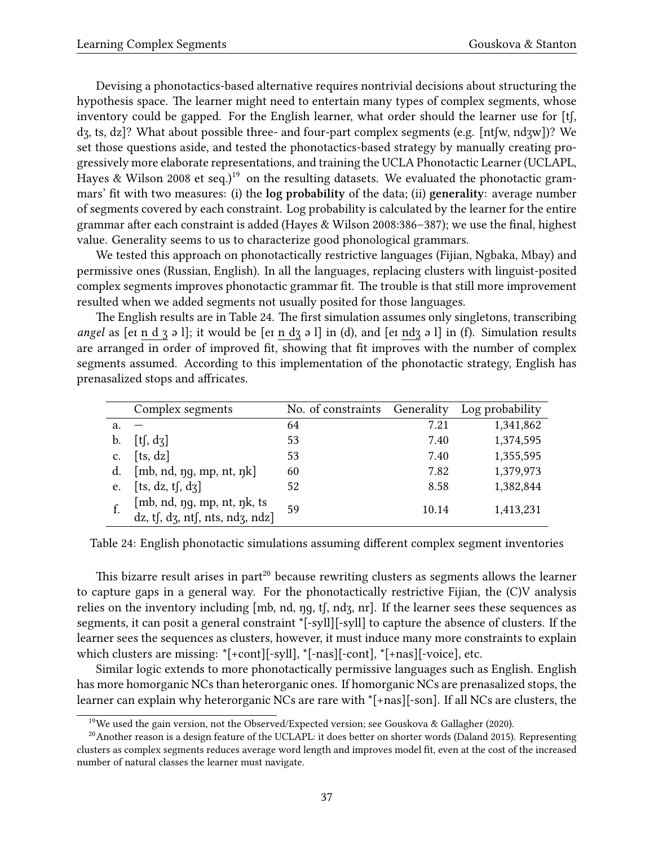Devising a phonotactics-based alternative requires nontrivial decisions about structuring the hypothesis space. The learner might need to entertain many types of complex segments, whose inventory could be gapped. For the English learner, what order should the learner use for [tʃ, dʒ, ts, dz]? What about possible three- and four-part complex segments (e.g. [ntʃw, ndʒw])? We set those questions aside, and tested the phonotactics-based strategy by manually creating progressively more elaborate representations, and training the UCLA Phonotactic Learner (UCLAPL, [Hayes & Wilson](#page-44-1) [2008](#page-44-1) et seq.)<sup>[19](#page-36-0)</sup> on the resulting datasets. We evaluated the phonotactic grammars' fit with two measures: (i) the **log probability** of the data; (ii) **generality**: average number of segments covered by each constraint. Log probability is calculated by the learner for the entire grammar after each constraint is added [\(Hayes & Wilson](#page-44-1) [2008](#page-44-1):386–387); we use the final, highest value. Generality seems to us to characterize good phonological grammars.

We tested this approach on phonotactically restrictive languages (Fijian, Ngbaka, Mbay) and permissive ones (Russian, English). In all the languages, replacing clusters with linguist-posited complex segments improves phonotactic grammar fit. The trouble is that still more improvement resulted when we added segments not usually posited for those languages.

The English results are in Table [24.](#page-36-1) The first simulation assumes only singletons, transcribing *angel* as [eɪ n d ʒ ə l]; it would be [eɪ n dʒ ə l] in (d), and [eɪ ndʒ ə l] in (f). Simulation results are arranged in order of improved fit, showing that fit improves with the number of complex segments assumed. According to this implementation of the phonotactic strategy, English has prenasalized stops and affricates.

|    | Complex segments                                              | No. of constraints Generality |       | Log probability |
|----|---------------------------------------------------------------|-------------------------------|-------|-----------------|
| a. |                                                               | 64                            | 7.21  | 1,341,862       |
| b. | [t, dz]                                                       | 53                            | 7.40  | 1,374,595       |
| c. | [ts, dz]                                                      | 53                            | 7.40  | 1,355,595       |
| d. | [mb, nd, ng, mp, nt, nk]                                      | 60                            | 7.82  | 1,379,973       |
| e. | [ts, dz, tf, dz]                                              | 52                            | 8.58  | 1,382,844       |
|    | [mb, nd, ng, mp, nt, nk, ts<br>dz, tf, dz, nf, nts, ndz, ndz] | 59                            | 10.14 | 1,413,231       |

<span id="page-36-1"></span>Table 24: English phonotactic simulations assuming different complex segment inventories

This bizarre result arises in part<sup>[20](#page-36-2)</sup> because rewriting clusters as segments allows the learner to capture gaps in a general way. For the phonotactically restrictive Fijian, the (C)V analysis relies on the inventory including [mb, nd, ŋɡ, tʃ, ndʒ, nr]. If the learner sees these sequences as segments, it can posit a general constraint \*[-syll][-syll] to capture the absence of clusters. If the learner sees the sequences as clusters, however, it must induce many more constraints to explain which clusters are missing: \*[+cont][-syll], \*[-nas][-cont], \*[+nas][-voice], etc.

Similar logic extends to more phonotactically permissive languages such as English. English has more homorganic NCs than heterorganic ones. If homorganic NCs are prenasalized stops, the learner can explain why heterorganic NCs are rare with \*[+nas][-son]. If all NCs are clusters, the

<span id="page-36-2"></span><span id="page-36-0"></span><sup>&</sup>lt;sup>19</sup>We used the gain version, not the Observed/Expected version; see [Gouskova & Gallagher](#page-43-2) ([2020\)](#page-43-2).

<sup>&</sup>lt;sup>20</sup>Anotherreason is a design feature of the UCLAPL: it does better on shorter words ([Daland](#page-42-18) [2015](#page-42-18)). Representing clusters as complex segments reduces average word length and improves model fit, even at the cost of the increased number of natural classes the learner must navigate.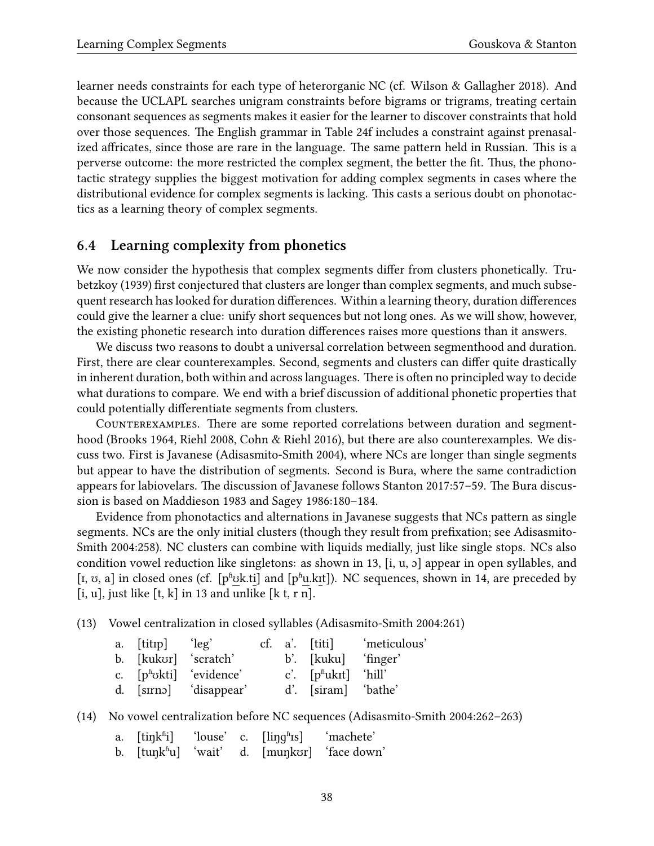learner needs constraints for each type of heterorganic NC (cf. [Wilson & Gallagher](#page-48-4) [2018\)](#page-48-4). And because the UCLAPL searches unigram constraints before bigrams or trigrams, treating certain consonant sequences as segments makes it easier for the learner to discover constraints that hold over those sequences. The English grammar in Table [24f](#page-36-1) includes a constraint against prenasalized affricates, since those are rare in the language. The same pattern held in Russian. This is a perverse outcome: the more restricted the complex segment, the better the fit. Thus, the phonotactic strategy supplies the biggest motivation for adding complex segments in cases where the distributional evidence for complex segments is lacking. This casts a serious doubt on phonotactics as a learning theory of complex segments.

### <span id="page-37-0"></span>**6.4 Learning complexity from phonetics**

We now consider the hypothesis that complex segments differ from clusters phonetically. [Tru](#page-47-0)[betzkoy](#page-47-0) [\(1939\)](#page-47-0) first conjectured that clusters are longer than complex segments, and much subsequent research has looked for duration differences. Within a learning theory, duration differences could give the learner a clue: unify short sequences but not long ones. As we will show, however, the existing phonetic research into duration differences raises more questions than it answers.

We discuss two reasons to doubt a universal correlation between segmenthood and duration. First, there are clear counterexamples. Second, segments and clusters can differ quite drastically in inherent duration, both within and across languages. There is often no principled way to decide what durations to compare. We end with a brief discussion of additional phonetic properties that could potentially differentiate segments from clusters.

Counterexamples. There are some reported correlations between duration and segmenthood [\(Brooks](#page-42-19) [1964,](#page-42-19) [Riehl](#page-46-0) [2008](#page-46-0), [Cohn & Riehl](#page-42-15) [2016](#page-42-15)), but there are also counterexamples. We discuss two. First is Javanese([Adisasmito-Smith](#page-41-8) [2004](#page-41-8)), where NCs are longer than single segments but appear to have the distribution of segments. Second is Bura, where the same contradiction appears for labiovelars. The discussion of Javanese follows [Stanton](#page-47-11) [2017](#page-47-11):57–59. The Bura discussion is based on [Maddieson](#page-45-1) [1983](#page-45-1) and [Sagey](#page-46-1) [1986:](#page-46-1)180–184.

Evidence from phonotactics and alternations in Javanese suggests that NCs pattern as single segments. NCs are the only initial clusters (though they result from prefixation; see [Adisasmito-](#page-41-8)[Smith](#page-41-8) [2004](#page-41-8):258). NC clusters can combine with liquids medially, just like single stops. NCs also condition vowel reduction like singletons: as shown in [13](#page-37-1), [i, u, ɔ] appear in open syllables, and [I,  $\sigma$ , a] in closed ones (cf. [pʰʊk.ti] and [pʰu.kɪt]). NC sequences, shown in [14,](#page-37-2) are preceded by  $[i, u]$ , just like  $[t, k]$  in [13](#page-37-1) and unlike  $[k, r, n]$ .

<span id="page-37-1"></span>(13) Vowel centralization in closed syllables [\(Adisasmito-Smith](#page-41-8) [2004](#page-41-8):261)

|  | a. [titrp] 'leg'                           |  | $cf. a'.$ [titi]             | meticulous' |
|--|--------------------------------------------|--|------------------------------|-------------|
|  | b. [kukʊr] 'scratch'                       |  | b'. [kuku] 'finger'          |             |
|  | c. $[p^{\text{th}}\text{dkti}]$ 'evidence' |  | c'. $[p^{\text{th}}]$ 'hill' |             |
|  | d. [sirno] 'disappear'                     |  | d'. [siram] 'bathe'          |             |

<span id="page-37-2"></span>(14) No vowel centralization before NC sequences [\(Adisasmito-Smith](#page-41-8) [2004:](#page-41-8)262–263)

- a.  $[\text{tink}^{\text{fi}}]$  'louse' c.  $[\text{ling}^{\text{fi}}]$  'machete'
- b. [tuŋkʰu] 'wait' d. [muŋkʊr] 'face down'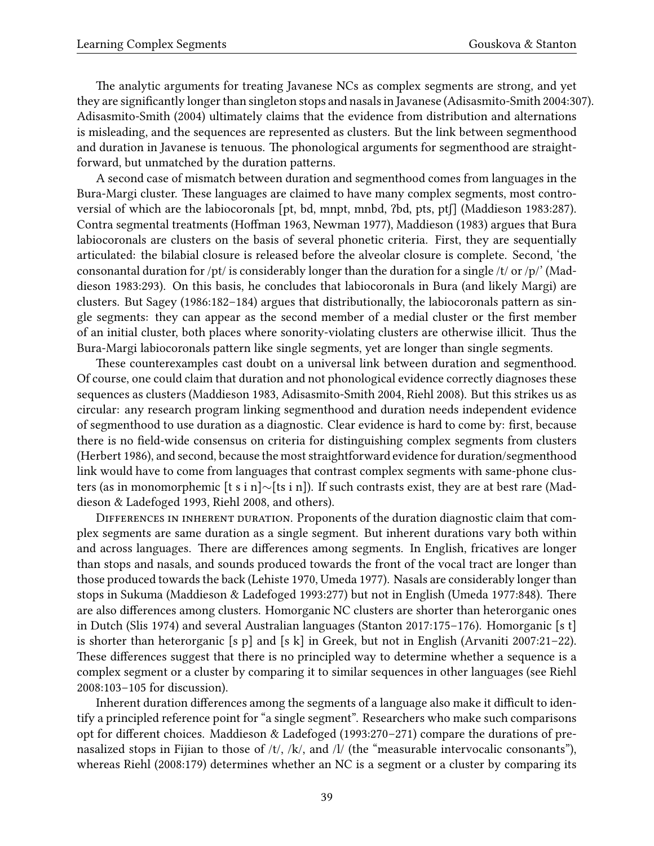The analytic arguments for treating Javanese NCs as complex segments are strong, and yet they are significantly longer than singleton stops and nasals in Javanese([Adisasmito-Smith](#page-41-8) [2004:](#page-41-8)307). [Adisasmito-Smith](#page-41-8) ([2004\)](#page-41-8) ultimately claims that the evidence from distribution and alternations is misleading, and the sequences are represented as clusters. But the link between segmenthood and duration in Javanese is tenuous. The phonological arguments for segmenthood are straightforward, but unmatched by the duration patterns.

A second case of mismatch between duration and segmenthood comes from languages in the Bura-Margi cluster. These languages are claimed to have many complex segments, most controversial of which are the labiocoronals [pt, bd, mnpt, mnbd, ʔbd, pts, ptʃ] [\(Maddieson](#page-45-1) [1983](#page-45-1):287). Contra segmental treatments([Hoffman](#page-44-18) [1963,](#page-44-18) [Newman](#page-46-20) [1977](#page-46-20)), [Maddieson](#page-45-1) ([1983](#page-45-1)) argues that Bura labiocoronals are clusters on the basis of several phonetic criteria. First, they are sequentially articulated: the bilabial closure is released before the alveolar closure is complete. Second, 'the consonantal duration for /pt/ is considerably longer than the duration for a single /t/ or /p/' [\(Mad](#page-45-1)[dieson](#page-45-1) [1983:](#page-45-1)293). On this basis, he concludes that labiocoronals in Bura (and likely Margi) are clusters. But [Sagey](#page-46-1) ([1986:](#page-46-1)182–184) argues that distributionally, the labiocoronals pattern as single segments: they can appear as the second member of a medial cluster or the first member of an initial cluster, both places where sonority-violating clusters are otherwise illicit. Thus the Bura-Margi labiocoronals pattern like single segments, yet are longer than single segments.

These counterexamples cast doubt on a universal link between duration and segmenthood. Of course, one could claim that duration and not phonological evidence correctly diagnoses these sequences as clusters [\(Maddieson](#page-45-1) [1983](#page-45-1), [Adisasmito-Smith](#page-41-8) [2004,](#page-41-8) [Riehl](#page-46-0) [2008](#page-46-0)). But this strikes us as circular: any research program linking segmenthood and duration needs independent evidence of segmenthood to use duration as a diagnostic. Clear evidence is hard to come by: first, because there is no field-wide consensus on criteria for distinguishing complex segments from clusters ([Herbert](#page-44-0) [1986\)](#page-44-0), and second, because the most straightforward evidence for duration/segmenthood link would have to come from languages that contrast complex segments with same-phone clusters (as in monomorphemic [t s i n]*∼*[ts i n]). If such contrasts exist, they are at best rare [\(Mad](#page-45-20)[dieson & Ladefoged](#page-45-20) [1993,](#page-45-20) [Riehl](#page-46-0) [2008,](#page-46-0) and others).

Differences in inherent duration. Proponents of the duration diagnostic claim that complex segments are same duration as a single segment. But inherent durations vary both within and across languages. There are differences among segments. In English, fricatives are longer than stops and nasals, and sounds produced towards the front of the vocal tract are longer than those produced towards the back([Lehiste](#page-45-21) [1970](#page-45-21), [Umeda](#page-47-16) [1977\)](#page-47-16). Nasals are considerably longer than stops in Sukuma [\(Maddieson & Ladefoged](#page-45-20) [1993:](#page-45-20)277) but not in English [\(Umeda](#page-47-16) [1977:](#page-47-16)848). There are also differences among clusters. Homorganic NC clusters are shorter than heterorganic ones in Dutch([Slis](#page-47-17) [1974](#page-47-17)) and several Australian languages [\(Stanton](#page-47-11) [2017](#page-47-11):175–176). Homorganic [s t] is shorter than heterorganic [s p] and [s k] in Greek, but not in English [\(Arvaniti](#page-41-0) [2007](#page-41-0):21–22). These differences suggest that there is no principled way to determine whether a sequence is a complex segment or a cluster by comparing it to similar sequences in other languages (see [Riehl](#page-46-0) [2008](#page-46-0):103–105 for discussion).

Inherent duration differences among the segments of a language also make it difficult to identify a principled reference point for "a single segment". Researchers who make such comparisons opt for different choices. [Maddieson & Ladefoged](#page-45-20) ([1993](#page-45-20):270–271) compare the durations of prenasalized stops in Fijian to those of /t/, /k/, and /l/ (the "measurable intervocalic consonants"), whereas [Riehl](#page-46-0) [\(2008](#page-46-0):179) determines whether an NC is a segment or a cluster by comparing its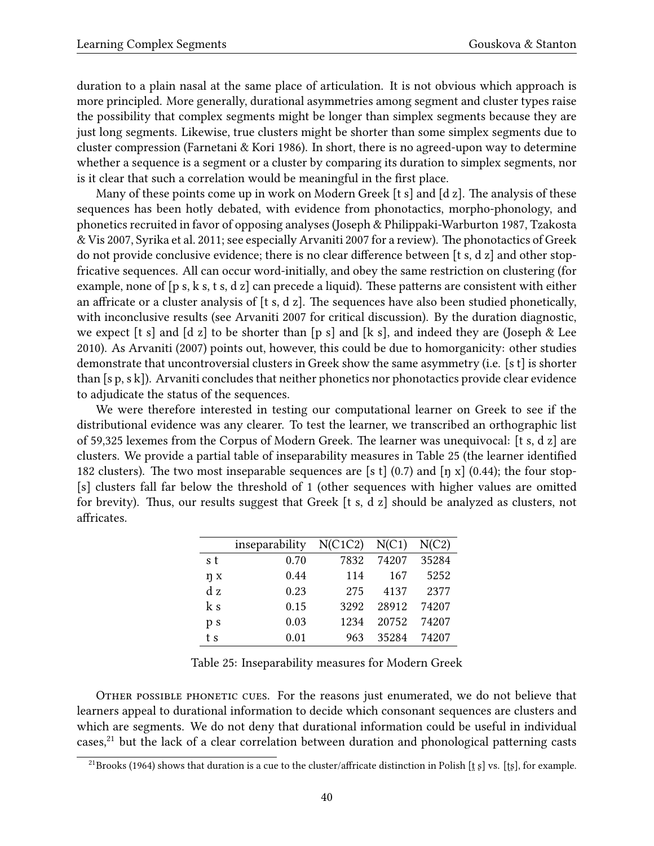duration to a plain nasal at the same place of articulation. It is not obvious which approach is more principled. More generally, durational asymmetries among segment and cluster types raise the possibility that complex segments might be longer than simplex segments because they are just long segments. Likewise, true clusters might be shorter than some simplex segments due to cluster compression([Farnetani & Kori](#page-43-20) [1986](#page-43-20)). In short, there is no agreed-upon way to determine whether a sequence is a segment or a cluster by comparing its duration to simplex segments, nor is it clear that such a correlation would be meaningful in the first place.

Many of these points come up in work on Modern Greek [t s] and [d z]. The analysis of these sequences has been hotly debated, with evidence from phonotactics, morpho-phonology, and phonetics recruited in favor of opposing analyses([Joseph & Philippaki-Warburton](#page-44-19) [1987,](#page-44-19) [Tzakosta](#page-47-18) [& Vis](#page-47-18) [2007,](#page-47-18) [Syrika et al.](#page-47-19) [2011](#page-47-19); see especially [Arvaniti](#page-41-0) [2007](#page-41-0) for a review). The phonotactics of Greek do not provide conclusive evidence; there is no clear difference between [t s, d z] and other stopfricative sequences. All can occur word-initially, and obey the same restriction on clustering (for example, none of [p s, k s, t s, d z] can precede a liquid). These patterns are consistent with either an affricate or a cluster analysis of [t s, d z]. The sequences have also been studied phonetically, with inconclusive results (see [Arvaniti](#page-41-0) [2007](#page-41-0) for critical discussion). By the duration diagnostic, weexpect [t s] and [d z] to be shorter than [p s] and [k s], and indeed they are ([Joseph & Lee](#page-44-20) [2010](#page-44-20)). As [Arvaniti](#page-41-0) [\(2007](#page-41-0)) points out, however, this could be due to homorganicity: other studies demonstrate that uncontroversial clusters in Greek show the same asymmetry (i.e. [s t] is shorter than [s p, s k]). Arvaniti concludes that neither phonetics nor phonotactics provide clear evidence to adjudicate the status of the sequences.

We were therefore interested in testing our computational learner on Greek to see if the distributional evidence was any clearer. To test the learner, we transcribed an orthographic list of 59,325 lexemes from the Corpus of Modern Greek. The learner was unequivocal: [t s, d z] are clusters. We provide a partial table of inseparability measures in Table [25](#page-39-0) (the learner identified 182 clusters). The two most inseparable sequences are [s t] (0.7) and [ŋ x] (0.44); the four stop-[s] clusters fall far below the threshold of 1 (other sequences with higher values are omitted for brevity). Thus, our results suggest that Greek [t s, d z] should be analyzed as clusters, not affricates.

|     | inseparability $N(C1C2) N(C1)$ |      |       | N(C2) |
|-----|--------------------------------|------|-------|-------|
| s t | 0.70                           | 7832 | 74207 | 35284 |
| ŋ x | 0.44                           | 114  | 167   | 5252  |
| dz  | 0.23                           | 275  | 4137  | 2377  |
| k s | 0.15                           | 3292 | 28912 | 74207 |
| p s | 0.03                           | 1234 | 20752 | 74207 |
| t s | 0.01                           | 963  | 35284 | 74207 |

<span id="page-39-0"></span>Table 25: Inseparability measures for Modern Greek

Other possible phonetic cues. For the reasons just enumerated, we do not believe that learners appeal to durational information to decide which consonant sequences are clusters and which are segments. We do not deny that durational information could be useful in individual cases,<sup>[21](#page-39-1)</sup> but the lack of a clear correlation between duration and phonological patterning casts

<span id="page-39-1"></span><sup>&</sup>lt;sup>21</sup>[Brooks](#page-42-19) ([1964](#page-42-19)) shows that duration is a cue to the cluster/affricate distinction in Polish [t̪ɛ] vs. [t̥s], for example.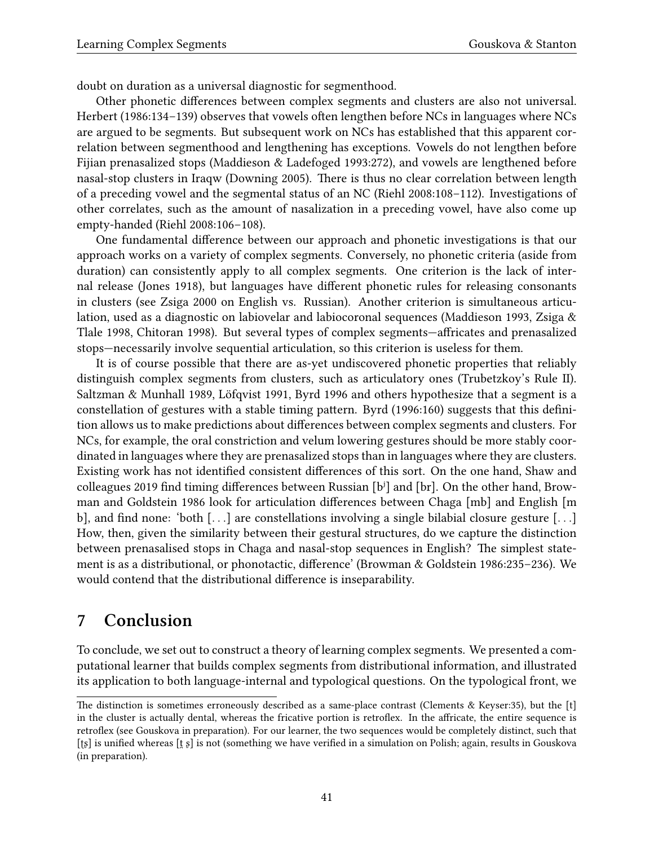doubt on duration as a universal diagnostic for segmenthood.

Other phonetic differences between complex segments and clusters are also not universal. [Herbert](#page-44-0) [\(1986:](#page-44-0)134–139) observes that vowels often lengthen before NCs in languages where NCs are argued to be segments. But subsequent work on NCs has established that this apparent correlation between segmenthood and lengthening has exceptions. Vowels do not lengthen before Fijian prenasalized stops([Maddieson & Ladefoged](#page-45-20) [1993:](#page-45-20)272), and vowels are lengthened before nasal-stop clusters in Iraqw([Downing](#page-43-21) [2005\)](#page-43-21). There is thus no clear correlation between length of a preceding vowel and the segmental status of an NC([Riehl](#page-46-0) [2008:](#page-46-0)108–112). Investigations of other correlates, such as the amount of nasalization in a preceding vowel, have also come up empty-handed [\(Riehl](#page-46-0) [2008:](#page-46-0)106–108).

One fundamental difference between our approach and phonetic investigations is that our approach works on a variety of complex segments. Conversely, no phonetic criteria (aside from duration) can consistently apply to all complex segments. One criterion is the lack of internal release([Jones](#page-44-7) [1918\)](#page-44-7), but languages have different phonetic rules for releasing consonants in clusters (see [Zsiga](#page-48-5) [2000](#page-48-5) on English vs. Russian). Another criterion is simultaneous articulation, used as a diagnostic on labiovelar and labiocoronal sequences([Maddieson](#page-45-22) [1993,](#page-45-22) [Zsiga &](#page-48-6) [Tlale](#page-48-6) [1998,](#page-48-6) [Chitoran](#page-42-20) [1998](#page-42-20)). But several types of complex segments—affricates and prenasalized stops—necessarily involve sequential articulation, so this criterion is useless for them.

It is of course possible that there are as-yet undiscovered phonetic properties that reliably distinguish complex segments from clusters, such as articulatory ones (Trubetzkoy's Rule II). [Saltzman & Munhall](#page-47-20) [1989,](#page-47-20) [Löfqvist](#page-45-23) [1991](#page-45-23), [Byrd](#page-42-21) [1996](#page-42-21) and others hypothesize that a segment is a constellation of gestures with a stable timing pattern. [Byrd](#page-42-21) [\(1996:](#page-42-21)160) suggests that this definition allows us to make predictions about differences between complex segments and clusters. For NCs, for example, the oral constriction and velum lowering gestures should be more stably coordinated in languages where they are prenasalized stops than in languages where they are clusters. Existing work has not identified consistent differences of this sort. On the one hand, Shaw and colleagues [2019](#page-47-21) find timing differences between Russian  $[b^j]$  and  $[br]$ . On the other hand, Browman and Goldstein [1986](#page-42-22) look for articulation differences between Chaga [mb] and English [m b], and find none: 'both [*. . .*] are constellations involving a single bilabial closure gesture [*. . .*] How, then, given the similarity between their gestural structures, do we capture the distinction between prenasalised stops in Chaga and nasal-stop sequences in English? The simplest statement is as a distributional, or phonotactic, difference'([Browman & Goldstein](#page-42-22) [1986](#page-42-22):235–236). We would contend that the distributional difference is inseparability.

## **7 Conclusion**

To conclude, we set out to construct a theory of learning complex segments. We presented a computational learner that builds complex segments from distributional information, and illustrated its application to both language-internal and typological questions. On the typological front, we

The distinction is sometimes erroneously described as a same-place contrast [\(Clements & Keyser](#page-42-23):35), but the [t] in the cluster is actually dental, whereas the fricative portion is retroflex. In the affricate, the entire sequence is retroflex (see Gouskova in preparation). For our learner, the two sequences would be completely distinct, such that [ʈʂ] is unified whereas [t̪ʂ] is not (something we have verified in a simulation on Polish; again, results in Gouskova (in preparation).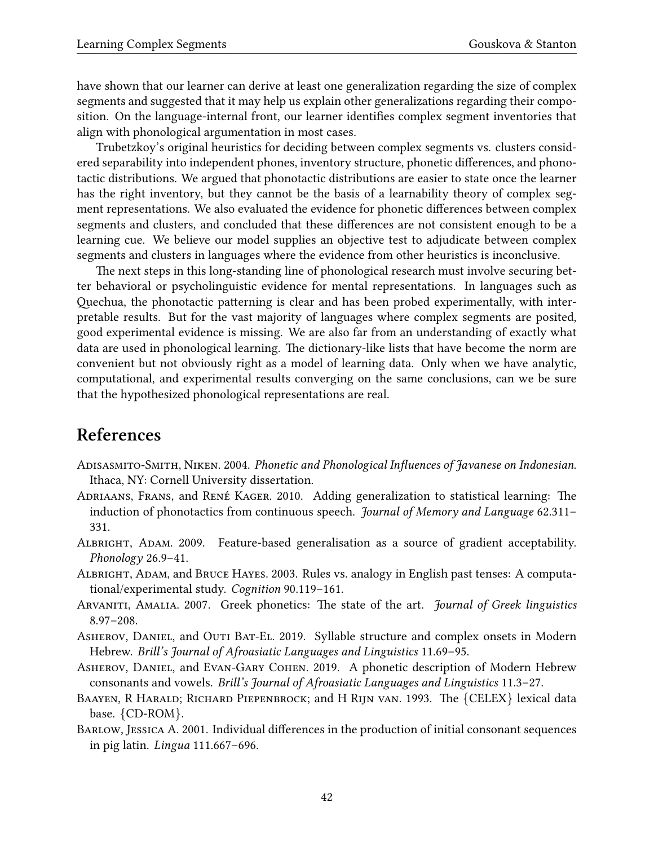have shown that our learner can derive at least one generalization regarding the size of complex segments and suggested that it may help us explain other generalizations regarding their composition. On the language-internal front, our learner identifies complex segment inventories that align with phonological argumentation in most cases.

Trubetzkoy's original heuristics for deciding between complex segments vs. clusters considered separability into independent phones, inventory structure, phonetic differences, and phonotactic distributions. We argued that phonotactic distributions are easier to state once the learner has the right inventory, but they cannot be the basis of a learnability theory of complex segment representations. We also evaluated the evidence for phonetic differences between complex segments and clusters, and concluded that these differences are not consistent enough to be a learning cue. We believe our model supplies an objective test to adjudicate between complex segments and clusters in languages where the evidence from other heuristics is inconclusive.

The next steps in this long-standing line of phonological research must involve securing better behavioral or psycholinguistic evidence for mental representations. In languages such as Quechua, the phonotactic patterning is clear and has been probed experimentally, with interpretable results. But for the vast majority of languages where complex segments are posited, good experimental evidence is missing. We are also far from an understanding of exactly what data are used in phonological learning. The dictionary-like lists that have become the norm are convenient but not obviously right as a model of learning data. Only when we have analytic, computational, and experimental results converging on the same conclusions, can we be sure that the hypothesized phonological representations are real.

## **References**

- <span id="page-41-8"></span>Adisasmito-Smith, Niken. 2004. *Phonetic and Phonological Influences of Javanese on Indonesian*. Ithaca, NY: Cornell University dissertation.
- <span id="page-41-2"></span>Adriaans, Frans, and René Kager. 2010. Adding generalization to statistical learning: The induction of phonotactics from continuous speech. *Journal of Memory and Language* 62.311– 331.
- <span id="page-41-7"></span>Albright, Adam. 2009. Feature-based generalisation as a source of gradient acceptability. *Phonology* 26.9–41.
- <span id="page-41-1"></span>Albright, Adam, and Bruce Hayes. 2003. Rules vs. analogy in English past tenses: A computational/experimental study. *Cognition* 90.119–161.
- <span id="page-41-0"></span>ARVANITI, AMALIA. 2007. Greek phonetics: The state of the art. *Journal of Greek linguistics* 8.97–208.
- <span id="page-41-3"></span>Asherov, Daniel, and Outi Bat-El. 2019. Syllable structure and complex onsets in Modern Hebrew. *Brill's Journal of Afroasiatic Languages and Linguistics* 11.69–95.
- <span id="page-41-4"></span>Asherov, Daniel, and Evan-Gary Cohen. 2019. A phonetic description of Modern Hebrew consonants and vowels. *Brill's Journal of Afroasiatic Languages and Linguistics* 11.3–27.
- <span id="page-41-5"></span>Baayen, R Harald; Richard Piepenbrock; and H Rijn van. 1993. The *{*CELEX*}* lexical data base. *{*CD-ROM*}*.
- <span id="page-41-6"></span>Barlow, Jessica A. 2001. Individual differences in the production of initial consonant sequences in pig latin. *Lingua* 111.667–696.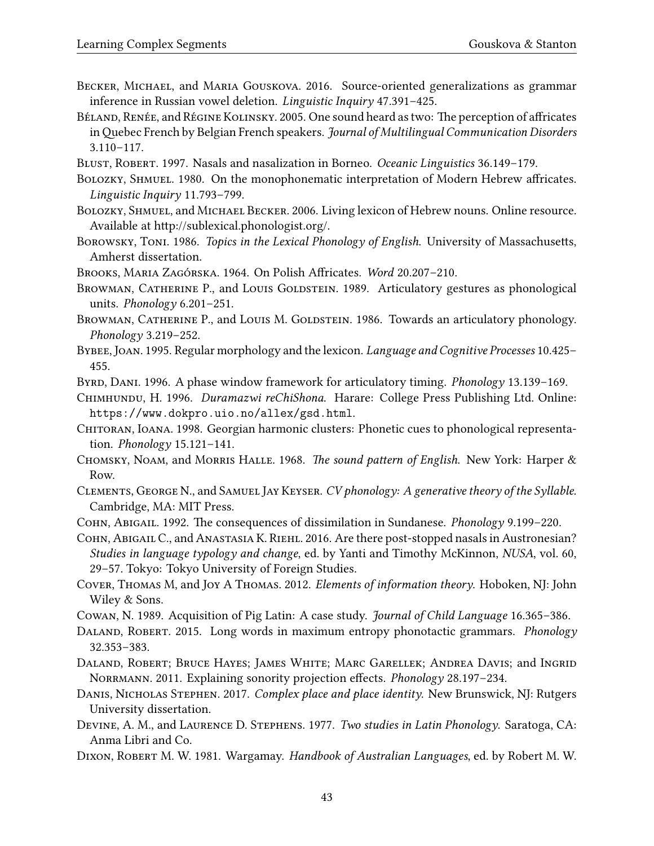- <span id="page-42-9"></span>Becker, Michael, and Maria Gouskova. 2016. Source-oriented generalizations as grammar inference in Russian vowel deletion. *Linguistic Inquiry* 47.391–425.
- <span id="page-42-2"></span>Béland, Renée, and Régine Kolinsky. 2005. One sound heard as two: The perception of affricates inQuebec French by Belgian French speakers. *Journal of Multilingual Communication Disorders* 3.110–117.
- <span id="page-42-13"></span>BLUST, ROBERT. 1997. Nasals and nasalization in Borneo. *Oceanic Linguistics* 36.149-179.
- <span id="page-42-6"></span>BOLOZKY, SHMUEL. 1980. On the monophonematic interpretation of Modern Hebrew affricates. *Linguistic Inquiry* 11.793–799.
- <span id="page-42-7"></span>Bolozky, Shmuel, and Michael Becker. 2006. Living lexicon of Hebrew nouns. Online resource. Available at http://sublexical.phonologist.org/.
- <span id="page-42-10"></span>Borowsky, Toni. 1986. *Topics in the Lexical Phonology of English*. University of Massachusetts, Amherst dissertation.
- <span id="page-42-19"></span>Brooks, Maria Zagórska. 1964. On Polish Affricates. *Word* 20.207–210.
- <span id="page-42-0"></span>BROWMAN, CATHERINE P., and LOUIS GOLDSTEIN. 1989. Articulatory gestures as phonological units. *Phonology* 6.201–251.
- <span id="page-42-22"></span>BROWMAN, CATHERINE P., and LOUIS M. GOLDSTEIN. 1986. Towards an articulatory phonology. *Phonology* 3.219–252.
- <span id="page-42-3"></span>Bybee, Joan. 1995. Regular morphology and the lexicon. *Language and Cognitive Processes* 10.425– 455.
- <span id="page-42-21"></span>BYRD, DANI. 1996. A phase window framework for articulatory timing. *Phonology* 13.139-169.
- <span id="page-42-16"></span>Chimhundu, H. 1996. *Duramazwi reChiShona*. Harare: College Press Publishing Ltd. Online: <https://www.dokpro.uio.no/allex/gsd.html>.
- <span id="page-42-20"></span>CHITORAN, IOANA. 1998. Georgian harmonic clusters: Phonetic cues to phonological representation. *Phonology* 15.121–141.
- <span id="page-42-4"></span>Chomsky, Noam, and Morris Halle. 1968. *The sound pattern of English*. New York: Harper & Row.
- <span id="page-42-23"></span>Clements, George N., and Samuel Jay Keyser. *CV phonology: A generative theory of the Syllable*. Cambridge, MA: MIT Press.
- <span id="page-42-14"></span>Cohn, Abigail. 1992. The consequences of dissimilation in Sundanese. *Phonology* 9.199–220.

<span id="page-42-15"></span>Cohn, Abigail C., and Anastasia K. Riehl. 2016. Are there post-stopped nasals in Austronesian? *Studies in language typology and change*, ed. by Yanti and Timothy McKinnon, *NUSA*, vol. 60, 29–57. Tokyo: Tokyo University of Foreign Studies.

- <span id="page-42-1"></span>Cover, Thomas M, and Joy A Thomas. 2012. *Elements of information theory*. Hoboken, NJ: John Wiley & Sons.
- <span id="page-42-12"></span>Cowan, N. 1989. Acquisition of Pig Latin: A case study. *Journal of Child Language* 16.365–386.
- <span id="page-42-18"></span>Daland, Robert. 2015. Long words in maximum entropy phonotactic grammars. *Phonology* 32.353–383.
- <span id="page-42-11"></span>Daland, Robert; Bruce Hayes; James White; Marc Garellek; Andrea Davis; and Ingrid Norrmann. 2011. Explaining sonority projection effects. *Phonology* 28.197–234.
- <span id="page-42-5"></span>Danis, Nicholas Stephen. 2017. *Complex place and place identity*. New Brunswick, NJ: Rutgers University dissertation.
- <span id="page-42-8"></span>Devine, A. M., and Laurence D. Stephens. 1977. *Two studies in Latin Phonology*. Saratoga, CA: Anma Libri and Co.
- <span id="page-42-17"></span>Dixon, Robert M. W. 1981. Wargamay. *Handbook of Australian Languages*, ed. by Robert M. W.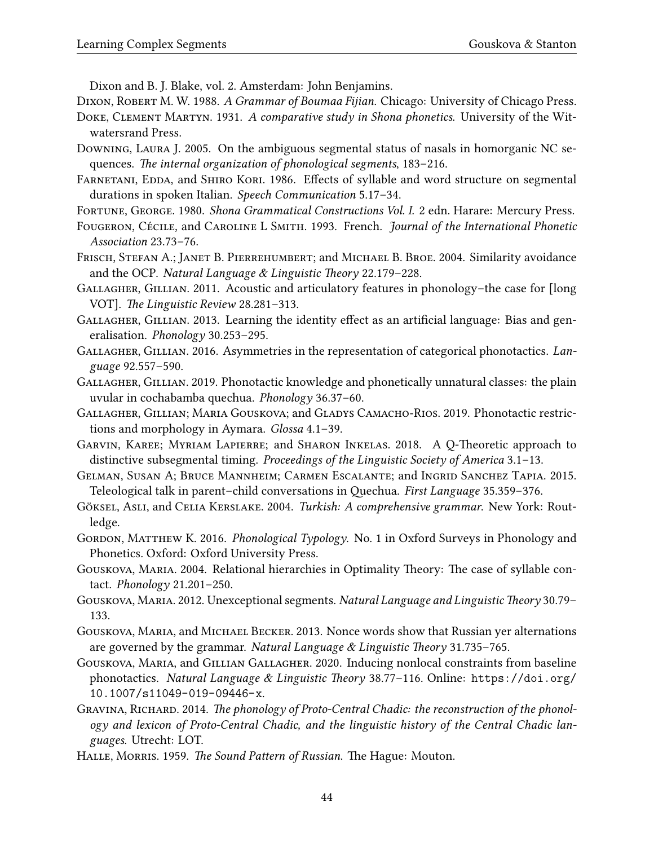Dixon and B. J. Blake, vol. 2. Amsterdam: John Benjamins.

<span id="page-43-4"></span>Dixon, Robert M. W. 1988. *A Grammar of Boumaa Fijian*. Chicago: University of Chicago Press.

- <span id="page-43-18"></span>Doke, Clement Martyn. 1931. *A comparative study in Shona phonetics*. University of the Witwatersrand Press.
- <span id="page-43-21"></span>Downing, Laura J. 2005. On the ambiguous segmental status of nasals in homorganic NC sequences. *The internal organization of phonological segments*, 183–216.
- <span id="page-43-20"></span>FARNETANI, EDDA, and SHIRO KORI. 1986. Effects of syllable and word structure on segmental durations in spoken Italian. *Speech Communication* 5.17–34.
- <span id="page-43-19"></span>Fortune, George. 1980. *Shona Grammatical Constructions Vol. I*. 2 edn. Harare: Mercury Press.
- <span id="page-43-3"></span>Fougeron, Cécile, and Caroline L Smith. 1993. French. *Journal of the International Phonetic Association* 23.73–76.
- <span id="page-43-5"></span>FRISCH, STEFAN A.; JANET B. PIERREHUMBERT; and MICHAEL B. BROE. 2004. Similarity avoidance and the OCP. *Natural Language & Linguistic Theory* 22.179–228.
- <span id="page-43-10"></span>Gallagher, Gillian. 2011. Acoustic and articulatory features in phonology–the case for [long VOT]. *The Linguistic Review* 28.281–313.
- <span id="page-43-11"></span>Gallagher, Gillian. 2013. Learning the identity effect as an artificial language: Bias and generalisation. *Phonology* 30.253–295.
- <span id="page-43-0"></span>Gallagher, Gillian. 2016. Asymmetries in the representation of categorical phonotactics. *Language* 92.557–590.
- <span id="page-43-1"></span>Gallagher, Gillian. 2019. Phonotactic knowledge and phonetically unnatural classes: the plain uvular in cochabamba quechua. *Phonology* 36.37–60.
- <span id="page-43-7"></span>Gallagher, Gillian; Maria Gouskova; and Gladys Camacho-Rios. 2019. Phonotactic restrictions and morphology in Aymara. *Glossa* 4.1–39.
- <span id="page-43-16"></span>Garvin, Karee; Myriam Lapierre; and Sharon Inkelas. 2018. A Q-Theoretic approach to distinctive subsegmental timing. *Proceedings of the Linguistic Society of America* 3.1–13.
- <span id="page-43-12"></span>Gelman, Susan A; Bruce Mannheim; Carmen Escalante; and Ingrid Sanchez Tapia. 2015. Teleological talk in parent–child conversations in Quechua. *First Language* 35.359–376.
- <span id="page-43-9"></span>Göksel, Asli, and Celia Kerslake. 2004. *Turkish: A comprehensive grammar*. New York: Routledge.
- <span id="page-43-17"></span>GORDON, MATTHEW K. 2016. *Phonological Typology*. No. 1 in Oxford Surveys in Phonology and Phonetics. Oxford: Oxford University Press.
- <span id="page-43-13"></span>Gouskova, Maria. 2004. Relational hierarchies in Optimality Theory: The case of syllable contact. *Phonology* 21.201–250.
- <span id="page-43-15"></span>Gouskova, Maria. 2012. Unexceptional segments. *Natural Language and Linguistic Theory* 30.79– 133.
- <span id="page-43-8"></span>Gouskova, Maria, and Michael Becker. 2013. Nonce words show that Russian yer alternations are governed by the grammar. *Natural Language & Linguistic Theory* 31.735–765.
- <span id="page-43-2"></span>Gouskova, Maria, and Gillian Gallagher. 2020. Inducing nonlocal constraints from baseline phonotactics. *Natural Language & Linguistic Theory* 38.77–116. Online: [https://doi.org/](https://doi.org/10.1007/s11049-019-09446-x) [10.1007/s11049-019-09446-x](https://doi.org/10.1007/s11049-019-09446-x).
- <span id="page-43-6"></span>GRAVINA, RICHARD. 2014. The phonology of Proto-Central Chadic: the reconstruction of the phonol*ogy and lexicon of Proto-Central Chadic, and the linguistic history of the Central Chadic languages*. Utrecht: LOT.
- <span id="page-43-14"></span>Halle, Morris. 1959. *The Sound Pattern of Russian*. The Hague: Mouton.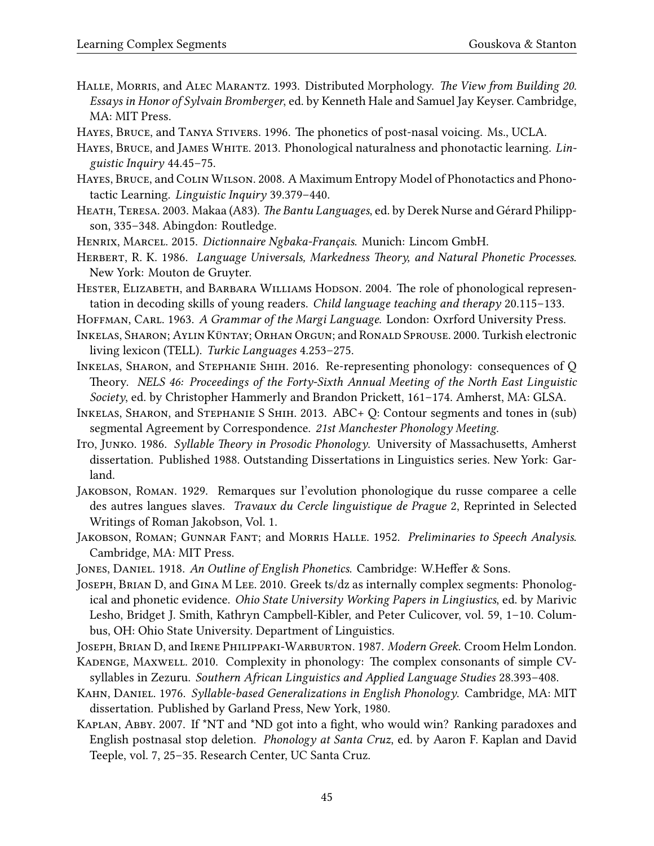- <span id="page-44-4"></span>Halle, Morris, and Alec Marantz. 1993. Distributed Morphology. *The View from Building 20. Essays in Honor of Sylvain Bromberger*, ed. by Kenneth Hale and Samuel Jay Keyser. Cambridge, MA: MIT Press.
- <span id="page-44-12"></span>Hayes, Bruce, and Tanya Stivers. 1996. The phonetics of post-nasal voicing. Ms., UCLA.
- <span id="page-44-3"></span>HAYES, BRUCE, and JAMES WHITE. 2013. Phonological naturalness and phonotactic learning. Lin*guistic Inquiry* 44.45–75.
- <span id="page-44-1"></span>Hayes, Bruce, and Colin Wilson. 2008. A Maximum Entropy Model of Phonotactics and Phonotactic Learning. *Linguistic Inquiry* 39.379–440.
- <span id="page-44-11"></span>Heath, Teresa. 2003. Makaa (A83). *The Bantu Languages*, ed. by Derek Nurse and Gérard Philippson, 335–348. Abingdon: Routledge.
- <span id="page-44-5"></span>Henrix, Marcel. 2015. *Dictionnaire Ngbaka-Français*. Munich: Lincom GmbH.
- <span id="page-44-0"></span>Herbert, R. K. 1986. *Language Universals, Markedness Theory, and Natural Phonetic Processes*. New York: Mouton de Gruyter.
- <span id="page-44-10"></span>HESTER, ELIZABETH, and BARBARA WILLIAMS HODSON. 2004. The role of phonological representation in decoding skills of young readers. *Child language teaching and therapy* 20.115–133.
- <span id="page-44-18"></span>HOFFMAN, CARL. 1963. *A Grammar of the Margi Language*. London: Oxrford University Press.
- <span id="page-44-6"></span>Inkelas, Sharon; Aylin Küntay; Orhan Orgun; and Ronald Sprouse. 2000. Turkish electronic living lexicon (TELL). *Turkic Languages* 4.253–275.
- <span id="page-44-14"></span>Inkelas, Sharon, and Stephanie Shih. 2016. Re-representing phonology: consequences of Q Theory. *NELS 46: Proceedings of the Forty-Sixth Annual Meeting of the North East Linguistic Society*, ed. by Christopher Hammerly and Brandon Prickett, 161–174. Amherst, MA: GLSA.
- <span id="page-44-13"></span>Inkelas, Sharon, and Stephanie S Shih. 2013. ABC+ Q: Contour segments and tones in (sub) segmental Agreement by Correspondence. *21st Manchester Phonology Meeting*.
- <span id="page-44-16"></span>Ito, Junko. 1986. *Syllable Theory in Prosodic Phonology*. University of Massachusetts, Amherst dissertation. Published 1988. Outstanding Dissertations in Linguistics series. New York: Garland.
- <span id="page-44-2"></span>Jakobson, Roman. 1929. Remarques sur l'evolution phonologique du russe comparee a celle des autres langues slaves. *Travaux du Cercle linguistique de Prague* 2, Reprinted in Selected Writings of Roman Jakobson, Vol. 1.
- <span id="page-44-9"></span>Jakobson, Roman; Gunnar Fant; and Morris Halle. 1952. *Preliminaries to Speech Analysis*. Cambridge, MA: MIT Press.
- <span id="page-44-7"></span>Jones, Daniel. 1918. *An Outline of English Phonetics*. Cambridge: W.Heffer & Sons.
- <span id="page-44-20"></span>Joseph, Brian D, and Gina M Lee. 2010. Greek ts/dz as internally complex segments: Phonological and phonetic evidence. *Ohio State University Working Papers in Lingiustics*, ed. by Marivic Lesho, Bridget J. Smith, Kathryn Campbell-Kibler, and Peter Culicover, vol. 59, 1–10. Columbus, OH: Ohio State University. Department of Linguistics.
- <span id="page-44-19"></span>Joseph, Brian D, and Irene Philippaki-Warburton. 1987. *Modern Greek*. Croom Helm London.
- <span id="page-44-15"></span>KADENGE, MAXWELL. 2010. Complexity in phonology: The complex consonants of simple CVsyllables in Zezuru. *Southern African Linguistics and Applied Language Studies* 28.393–408.
- <span id="page-44-8"></span>Kahn, Daniel. 1976. *Syllable-based Generalizations in English Phonology*. Cambridge, MA: MIT dissertation. Published by Garland Press, New York, 1980.
- <span id="page-44-17"></span>Kaplan, Abby. 2007. If \*NT and \*ND got into a fight, who would win? Ranking paradoxes and English postnasal stop deletion. *Phonology at Santa Cruz*, ed. by Aaron F. Kaplan and David Teeple, vol. 7, 25–35. Research Center, UC Santa Cruz.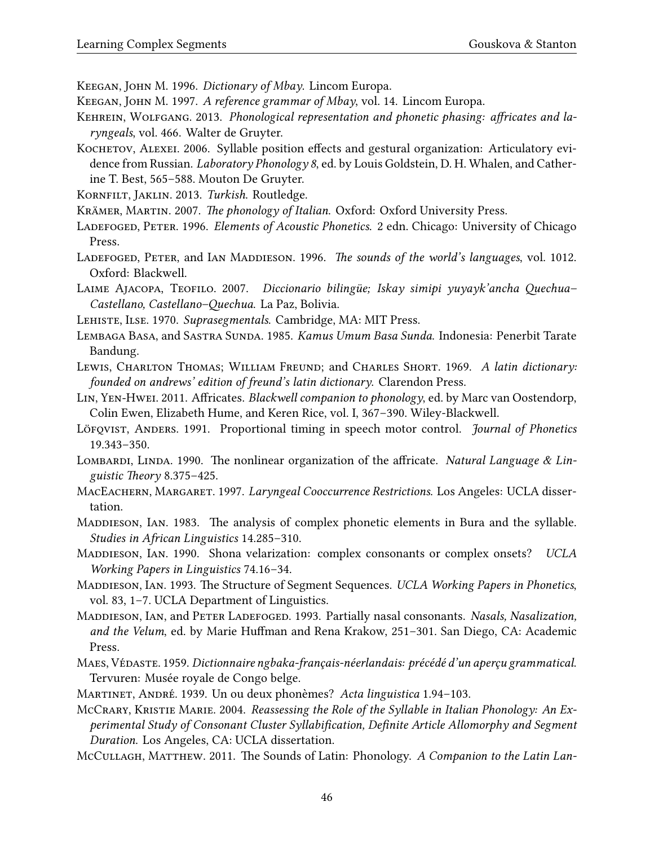<span id="page-45-8"></span>Keegan, John M. 1996. *Dictionary of Mbay*. Lincom Europa.

- <span id="page-45-9"></span>Keegan, John M. 1997. *A reference grammar of Mbay*, vol. 14. Lincom Europa.
- <span id="page-45-6"></span>KEHREIN, WOLFGANG. 2013. Phonological representation and phonetic phasing: affricates and la*ryngeals*, vol. 466. Walter de Gruyter.
- <span id="page-45-17"></span>KOCHETOV, ALEXEI. 2006. Syllable position effects and gestural organization: Articulatory evidence from Russian. *Laboratory Phonology 8*, ed. by Louis Goldstein, D. H. Whalen, and Catherine T. Best, 565–588. Mouton De Gruyter.
- <span id="page-45-10"></span>Kornfilt, Jaklin. 2013. *Turkish*. Routledge.

<span id="page-45-16"></span>Krämer, Martin. 2007. *The phonology of Italian*. Oxford: Oxford University Press.

- <span id="page-45-18"></span>Ladefoged, Peter. 1996. *Elements of Acoustic Phonetics*. 2 edn. Chicago: University of Chicago Press.
- <span id="page-45-5"></span>LADEFOGED, PETER, and IAN MADDIESON. 1996. *The sounds of the world's languages*, vol. 1012. Oxford: Blackwell.
- <span id="page-45-12"></span>Laime Ajacopa, Teofilo. 2007. *Diccionario bilingüe; Iskay simipi yuyayk'ancha Quechua– Castellano, Castellano–Quechua*. La Paz, Bolivia.
- <span id="page-45-21"></span>Lehiste, Ilse. 1970. *Suprasegmentals*. Cambridge, MA: MIT Press.
- <span id="page-45-19"></span>LEMBAGA BASA, and SASTRA SUNDA. 1985. *Kamus Umum Basa Sunda*. Indonesia: Penerbit Tarate Bandung.
- <span id="page-45-14"></span>Lewis, Charlton Thomas; William Freund; and Charles Short. 1969. *A latin dictionary: founded on andrews' edition of freund's latin dictionary*. Clarendon Press.
- <span id="page-45-3"></span>Lin, Yen-Hwei. 2011. Affricates. *Blackwell companion to phonology*, ed. by Marc van Oostendorp, Colin Ewen, Elizabeth Hume, and Keren Rice, vol. I, 367–390. Wiley-Blackwell.
- <span id="page-45-23"></span>Löfqvist, Anders. 1991. Proportional timing in speech motor control. *Journal of Phonetics* 19.343–350.
- <span id="page-45-2"></span>Lombardi, Linda. 1990. The nonlinear organization of the affricate. *Natural Language & Linguistic Theory* 8.375–425.
- <span id="page-45-11"></span>MacEachern, Margaret. 1997. *Laryngeal Cooccurrence Restrictions*. Los Angeles: UCLA dissertation.
- <span id="page-45-1"></span>MADDIESON, IAN. 1983. The analysis of complex phonetic elements in Bura and the syllable. *Studies in African Linguistics* 14.285–310.
- <span id="page-45-4"></span>MADDIESON, IAN. 1990. Shona velarization: complex consonants or complex onsets? *UCLA Working Papers in Linguistics* 74.16–34.
- <span id="page-45-22"></span>Maddieson, Ian. 1993. The Structure of Segment Sequences. *UCLA Working Papers in Phonetics*, vol. 83, 1–7. UCLA Department of Linguistics.
- <span id="page-45-20"></span>Maddieson, Ian, and Peter Ladefoged. 1993. Partially nasal consonants. *Nasals, Nasalization, and the Velum*, ed. by Marie Huffman and Rena Krakow, 251–301. San Diego, CA: Academic Press.
- <span id="page-45-7"></span>MAES, VÉDASTE. 1959. *Dictionnaire ngbaka-français-néerlandais: précédé d'un aperçu grammatical.* Tervuren: Musée royale de Congo belge.
- <span id="page-45-0"></span>Martinet, André. 1939. Un ou deux phonèmes? *Acta linguistica* 1.94–103.
- <span id="page-45-15"></span>McCRARY, KRISTIE MARIE. 2004. *Reassessing the Role of the Syllable in Italian Phonology: An Experimental Study of Consonant Cluster Syllabification, Definite Article Allomorphy and Segment Duration*. Los Angeles, CA: UCLA dissertation.
- <span id="page-45-13"></span>McCullagh, Matthew. 2011. The Sounds of Latin: Phonology. *A Companion to the Latin Lan-*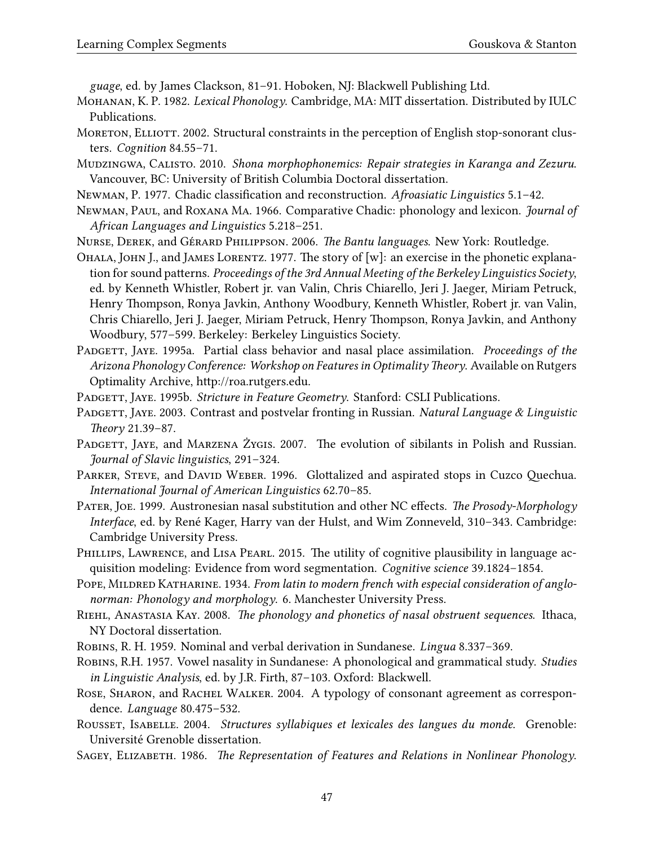*guage*, ed. by James Clackson, 81–91. Hoboken, NJ: Blackwell Publishing Ltd.

- <span id="page-46-17"></span>Mohanan, K. P. 1982. *Lexical Phonology*. Cambridge, MA: MIT dissertation. Distributed by IULC Publications.
- <span id="page-46-10"></span>MORETON, ELLIOTT. 2002. Structural constraints in the perception of English stop-sonorant clusters. *Cognition* 84.55–71.
- <span id="page-46-15"></span>Mudzingwa, Calisto. 2010. *Shona morphophonemics: Repair strategies in Karanga and Zezuru*. Vancouver, BC: University of British Columbia Doctoral dissertation.
- <span id="page-46-20"></span>Newman, P. 1977. Chadic classification and reconstruction. *Afroasiatic Linguistics* 5.1–42.
- <span id="page-46-5"></span>Newman, Paul, and Roxana Ma. 1966. Comparative Chadic: phonology and lexicon. *Journal of African Languages and Linguistics* 5.218–251.
- <span id="page-46-3"></span>Nurse, Derek, and Gérard Philippson. 2006. *The Bantu languages*. New York: Routledge.
- <span id="page-46-16"></span>Ohala, John J., and James Lorentz. 1977. The story of [w]: an exercise in the phonetic explanation for sound patterns. *Proceedings of the 3rd Annual Meeting of the Berkeley Linguistics Society*, ed. by Kenneth Whistler, Robert jr. van Valin, Chris Chiarello, Jeri J. Jaeger, Miriam Petruck, Henry Thompson, Ronya Javkin, Anthony Woodbury, Kenneth Whistler, Robert jr. van Valin, Chris Chiarello, Jeri J. Jaeger, Miriam Petruck, Henry Thompson, Ronya Javkin, and Anthony Woodbury, 577–599. Berkeley: Berkeley Linguistics Society.
- <span id="page-46-2"></span>Padgett, Jaye. 1995a. Partial class behavior and nasal place assimilation. *Proceedings of the Arizona Phonology Conference: Workshop on Features in Optimality Theory*. Available on Rutgers Optimality Archive, http://roa.rutgers.edu.
- <span id="page-46-18"></span>Padgett, Jaye. 1995b. *Stricture in Feature Geometry*. Stanford: CSLI Publications.
- <span id="page-46-8"></span>Padgett, Jaye. 2003. Contrast and postvelar fronting in Russian. *Natural Language & Linguistic Theory* 21.39–87.
- <span id="page-46-9"></span>PADGETT, JAYE, and MARZENA ŻYGIS. 2007. The evolution of sibilants in Polish and Russian. *Journal of Slavic linguistics*, 291–324.
- <span id="page-46-7"></span>PARKER, STEVE, and DAVID WEBER. 1996. Glottalized and aspirated stops in Cuzco Quechua. *International Journal of American Linguistics* 62.70–85.
- <span id="page-46-13"></span>Pater, Joe. 1999. Austronesian nasal substitution and other NC effects. *The Prosody-Morphology Interface*, ed. by René Kager, Harry van der Hulst, and Wim Zonneveld, 310–343. Cambridge: Cambridge University Press.
- <span id="page-46-19"></span>PHILLIPS, LAWRENCE, and LISA PEARL. 2015. The utility of cognitive plausibility in language acquisition modeling: Evidence from word segmentation. *Cognitive science* 39.1824–1854.
- <span id="page-46-4"></span>POPE, MILDRED KATHARINE. 1934. *From latin to modern french with especial consideration of anglonorman: Phonology and morphology*. 6. Manchester University Press.
- <span id="page-46-0"></span>Riehl, Anastasia Kay. 2008. *The phonology and phonetics of nasal obstruent sequences*. Ithaca, NY Doctoral dissertation.
- <span id="page-46-12"></span>Robins, R. H. 1959. Nominal and verbal derivation in Sundanese. *Lingua* 8.337–369.
- <span id="page-46-11"></span>Robins, R.H. 1957. Vowel nasality in Sundanese: A phonological and grammatical study. *Studies in Linguistic Analysis*, ed. by J.R. Firth, 87–103. Oxford: Blackwell.
- <span id="page-46-6"></span>ROSE, SHARON, and RACHEL WALKER. 2004. A typology of consonant agreement as correspondence. *Language* 80.475–532.
- <span id="page-46-14"></span>Rousset, Isabelle. 2004. *Structures syllabiques et lexicales des langues du monde*. Grenoble: Université Grenoble dissertation.
- <span id="page-46-1"></span>SAGEY, ELIZABETH. 1986. *The Representation of Features and Relations in Nonlinear Phonology*.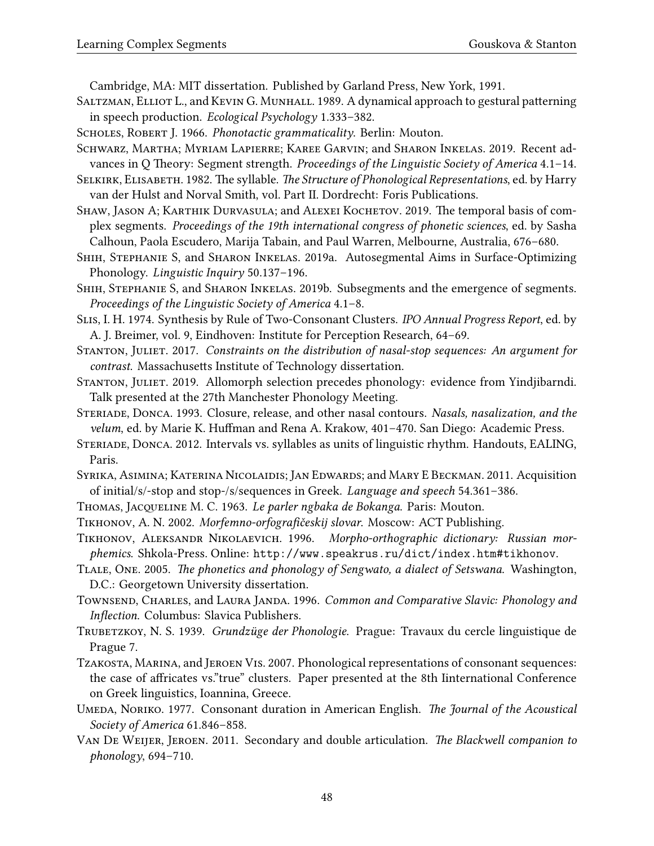Cambridge, MA: MIT dissertation. Published by Garland Press, New York, 1991.

- <span id="page-47-20"></span>SALTZMAN, ELLIOT L., and KEVIN G. MUNHALL. 1989. A dynamical approach to gestural patterning in speech production. *Ecological Psychology* 1.333–382.
- <span id="page-47-9"></span>Scholes, Robert J. 1966. *Phonotactic grammaticality*. Berlin: Mouton.
- <span id="page-47-13"></span>Schwarz, Martha; Myriam Lapierre; Karee Garvin; and Sharon Inkelas. 2019. Recent advances in Q Theory: Segment strength. *Proceedings of the Linguistic Society of America* 4.1–14.

<span id="page-47-10"></span>Selkirk, Elisabeth. 1982. The syllable. *The Structure of Phonological Representations*, ed. by Harry van der Hulst and Norval Smith, vol. Part II. Dordrecht: Foris Publications.

<span id="page-47-21"></span>SHAW, JASON A; KARTHIK DURVASULA; and ALEXEI KOCHETOV. 2019. The temporal basis of complex segments. *Proceedings of the 19th international congress of phonetic sciences*, ed. by Sasha Calhoun, Paola Escudero, Marija Tabain, and Paul Warren, Melbourne, Australia, 676–680.

<span id="page-47-2"></span>Shih, Stephanie S, and Sharon Inkelas. 2019a. Autosegmental Aims in Surface-Optimizing Phonology. *Linguistic Inquiry* 50.137–196.

<span id="page-47-12"></span>SHIH, STEPHANIE S, and SHARON INKELAS. 2019b. Subsegments and the emergence of segments. *Proceedings of the Linguistic Society of America* 4.1–8.

<span id="page-47-17"></span>Slis, I. H. 1974. Synthesis by Rule of Two-Consonant Clusters. *IPO Annual Progress Report*, ed. by A. J. Breimer, vol. 9, Eindhoven: Institute for Perception Research, 64–69.

<span id="page-47-11"></span>Stanton, Juliet. 2017. *Constraints on the distribution of nasal-stop sequences: An argument for contrast*. Massachusetts Institute of Technology dissertation.

<span id="page-47-15"></span>STANTON, JULIET. 2019. Allomorph selection precedes phonology: evidence from Yindjibarndi. Talk presented at the 27th Manchester Phonology Meeting.

- <span id="page-47-1"></span>Steriade, Donca. 1993. Closure, release, and other nasal contours. *Nasals, nasalization, and the velum*, ed. by Marie K. Huffman and Rena A. Krakow, 401–470. San Diego: Academic Press.
- <span id="page-47-6"></span>Steriade, Donca. 2012. Intervals vs. syllables as units of linguistic rhythm. Handouts, EALING, Paris.

<span id="page-47-19"></span>Syrika, Asimina; Katerina Nicolaidis; Jan Edwards; and Mary E Beckman. 2011. Acquisition of initial/s/-stop and stop-/s/sequences in Greek. *Language and speech* 54.361–386.

<span id="page-47-5"></span>Thomas, Jacqeline M. C. 1963. *Le parler ngbaka de Bokanga*. Paris: Mouton.

<span id="page-47-8"></span>Tikhonov, A. N. 2002. *Morfemno-orfografičeskij slovar*. Moscow: ACT Publishing.

<span id="page-47-7"></span>Tikhonov, Aleksandr Nikolaevich. 1996. *Morpho-orthographic dictionary: Russian morphemics*. Shkola-Press. Online: <http://www.speakrus.ru/dict/index.htm#tikhonov>.

- <span id="page-47-14"></span>Tlale, One. 2005. *The phonetics and phonology of Sengwato, a dialect of Setswana*. Washington, D.C.: Georgetown University dissertation.
- <span id="page-47-4"></span>Townsend, Charles, and Laura Janda. 1996. *Common and Comparative Slavic: Phonology and Inflection*. Columbus: Slavica Publishers.
- <span id="page-47-0"></span>Trubetzkoy, N. S. 1939. *Grundzüge der Phonologie*. Prague: Travaux du cercle linguistique de Prague 7.
- <span id="page-47-18"></span>Tzakosta, Marina, and Jeroen Vis. 2007. Phonological representations of consonant sequences: the case of affricates vs."true" clusters. Paper presented at the 8th Iinternational Conference on Greek linguistics, Ioannina, Greece.
- <span id="page-47-16"></span>Umeda, Noriko. 1977. Consonant duration in American English. *The Journal of the Acoustical Society of America* 61.846–858.

<span id="page-47-3"></span>Van De Weijer, Jeroen. 2011. Secondary and double articulation. *The Blackwell companion to phonology*, 694–710.